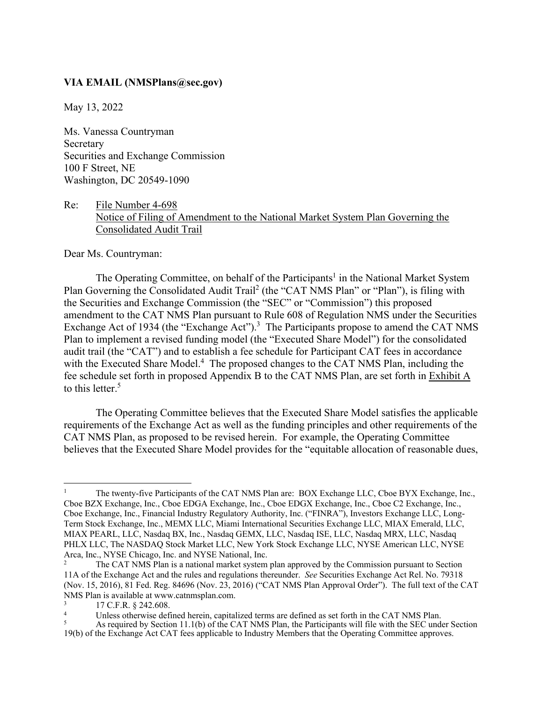#### **VIA EMAIL (NMSPlans@sec.gov)**

May 13, 2022

Ms. Vanessa Countryman Secretary Securities and Exchange Commission 100 F Street, NE Washington, DC 20549-1090

## Re: File Number 4-698 Notice of Filing of Amendment to the National Market System Plan Governing the Consolidated Audit Trail

Dear Ms. Countryman:

The Operating Committee, on behalf of the Participants<sup>1</sup> in the National Market System Plan Governing the Consolidated Audit Trail<sup>2</sup> (the "CAT NMS Plan" or "Plan"), is filing with the Securities and Exchange Commission (the "SEC" or "Commission") this proposed amendment to the CAT NMS Plan pursuant to Rule 608 of Regulation NMS under the Securities Exchange Act of 1934 (the "Exchange Act").<sup>3</sup> The Participants propose to amend the CAT NMS Plan to implement a revised funding model (the "Executed Share Model") for the consolidated audit trail (the "CAT") and to establish a fee schedule for Participant CAT fees in accordance with the Executed Share Model.<sup>4</sup> The proposed changes to the CAT NMS Plan, including the fee schedule set forth in proposed Appendix B to the CAT NMS Plan, are set forth in Exhibit A to this letter.<sup>5</sup>

The Operating Committee believes that the Executed Share Model satisfies the applicable requirements of the Exchange Act as well as the funding principles and other requirements of the CAT NMS Plan, as proposed to be revised herein. For example, the Operating Committee believes that the Executed Share Model provides for the "equitable allocation of reasonable dues,

<sup>1</sup> The twenty-five Participants of the CAT NMS Plan are: BOX Exchange LLC, Cboe BYX Exchange, Inc., Cboe BZX Exchange, Inc., Cboe EDGA Exchange, Inc., Cboe EDGX Exchange, Inc., Cboe C2 Exchange, Inc., Cboe Exchange, Inc., Financial Industry Regulatory Authority, Inc. ("FINRA"), Investors Exchange LLC, Long-Term Stock Exchange, Inc., MEMX LLC, Miami International Securities Exchange LLC, MIAX Emerald, LLC, MIAX PEARL, LLC, Nasdaq BX, Inc., Nasdaq GEMX, LLC, Nasdaq ISE, LLC, Nasdaq MRX, LLC, Nasdaq PHLX LLC, The NASDAQ Stock Market LLC, New York Stock Exchange LLC, NYSE American LLC, NYSE Arca, Inc., NYSE Chicago, Inc. and NYSE National, Inc.

The CAT NMS Plan is a national market system plan approved by the Commission pursuant to Section 11A of the Exchange Act and the rules and regulations thereunder. *See* Securities Exchange Act Rel. No. 79318 (Nov. 15, 2016), 81 Fed. Reg. 84696 (Nov. 23, 2016) ("CAT NMS Plan Approval Order"). The full text of the CAT NMS Plan is available at www.catnmsplan.com.

<sup>3</sup> 17 C.F.R. § 242.608.

<sup>4</sup> Unless otherwise defined herein, capitalized terms are defined as set forth in the CAT NMS Plan.

<sup>5</sup> As required by Section 11.1(b) of the CAT NMS Plan, the Participants will file with the SEC under Section 19(b) of the Exchange Act CAT fees applicable to Industry Members that the Operating Committee approves.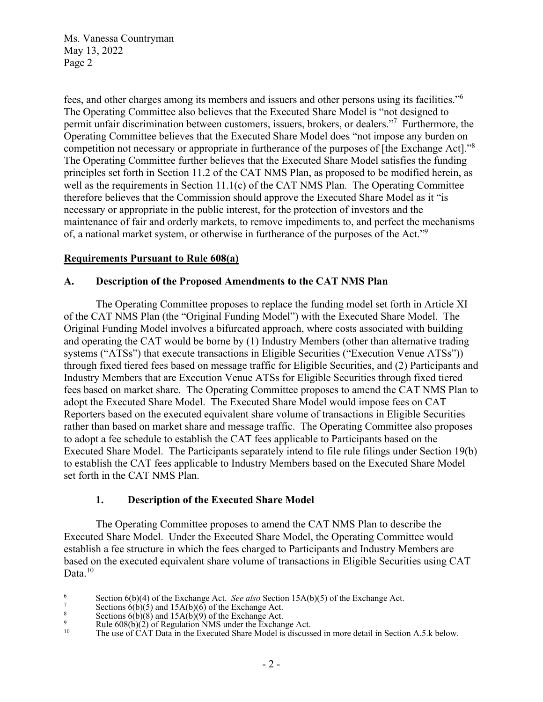fees, and other charges among its members and issuers and other persons using its facilities."6 The Operating Committee also believes that the Executed Share Model is "not designed to permit unfair discrimination between customers, issuers, brokers, or dealers."7 Furthermore, the Operating Committee believes that the Executed Share Model does "not impose any burden on competition not necessary or appropriate in furtherance of the purposes of [the Exchange Act]."<sup>8</sup> The Operating Committee further believes that the Executed Share Model satisfies the funding principles set forth in Section 11.2 of the CAT NMS Plan, as proposed to be modified herein, as well as the requirements in Section 11.1(c) of the CAT NMS Plan. The Operating Committee therefore believes that the Commission should approve the Executed Share Model as it "is necessary or appropriate in the public interest, for the protection of investors and the maintenance of fair and orderly markets, to remove impediments to, and perfect the mechanisms of, a national market system, or otherwise in furtherance of the purposes of the Act."9

## **Requirements Pursuant to Rule 608(a)**

#### **A. Description of the Proposed Amendments to the CAT NMS Plan**

The Operating Committee proposes to replace the funding model set forth in Article XI of the CAT NMS Plan (the "Original Funding Model") with the Executed Share Model. The Original Funding Model involves a bifurcated approach, where costs associated with building and operating the CAT would be borne by (1) Industry Members (other than alternative trading systems ("ATSs") that execute transactions in Eligible Securities ("Execution Venue ATSs")) through fixed tiered fees based on message traffic for Eligible Securities, and (2) Participants and Industry Members that are Execution Venue ATSs for Eligible Securities through fixed tiered fees based on market share. The Operating Committee proposes to amend the CAT NMS Plan to adopt the Executed Share Model. The Executed Share Model would impose fees on CAT Reporters based on the executed equivalent share volume of transactions in Eligible Securities rather than based on market share and message traffic. The Operating Committee also proposes to adopt a fee schedule to establish the CAT fees applicable to Participants based on the Executed Share Model. The Participants separately intend to file rule filings under Section 19(b) to establish the CAT fees applicable to Industry Members based on the Executed Share Model set forth in the CAT NMS Plan.

#### **1. Description of the Executed Share Model**

 The Operating Committee proposes to amend the CAT NMS Plan to describe the Executed Share Model. Under the Executed Share Model, the Operating Committee would establish a fee structure in which the fees charged to Participants and Industry Members are based on the executed equivalent share volume of transactions in Eligible Securities using CAT Data.<sup>10</sup>

<sup>6</sup> Section  $6(b)(4)$  of the Exchange Act. *See also* Section 15A(b)(5) of the Exchange Act.

Sections  $\hat{6}(b)(5)$  and  $15A(b)(6)$  of the Exchange Act.

<sup>8</sup> Sections  $6(b)(8)$  and  $15A(b)(9)$  of the Exchange Act.

<sup>9</sup> P<br>Rule  $608(b)(2)$  of Regulation NMS under the Exchange Act.<br>The use of CAT Data in the Executed Share Model is discussed.

The use of  $\hat{C}AT$  Data in the Executed Share Model is discussed in more detail in Section A.5.k below.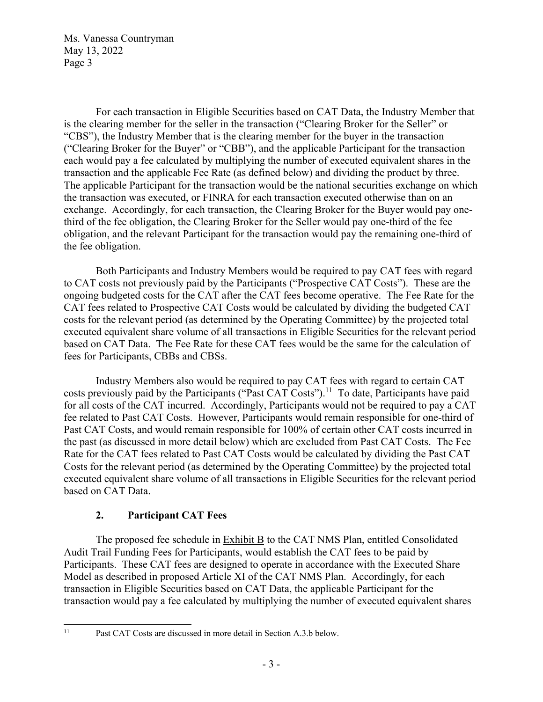For each transaction in Eligible Securities based on CAT Data, the Industry Member that is the clearing member for the seller in the transaction ("Clearing Broker for the Seller" or "CBS"), the Industry Member that is the clearing member for the buyer in the transaction ("Clearing Broker for the Buyer" or "CBB"), and the applicable Participant for the transaction each would pay a fee calculated by multiplying the number of executed equivalent shares in the transaction and the applicable Fee Rate (as defined below) and dividing the product by three. The applicable Participant for the transaction would be the national securities exchange on which the transaction was executed, or FINRA for each transaction executed otherwise than on an exchange. Accordingly, for each transaction, the Clearing Broker for the Buyer would pay onethird of the fee obligation, the Clearing Broker for the Seller would pay one-third of the fee obligation, and the relevant Participant for the transaction would pay the remaining one-third of the fee obligation.

Both Participants and Industry Members would be required to pay CAT fees with regard to CAT costs not previously paid by the Participants ("Prospective CAT Costs"). These are the ongoing budgeted costs for the CAT after the CAT fees become operative. The Fee Rate for the CAT fees related to Prospective CAT Costs would be calculated by dividing the budgeted CAT costs for the relevant period (as determined by the Operating Committee) by the projected total executed equivalent share volume of all transactions in Eligible Securities for the relevant period based on CAT Data. The Fee Rate for these CAT fees would be the same for the calculation of fees for Participants, CBBs and CBSs.

Industry Members also would be required to pay CAT fees with regard to certain CAT costs previously paid by the Participants ("Past CAT Costs").<sup>11</sup> To date, Participants have paid for all costs of the CAT incurred. Accordingly, Participants would not be required to pay a CAT fee related to Past CAT Costs. However, Participants would remain responsible for one-third of Past CAT Costs, and would remain responsible for 100% of certain other CAT costs incurred in the past (as discussed in more detail below) which are excluded from Past CAT Costs. The Fee Rate for the CAT fees related to Past CAT Costs would be calculated by dividing the Past CAT Costs for the relevant period (as determined by the Operating Committee) by the projected total executed equivalent share volume of all transactions in Eligible Securities for the relevant period based on CAT Data.

## **2. Participant CAT Fees**

The proposed fee schedule in Exhibit B to the CAT NMS Plan, entitled Consolidated Audit Trail Funding Fees for Participants, would establish the CAT fees to be paid by Participants. These CAT fees are designed to operate in accordance with the Executed Share Model as described in proposed Article XI of the CAT NMS Plan. Accordingly, for each transaction in Eligible Securities based on CAT Data, the applicable Participant for the transaction would pay a fee calculated by multiplying the number of executed equivalent shares

<sup>&</sup>lt;sup>11</sup> Past CAT Costs are discussed in more detail in Section A.3.b below.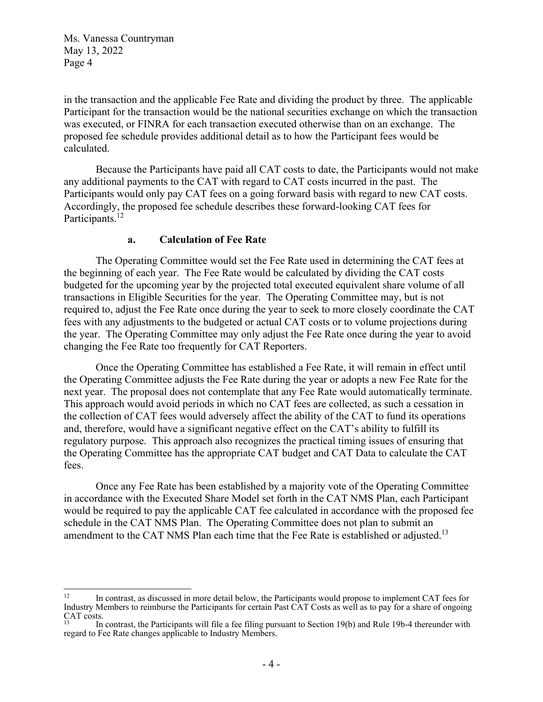in the transaction and the applicable Fee Rate and dividing the product by three. The applicable Participant for the transaction would be the national securities exchange on which the transaction was executed, or FINRA for each transaction executed otherwise than on an exchange. The proposed fee schedule provides additional detail as to how the Participant fees would be calculated.

Because the Participants have paid all CAT costs to date, the Participants would not make any additional payments to the CAT with regard to CAT costs incurred in the past. The Participants would only pay CAT fees on a going forward basis with regard to new CAT costs. Accordingly, the proposed fee schedule describes these forward-looking CAT fees for Participants.<sup>12</sup>

#### **a. Calculation of Fee Rate**

The Operating Committee would set the Fee Rate used in determining the CAT fees at the beginning of each year. The Fee Rate would be calculated by dividing the CAT costs budgeted for the upcoming year by the projected total executed equivalent share volume of all transactions in Eligible Securities for the year. The Operating Committee may, but is not required to, adjust the Fee Rate once during the year to seek to more closely coordinate the CAT fees with any adjustments to the budgeted or actual CAT costs or to volume projections during the year. The Operating Committee may only adjust the Fee Rate once during the year to avoid changing the Fee Rate too frequently for CAT Reporters.

Once the Operating Committee has established a Fee Rate, it will remain in effect until the Operating Committee adjusts the Fee Rate during the year or adopts a new Fee Rate for the next year. The proposal does not contemplate that any Fee Rate would automatically terminate. This approach would avoid periods in which no CAT fees are collected, as such a cessation in the collection of CAT fees would adversely affect the ability of the CAT to fund its operations and, therefore, would have a significant negative effect on the CAT's ability to fulfill its regulatory purpose. This approach also recognizes the practical timing issues of ensuring that the Operating Committee has the appropriate CAT budget and CAT Data to calculate the CAT fees.

Once any Fee Rate has been established by a majority vote of the Operating Committee in accordance with the Executed Share Model set forth in the CAT NMS Plan, each Participant would be required to pay the applicable CAT fee calculated in accordance with the proposed fee schedule in the CAT NMS Plan. The Operating Committee does not plan to submit an amendment to the CAT NMS Plan each time that the Fee Rate is established or adjusted.<sup>13</sup>

<sup>&</sup>lt;sup>12</sup> In contrast, as discussed in more detail below, the Participants would propose to implement CAT fees for Industry Members to reimburse the Participants for certain Past CAT Costs as well as to pay for a share of ongoing CAT costs.

<sup>13</sup> In contrast, the Participants will file a fee filing pursuant to Section 19(b) and Rule 19b-4 thereunder with regard to Fee Rate changes applicable to Industry Members.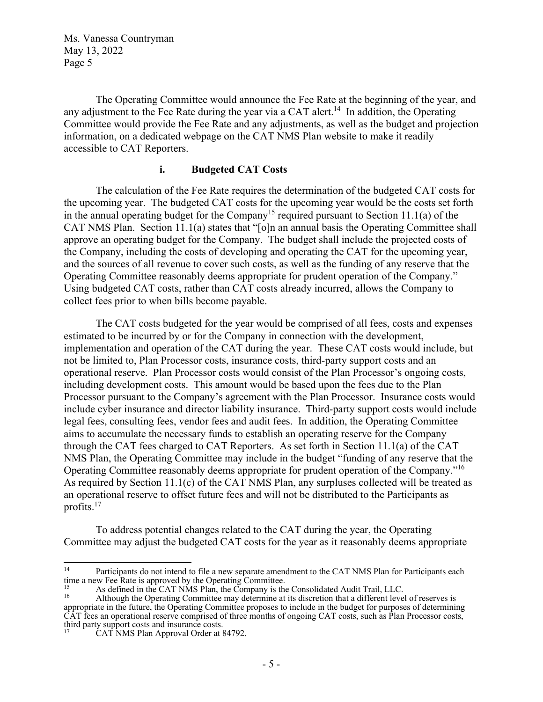The Operating Committee would announce the Fee Rate at the beginning of the year, and any adjustment to the Fee Rate during the year via a CAT alert.<sup>14</sup> In addition, the Operating Committee would provide the Fee Rate and any adjustments, as well as the budget and projection information, on a dedicated webpage on the CAT NMS Plan website to make it readily accessible to CAT Reporters.

### **i. Budgeted CAT Costs**

The calculation of the Fee Rate requires the determination of the budgeted CAT costs for the upcoming year. The budgeted CAT costs for the upcoming year would be the costs set forth in the annual operating budget for the Company<sup>15</sup> required pursuant to Section 11.1(a) of the CAT NMS Plan. Section 11.1(a) states that "[o]n an annual basis the Operating Committee shall approve an operating budget for the Company. The budget shall include the projected costs of the Company, including the costs of developing and operating the CAT for the upcoming year, and the sources of all revenue to cover such costs, as well as the funding of any reserve that the Operating Committee reasonably deems appropriate for prudent operation of the Company." Using budgeted CAT costs, rather than CAT costs already incurred, allows the Company to collect fees prior to when bills become payable.

The CAT costs budgeted for the year would be comprised of all fees, costs and expenses estimated to be incurred by or for the Company in connection with the development, implementation and operation of the CAT during the year. These CAT costs would include, but not be limited to, Plan Processor costs, insurance costs, third-party support costs and an operational reserve. Plan Processor costs would consist of the Plan Processor's ongoing costs, including development costs. This amount would be based upon the fees due to the Plan Processor pursuant to the Company's agreement with the Plan Processor. Insurance costs would include cyber insurance and director liability insurance. Third-party support costs would include legal fees, consulting fees, vendor fees and audit fees. In addition, the Operating Committee aims to accumulate the necessary funds to establish an operating reserve for the Company through the CAT fees charged to CAT Reporters. As set forth in Section 11.1(a) of the CAT NMS Plan, the Operating Committee may include in the budget "funding of any reserve that the Operating Committee reasonably deems appropriate for prudent operation of the Company."16 As required by Section 11.1(c) of the CAT NMS Plan, any surpluses collected will be treated as an operational reserve to offset future fees and will not be distributed to the Participants as profits. $17$ 

To address potential changes related to the CAT during the year, the Operating Committee may adjust the budgeted CAT costs for the year as it reasonably deems appropriate

<sup>&</sup>lt;sup>14</sup> Participants do not intend to file a new separate amendment to the CAT NMS Plan for Participants each time a new Fee Rate is approved by the Operating Committee.<br><sup>15</sup> As defined in the CAT NMS Plan, the Company is the Consolidated Audit Trail, LLC.

<sup>16</sup> as defined in the CAT NMS Plan, the Company is the Companion Plan, LLCC.<br><sup>16</sup> Although the Operating Committee may determine at its discretion that a different level of reserves is appropriate in the future, the Operating Committee proposes to include in the budget for purposes of determining CAT fees an operational reserve comprised of three months of ongoing CAT costs, such as Plan Processor costs, third party support costs and insurance costs.

CAT NMS Plan Approval Order at 84792.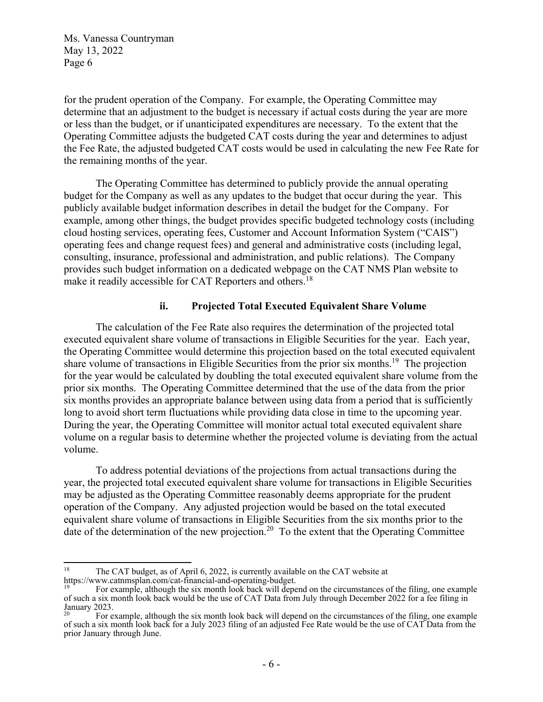for the prudent operation of the Company. For example, the Operating Committee may determine that an adjustment to the budget is necessary if actual costs during the year are more or less than the budget, or if unanticipated expenditures are necessary. To the extent that the Operating Committee adjusts the budgeted CAT costs during the year and determines to adjust the Fee Rate, the adjusted budgeted CAT costs would be used in calculating the new Fee Rate for the remaining months of the year.

The Operating Committee has determined to publicly provide the annual operating budget for the Company as well as any updates to the budget that occur during the year. This publicly available budget information describes in detail the budget for the Company. For example, among other things, the budget provides specific budgeted technology costs (including cloud hosting services, operating fees, Customer and Account Information System ("CAIS") operating fees and change request fees) and general and administrative costs (including legal, consulting, insurance, professional and administration, and public relations). The Company provides such budget information on a dedicated webpage on the CAT NMS Plan website to make it readily accessible for CAT Reporters and others.<sup>18</sup>

### **ii. Projected Total Executed Equivalent Share Volume**

The calculation of the Fee Rate also requires the determination of the projected total executed equivalent share volume of transactions in Eligible Securities for the year. Each year, the Operating Committee would determine this projection based on the total executed equivalent share volume of transactions in Eligible Securities from the prior six months.<sup>19</sup> The projection for the year would be calculated by doubling the total executed equivalent share volume from the prior six months. The Operating Committee determined that the use of the data from the prior six months provides an appropriate balance between using data from a period that is sufficiently long to avoid short term fluctuations while providing data close in time to the upcoming year. During the year, the Operating Committee will monitor actual total executed equivalent share volume on a regular basis to determine whether the projected volume is deviating from the actual volume.

To address potential deviations of the projections from actual transactions during the year, the projected total executed equivalent share volume for transactions in Eligible Securities may be adjusted as the Operating Committee reasonably deems appropriate for the prudent operation of the Company. Any adjusted projection would be based on the total executed equivalent share volume of transactions in Eligible Securities from the six months prior to the date of the determination of the new projection.<sup>20</sup> To the extent that the Operating Committee

<sup>&</sup>lt;sup>18</sup> The CAT budget, as of April 6, 2022, is currently available on the CAT website at https://www.catnmsplan.com/cat-financial-and-operating-budget.

For example, although the six month look back will depend on the circumstances of the filing, one example of such a six month look back would be the use of CAT Data from July through December 2022 for a fee filing in January 2023.

<sup>20</sup> For example, although the six month look back will depend on the circumstances of the filing, one example of such a six month look back for a July 2023 filing of an adjusted Fee Rate would be the use of CAT Data from the prior January through June.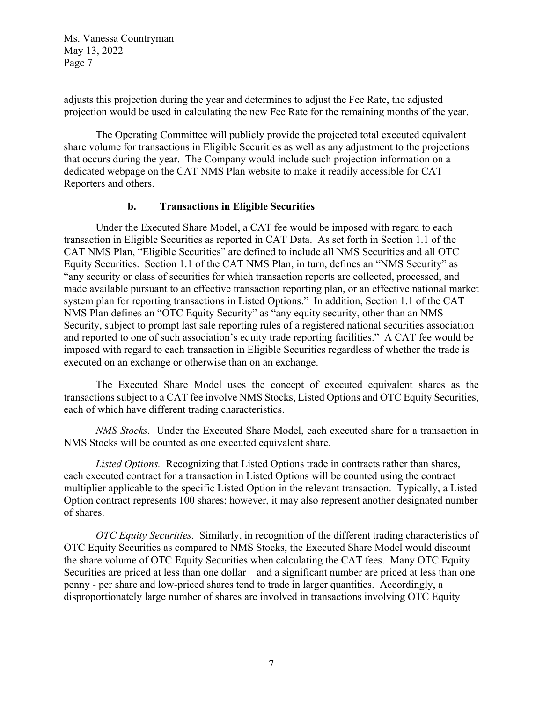adjusts this projection during the year and determines to adjust the Fee Rate, the adjusted projection would be used in calculating the new Fee Rate for the remaining months of the year.

The Operating Committee will publicly provide the projected total executed equivalent share volume for transactions in Eligible Securities as well as any adjustment to the projections that occurs during the year. The Company would include such projection information on a dedicated webpage on the CAT NMS Plan website to make it readily accessible for CAT Reporters and others.

## **b. Transactions in Eligible Securities**

Under the Executed Share Model, a CAT fee would be imposed with regard to each transaction in Eligible Securities as reported in CAT Data. As set forth in Section 1.1 of the CAT NMS Plan, "Eligible Securities" are defined to include all NMS Securities and all OTC Equity Securities. Section 1.1 of the CAT NMS Plan, in turn, defines an "NMS Security" as "any security or class of securities for which transaction reports are collected, processed, and made available pursuant to an effective transaction reporting plan, or an effective national market system plan for reporting transactions in Listed Options." In addition, Section 1.1 of the CAT NMS Plan defines an "OTC Equity Security" as "any equity security, other than an NMS Security, subject to prompt last sale reporting rules of a registered national securities association and reported to one of such association's equity trade reporting facilities." A CAT fee would be imposed with regard to each transaction in Eligible Securities regardless of whether the trade is executed on an exchange or otherwise than on an exchange.

The Executed Share Model uses the concept of executed equivalent shares as the transactions subject to a CAT fee involve NMS Stocks, Listed Options and OTC Equity Securities, each of which have different trading characteristics.

*NMS Stocks*. Under the Executed Share Model, each executed share for a transaction in NMS Stocks will be counted as one executed equivalent share.

*Listed Options.* Recognizing that Listed Options trade in contracts rather than shares, each executed contract for a transaction in Listed Options will be counted using the contract multiplier applicable to the specific Listed Option in the relevant transaction. Typically, a Listed Option contract represents 100 shares; however, it may also represent another designated number of shares.

*OTC Equity Securities*. Similarly, in recognition of the different trading characteristics of OTC Equity Securities as compared to NMS Stocks, the Executed Share Model would discount the share volume of OTC Equity Securities when calculating the CAT fees. Many OTC Equity Securities are priced at less than one dollar – and a significant number are priced at less than one penny - per share and low-priced shares tend to trade in larger quantities. Accordingly, a disproportionately large number of shares are involved in transactions involving OTC Equity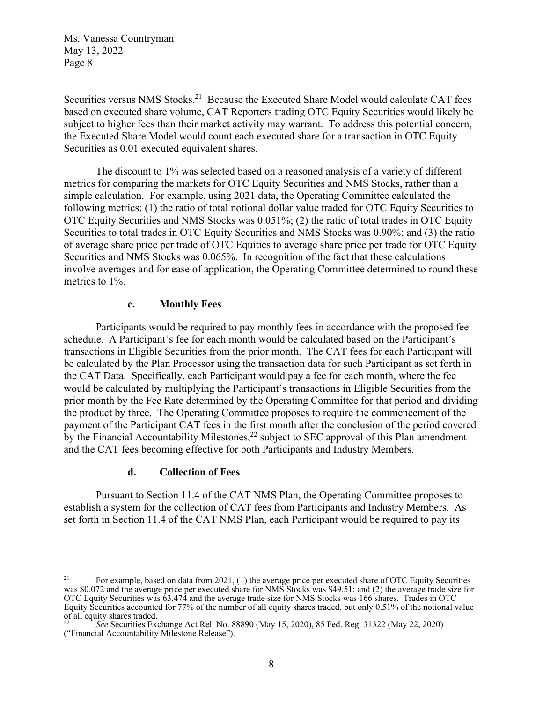Securities versus NMS Stocks.<sup>21</sup> Because the Executed Share Model would calculate CAT fees based on executed share volume, CAT Reporters trading OTC Equity Securities would likely be subject to higher fees than their market activity may warrant. To address this potential concern, the Executed Share Model would count each executed share for a transaction in OTC Equity Securities as 0.01 executed equivalent shares.

The discount to 1% was selected based on a reasoned analysis of a variety of different metrics for comparing the markets for OTC Equity Securities and NMS Stocks, rather than a simple calculation. For example, using 2021 data, the Operating Committee calculated the following metrics: (1) the ratio of total notional dollar value traded for OTC Equity Securities to OTC Equity Securities and NMS Stocks was 0.051%; (2) the ratio of total trades in OTC Equity Securities to total trades in OTC Equity Securities and NMS Stocks was 0.90%; and (3) the ratio of average share price per trade of OTC Equities to average share price per trade for OTC Equity Securities and NMS Stocks was 0.065%. In recognition of the fact that these calculations involve averages and for ease of application, the Operating Committee determined to round these metrics to 1%.

### **c. Monthly Fees**

Participants would be required to pay monthly fees in accordance with the proposed fee schedule. A Participant's fee for each month would be calculated based on the Participant's transactions in Eligible Securities from the prior month. The CAT fees for each Participant will be calculated by the Plan Processor using the transaction data for such Participant as set forth in the CAT Data. Specifically, each Participant would pay a fee for each month, where the fee would be calculated by multiplying the Participant's transactions in Eligible Securities from the prior month by the Fee Rate determined by the Operating Committee for that period and dividing the product by three. The Operating Committee proposes to require the commencement of the payment of the Participant CAT fees in the first month after the conclusion of the period covered by the Financial Accountability Milestones,<sup>22</sup> subject to SEC approval of this Plan amendment and the CAT fees becoming effective for both Participants and Industry Members.

#### **d. Collection of Fees**

 Pursuant to Section 11.4 of the CAT NMS Plan, the Operating Committee proposes to establish a system for the collection of CAT fees from Participants and Industry Members. As set forth in Section 11.4 of the CAT NMS Plan, each Participant would be required to pay its

<sup>&</sup>lt;sup>21</sup> For example, based on data from 2021, (1) the average price per executed share of OTC Equity Securities was \$0.072 and the average price per executed share for NMS Stocks was \$49.51; and (2) the average trade size for OTC Equity Securities was 63,474 and the average trade size for NMS Stocks was 166 shares. Trades in OTC Equity Securities accounted for 77% of the number of all equity shares traded, but only 0.51% of the notional value of all equity shares traded.

<sup>22</sup> *See* Securities Exchange Act Rel. No. 88890 (May 15, 2020), 85 Fed. Reg. 31322 (May 22, 2020) ("Financial Accountability Milestone Release").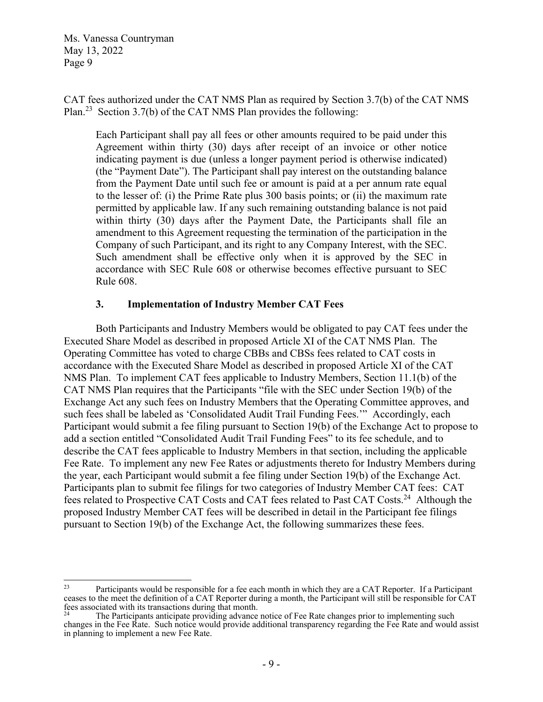CAT fees authorized under the CAT NMS Plan as required by Section 3.7(b) of the CAT NMS Plan.23 Section 3.7(b) of the CAT NMS Plan provides the following:

Each Participant shall pay all fees or other amounts required to be paid under this Agreement within thirty (30) days after receipt of an invoice or other notice indicating payment is due (unless a longer payment period is otherwise indicated) (the "Payment Date"). The Participant shall pay interest on the outstanding balance from the Payment Date until such fee or amount is paid at a per annum rate equal to the lesser of: (i) the Prime Rate plus 300 basis points; or (ii) the maximum rate permitted by applicable law. If any such remaining outstanding balance is not paid within thirty (30) days after the Payment Date, the Participants shall file an amendment to this Agreement requesting the termination of the participation in the Company of such Participant, and its right to any Company Interest, with the SEC. Such amendment shall be effective only when it is approved by the SEC in accordance with SEC Rule 608 or otherwise becomes effective pursuant to SEC Rule 608.

### **3. Implementation of Industry Member CAT Fees**

Both Participants and Industry Members would be obligated to pay CAT fees under the Executed Share Model as described in proposed Article XI of the CAT NMS Plan. The Operating Committee has voted to charge CBBs and CBSs fees related to CAT costs in accordance with the Executed Share Model as described in proposed Article XI of the CAT NMS Plan. To implement CAT fees applicable to Industry Members, Section 11.1(b) of the CAT NMS Plan requires that the Participants "file with the SEC under Section 19(b) of the Exchange Act any such fees on Industry Members that the Operating Committee approves, and such fees shall be labeled as 'Consolidated Audit Trail Funding Fees.'" Accordingly, each Participant would submit a fee filing pursuant to Section 19(b) of the Exchange Act to propose to add a section entitled "Consolidated Audit Trail Funding Fees" to its fee schedule, and to describe the CAT fees applicable to Industry Members in that section, including the applicable Fee Rate. To implement any new Fee Rates or adjustments thereto for Industry Members during the year, each Participant would submit a fee filing under Section 19(b) of the Exchange Act. Participants plan to submit fee filings for two categories of Industry Member CAT fees: CAT fees related to Prospective CAT Costs and CAT fees related to Past CAT Costs.24 Although the proposed Industry Member CAT fees will be described in detail in the Participant fee filings pursuant to Section 19(b) of the Exchange Act, the following summarizes these fees.

<sup>&</sup>lt;sup>23</sup> Participants would be responsible for a fee each month in which they are a CAT Reporter. If a Participant ceases to the meet the definition of a CAT Reporter during a month, the Participant will still be responsible for CAT fees associated with its transactions during that month.

The Participants anticipate providing advance notice of Fee Rate changes prior to implementing such changes in the Fee Rate. Such notice would provide additional transparency regarding the Fee Rate and would assist in planning to implement a new Fee Rate.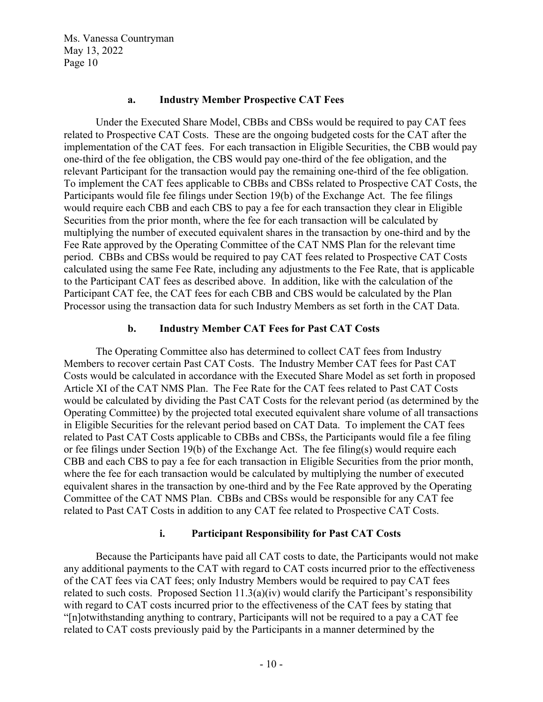#### **a. Industry Member Prospective CAT Fees**

Under the Executed Share Model, CBBs and CBSs would be required to pay CAT fees related to Prospective CAT Costs. These are the ongoing budgeted costs for the CAT after the implementation of the CAT fees. For each transaction in Eligible Securities, the CBB would pay one-third of the fee obligation, the CBS would pay one-third of the fee obligation, and the relevant Participant for the transaction would pay the remaining one-third of the fee obligation. To implement the CAT fees applicable to CBBs and CBSs related to Prospective CAT Costs, the Participants would file fee filings under Section 19(b) of the Exchange Act. The fee filings would require each CBB and each CBS to pay a fee for each transaction they clear in Eligible Securities from the prior month, where the fee for each transaction will be calculated by multiplying the number of executed equivalent shares in the transaction by one-third and by the Fee Rate approved by the Operating Committee of the CAT NMS Plan for the relevant time period. CBBs and CBSs would be required to pay CAT fees related to Prospective CAT Costs calculated using the same Fee Rate, including any adjustments to the Fee Rate, that is applicable to the Participant CAT fees as described above. In addition, like with the calculation of the Participant CAT fee, the CAT fees for each CBB and CBS would be calculated by the Plan Processor using the transaction data for such Industry Members as set forth in the CAT Data.

#### **b. Industry Member CAT Fees for Past CAT Costs**

The Operating Committee also has determined to collect CAT fees from Industry Members to recover certain Past CAT Costs. The Industry Member CAT fees for Past CAT Costs would be calculated in accordance with the Executed Share Model as set forth in proposed Article XI of the CAT NMS Plan. The Fee Rate for the CAT fees related to Past CAT Costs would be calculated by dividing the Past CAT Costs for the relevant period (as determined by the Operating Committee) by the projected total executed equivalent share volume of all transactions in Eligible Securities for the relevant period based on CAT Data. To implement the CAT fees related to Past CAT Costs applicable to CBBs and CBSs, the Participants would file a fee filing or fee filings under Section 19(b) of the Exchange Act. The fee filing(s) would require each CBB and each CBS to pay a fee for each transaction in Eligible Securities from the prior month, where the fee for each transaction would be calculated by multiplying the number of executed equivalent shares in the transaction by one-third and by the Fee Rate approved by the Operating Committee of the CAT NMS Plan. CBBs and CBSs would be responsible for any CAT fee related to Past CAT Costs in addition to any CAT fee related to Prospective CAT Costs.

#### **i. Participant Responsibility for Past CAT Costs**

Because the Participants have paid all CAT costs to date, the Participants would not make any additional payments to the CAT with regard to CAT costs incurred prior to the effectiveness of the CAT fees via CAT fees; only Industry Members would be required to pay CAT fees related to such costs. Proposed Section  $11.3(a)(iv)$  would clarify the Participant's responsibility with regard to CAT costs incurred prior to the effectiveness of the CAT fees by stating that "[n]otwithstanding anything to contrary, Participants will not be required to a pay a CAT fee related to CAT costs previously paid by the Participants in a manner determined by the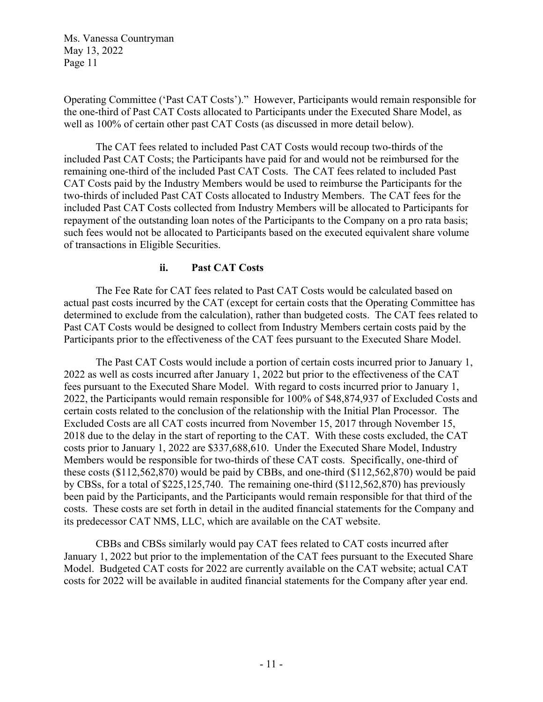Operating Committee ('Past CAT Costs')." However, Participants would remain responsible for the one-third of Past CAT Costs allocated to Participants under the Executed Share Model, as well as 100% of certain other past CAT Costs (as discussed in more detail below).

The CAT fees related to included Past CAT Costs would recoup two-thirds of the included Past CAT Costs; the Participants have paid for and would not be reimbursed for the remaining one-third of the included Past CAT Costs. The CAT fees related to included Past CAT Costs paid by the Industry Members would be used to reimburse the Participants for the two-thirds of included Past CAT Costs allocated to Industry Members. The CAT fees for the included Past CAT Costs collected from Industry Members will be allocated to Participants for repayment of the outstanding loan notes of the Participants to the Company on a pro rata basis; such fees would not be allocated to Participants based on the executed equivalent share volume of transactions in Eligible Securities.

## **ii. Past CAT Costs**

The Fee Rate for CAT fees related to Past CAT Costs would be calculated based on actual past costs incurred by the CAT (except for certain costs that the Operating Committee has determined to exclude from the calculation), rather than budgeted costs. The CAT fees related to Past CAT Costs would be designed to collect from Industry Members certain costs paid by the Participants prior to the effectiveness of the CAT fees pursuant to the Executed Share Model.

The Past CAT Costs would include a portion of certain costs incurred prior to January 1, 2022 as well as costs incurred after January 1, 2022 but prior to the effectiveness of the CAT fees pursuant to the Executed Share Model. With regard to costs incurred prior to January 1, 2022, the Participants would remain responsible for 100% of \$48,874,937 of Excluded Costs and certain costs related to the conclusion of the relationship with the Initial Plan Processor. The Excluded Costs are all CAT costs incurred from November 15, 2017 through November 15, 2018 due to the delay in the start of reporting to the CAT. With these costs excluded, the CAT costs prior to January 1, 2022 are \$337,688,610. Under the Executed Share Model, Industry Members would be responsible for two-thirds of these CAT costs. Specifically, one-third of these costs (\$112,562,870) would be paid by CBBs, and one-third (\$112,562,870) would be paid by CBSs, for a total of \$225,125,740. The remaining one-third (\$112,562,870) has previously been paid by the Participants, and the Participants would remain responsible for that third of the costs. These costs are set forth in detail in the audited financial statements for the Company and its predecessor CAT NMS, LLC, which are available on the CAT website.

CBBs and CBSs similarly would pay CAT fees related to CAT costs incurred after January 1, 2022 but prior to the implementation of the CAT fees pursuant to the Executed Share Model. Budgeted CAT costs for 2022 are currently available on the CAT website; actual CAT costs for 2022 will be available in audited financial statements for the Company after year end.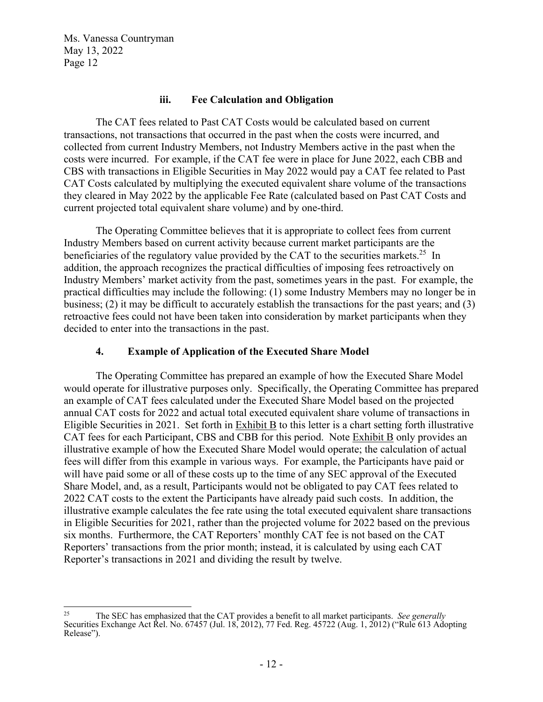#### **iii. Fee Calculation and Obligation**

The CAT fees related to Past CAT Costs would be calculated based on current transactions, not transactions that occurred in the past when the costs were incurred, and collected from current Industry Members, not Industry Members active in the past when the costs were incurred. For example, if the CAT fee were in place for June 2022, each CBB and CBS with transactions in Eligible Securities in May 2022 would pay a CAT fee related to Past CAT Costs calculated by multiplying the executed equivalent share volume of the transactions they cleared in May 2022 by the applicable Fee Rate (calculated based on Past CAT Costs and current projected total equivalent share volume) and by one-third.

The Operating Committee believes that it is appropriate to collect fees from current Industry Members based on current activity because current market participants are the beneficiaries of the regulatory value provided by the CAT to the securities markets.<sup>25</sup> In addition, the approach recognizes the practical difficulties of imposing fees retroactively on Industry Members' market activity from the past, sometimes years in the past. For example, the practical difficulties may include the following: (1) some Industry Members may no longer be in business; (2) it may be difficult to accurately establish the transactions for the past years; and (3) retroactive fees could not have been taken into consideration by market participants when they decided to enter into the transactions in the past.

### **4. Example of Application of the Executed Share Model**

 The Operating Committee has prepared an example of how the Executed Share Model would operate for illustrative purposes only. Specifically, the Operating Committee has prepared an example of CAT fees calculated under the Executed Share Model based on the projected annual CAT costs for 2022 and actual total executed equivalent share volume of transactions in Eligible Securities in 2021. Set forth in Exhibit B to this letter is a chart setting forth illustrative CAT fees for each Participant, CBS and CBB for this period. Note Exhibit B only provides an illustrative example of how the Executed Share Model would operate; the calculation of actual fees will differ from this example in various ways. For example, the Participants have paid or will have paid some or all of these costs up to the time of any SEC approval of the Executed Share Model, and, as a result, Participants would not be obligated to pay CAT fees related to 2022 CAT costs to the extent the Participants have already paid such costs. In addition, the illustrative example calculates the fee rate using the total executed equivalent share transactions in Eligible Securities for 2021, rather than the projected volume for 2022 based on the previous six months. Furthermore, the CAT Reporters' monthly CAT fee is not based on the CAT Reporters' transactions from the prior month; instead, it is calculated by using each CAT Reporter's transactions in 2021 and dividing the result by twelve.

<sup>25</sup> The SEC has emphasized that the CAT provides a benefit to all market participants. *See generally* Securities Exchange Act Rel. No. 67457 (Jul. 18, 2012), 77 Fed. Reg. 45722 (Aug. 1, 2012) ("Rule 613 Adopting Release").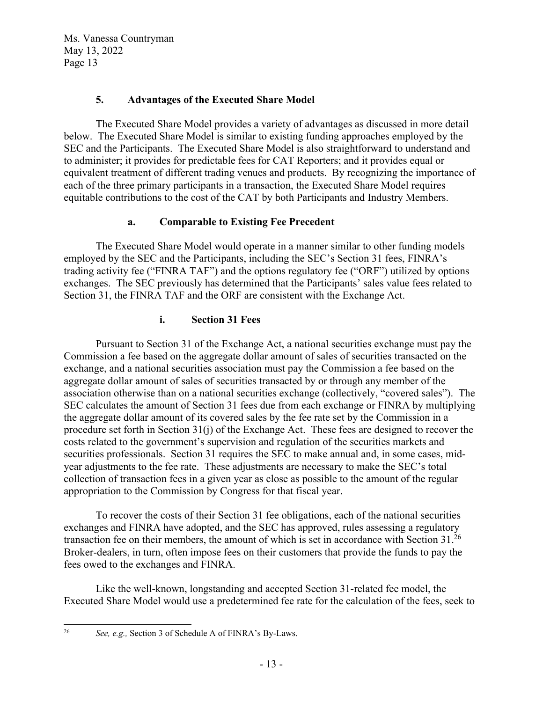## **5. Advantages of the Executed Share Model**

The Executed Share Model provides a variety of advantages as discussed in more detail below. The Executed Share Model is similar to existing funding approaches employed by the SEC and the Participants. The Executed Share Model is also straightforward to understand and to administer; it provides for predictable fees for CAT Reporters; and it provides equal or equivalent treatment of different trading venues and products. By recognizing the importance of each of the three primary participants in a transaction, the Executed Share Model requires equitable contributions to the cost of the CAT by both Participants and Industry Members.

## **a. Comparable to Existing Fee Precedent**

The Executed Share Model would operate in a manner similar to other funding models employed by the SEC and the Participants, including the SEC's Section 31 fees, FINRA's trading activity fee ("FINRA TAF") and the options regulatory fee ("ORF") utilized by options exchanges. The SEC previously has determined that the Participants' sales value fees related to Section 31, the FINRA TAF and the ORF are consistent with the Exchange Act.

## **i. Section 31 Fees**

Pursuant to Section 31 of the Exchange Act, a national securities exchange must pay the Commission a fee based on the aggregate dollar amount of sales of securities transacted on the exchange, and a national securities association must pay the Commission a fee based on the aggregate dollar amount of sales of securities transacted by or through any member of the association otherwise than on a national securities exchange (collectively, "covered sales"). The SEC calculates the amount of Section 31 fees due from each exchange or FINRA by multiplying the aggregate dollar amount of its covered sales by the fee rate set by the Commission in a procedure set forth in Section 31(j) of the Exchange Act. These fees are designed to recover the costs related to the government's supervision and regulation of the securities markets and securities professionals. Section 31 requires the SEC to make annual and, in some cases, midyear adjustments to the fee rate. These adjustments are necessary to make the SEC's total collection of transaction fees in a given year as close as possible to the amount of the regular appropriation to the Commission by Congress for that fiscal year.

To recover the costs of their Section 31 fee obligations, each of the national securities exchanges and FINRA have adopted, and the SEC has approved, rules assessing a regulatory transaction fee on their members, the amount of which is set in accordance with Section 31.<sup>26</sup> Broker-dealers, in turn, often impose fees on their customers that provide the funds to pay the fees owed to the exchanges and FINRA.

Like the well-known, longstanding and accepted Section 31-related fee model, the Executed Share Model would use a predetermined fee rate for the calculation of the fees, seek to

<sup>26</sup> *See, e.g.,* Section 3 of Schedule A of FINRA's By-Laws.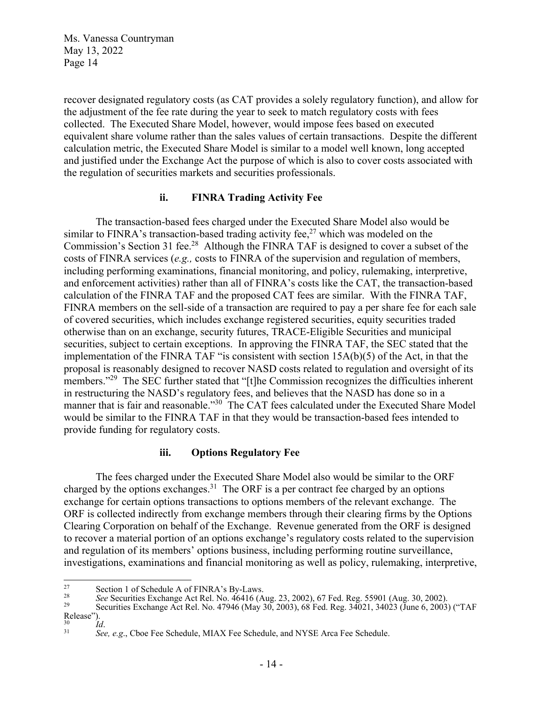recover designated regulatory costs (as CAT provides a solely regulatory function), and allow for the adjustment of the fee rate during the year to seek to match regulatory costs with fees collected. The Executed Share Model, however, would impose fees based on executed equivalent share volume rather than the sales values of certain transactions. Despite the different calculation metric, the Executed Share Model is similar to a model well known, long accepted and justified under the Exchange Act the purpose of which is also to cover costs associated with the regulation of securities markets and securities professionals.

### **ii. FINRA Trading Activity Fee**

The transaction-based fees charged under the Executed Share Model also would be similar to FINRA's transaction-based trading activity fee, $27$  which was modeled on the Commission's Section 31 fee.<sup>28</sup> Although the FINRA TAF is designed to cover a subset of the costs of FINRA services (*e.g.,* costs to FINRA of the supervision and regulation of members, including performing examinations, financial monitoring, and policy, rulemaking, interpretive, and enforcement activities) rather than all of FINRA's costs like the CAT, the transaction-based calculation of the FINRA TAF and the proposed CAT fees are similar. With the FINRA TAF, FINRA members on the sell-side of a transaction are required to pay a per share fee for each sale of covered securities, which includes exchange registered securities, equity securities traded otherwise than on an exchange, security futures, TRACE-Eligible Securities and municipal securities, subject to certain exceptions. In approving the FINRA TAF, the SEC stated that the implementation of the FINRA TAF "is consistent with section 15A(b)(5) of the Act, in that the proposal is reasonably designed to recover NASD costs related to regulation and oversight of its members."<sup>29</sup> The SEC further stated that "[t]he Commission recognizes the difficulties inherent in restructuring the NASD's regulatory fees, and believes that the NASD has done so in a manner that is fair and reasonable."<sup>30</sup> The CAT fees calculated under the Executed Share Model would be similar to the FINRA TAF in that they would be transaction-based fees intended to provide funding for regulatory costs.

#### **iii. Options Regulatory Fee**

The fees charged under the Executed Share Model also would be similar to the ORF charged by the options exchanges.<sup>31</sup> The ORF is a per contract fee charged by an options exchange for certain options transactions to options members of the relevant exchange. The ORF is collected indirectly from exchange members through their clearing firms by the Options Clearing Corporation on behalf of the Exchange. Revenue generated from the ORF is designed to recover a material portion of an options exchange's regulatory costs related to the supervision and regulation of its members' options business, including performing routine surveillance, investigations, examinations and financial monitoring as well as policy, rulemaking, interpretive,

<sup>&</sup>lt;sup>27</sup><br>Securities Exchange Act Rel. No. 46416 (Aug. 23, 2002), 67 Fed. Reg. 55901 (Aug. 30, 2002).<br>Securities Exchange Act Rel. No. 47946 (May 30, 2003), 68 Fed. Reg. 34021, 34023 (June 6, 2003) ("TAF Release").<br> $\frac{1}{30}$ 

<sup>&</sup>lt;sup>31</sup> *See, e.g.*, Cboe Fee Schedule, MIAX Fee Schedule, and NYSE Arca Fee Schedule.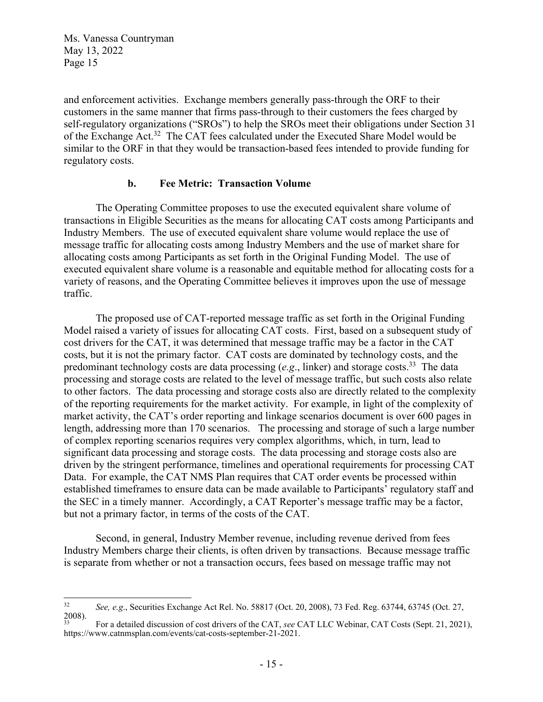and enforcement activities. Exchange members generally pass-through the ORF to their customers in the same manner that firms pass-through to their customers the fees charged by self-regulatory organizations ("SROs") to help the SROs meet their obligations under Section 31 of the Exchange Act.<sup>32</sup> The CAT fees calculated under the Executed Share Model would be similar to the ORF in that they would be transaction-based fees intended to provide funding for regulatory costs.

#### **b. Fee Metric: Transaction Volume**

The Operating Committee proposes to use the executed equivalent share volume of transactions in Eligible Securities as the means for allocating CAT costs among Participants and Industry Members. The use of executed equivalent share volume would replace the use of message traffic for allocating costs among Industry Members and the use of market share for allocating costs among Participants as set forth in the Original Funding Model. The use of executed equivalent share volume is a reasonable and equitable method for allocating costs for a variety of reasons, and the Operating Committee believes it improves upon the use of message traffic.

The proposed use of CAT-reported message traffic as set forth in the Original Funding Model raised a variety of issues for allocating CAT costs. First, based on a subsequent study of cost drivers for the CAT, it was determined that message traffic may be a factor in the CAT costs, but it is not the primary factor. CAT costs are dominated by technology costs, and the predominant technology costs are data processing  $(e.g.,\text{ linker})$  and storage costs.<sup>33</sup> The data processing and storage costs are related to the level of message traffic, but such costs also relate to other factors. The data processing and storage costs also are directly related to the complexity of the reporting requirements for the market activity. For example, in light of the complexity of market activity, the CAT's order reporting and linkage scenarios document is over 600 pages in length, addressing more than 170 scenarios. The processing and storage of such a large number of complex reporting scenarios requires very complex algorithms, which, in turn, lead to significant data processing and storage costs. The data processing and storage costs also are driven by the stringent performance, timelines and operational requirements for processing CAT Data. For example, the CAT NMS Plan requires that CAT order events be processed within established timeframes to ensure data can be made available to Participants' regulatory staff and the SEC in a timely manner. Accordingly, a CAT Reporter's message traffic may be a factor, but not a primary factor, in terms of the costs of the CAT.

Second, in general, Industry Member revenue, including revenue derived from fees Industry Members charge their clients, is often driven by transactions. Because message traffic is separate from whether or not a transaction occurs, fees based on message traffic may not

<sup>32</sup> *See, e.g*., Securities Exchange Act Rel. No. 58817 (Oct. 20, 2008), 73 Fed. Reg. 63744, 63745 (Oct. 27,  $2008$ ).

<sup>33</sup> For a detailed discussion of cost drivers of the CAT, *see* CAT LLC Webinar, CAT Costs (Sept. 21, 2021), https://www.catnmsplan.com/events/cat-costs-september-21-2021.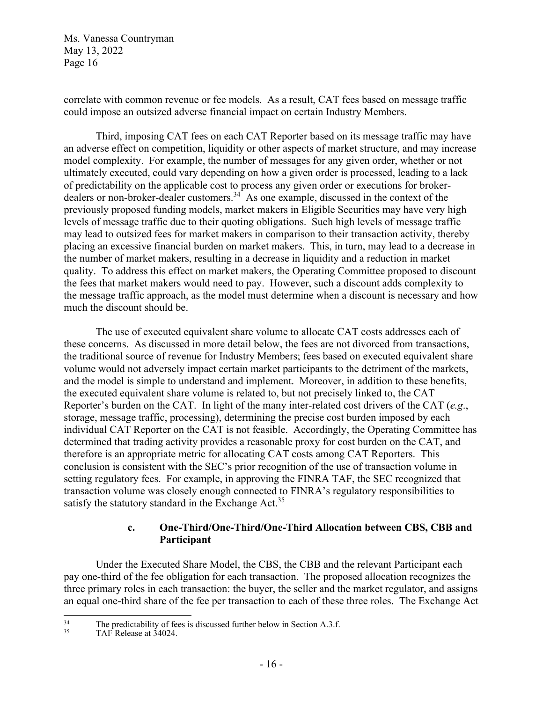correlate with common revenue or fee models. As a result, CAT fees based on message traffic could impose an outsized adverse financial impact on certain Industry Members.

Third, imposing CAT fees on each CAT Reporter based on its message traffic may have an adverse effect on competition, liquidity or other aspects of market structure, and may increase model complexity. For example, the number of messages for any given order, whether or not ultimately executed, could vary depending on how a given order is processed, leading to a lack of predictability on the applicable cost to process any given order or executions for brokerdealers or non-broker-dealer customers.<sup>34</sup> As one example, discussed in the context of the previously proposed funding models, market makers in Eligible Securities may have very high levels of message traffic due to their quoting obligations. Such high levels of message traffic may lead to outsized fees for market makers in comparison to their transaction activity, thereby placing an excessive financial burden on market makers. This, in turn, may lead to a decrease in the number of market makers, resulting in a decrease in liquidity and a reduction in market quality. To address this effect on market makers, the Operating Committee proposed to discount the fees that market makers would need to pay. However, such a discount adds complexity to the message traffic approach, as the model must determine when a discount is necessary and how much the discount should be.

The use of executed equivalent share volume to allocate CAT costs addresses each of these concerns. As discussed in more detail below, the fees are not divorced from transactions, the traditional source of revenue for Industry Members; fees based on executed equivalent share volume would not adversely impact certain market participants to the detriment of the markets, and the model is simple to understand and implement. Moreover, in addition to these benefits, the executed equivalent share volume is related to, but not precisely linked to, the CAT Reporter's burden on the CAT. In light of the many inter-related cost drivers of the CAT (*e.g*., storage, message traffic, processing), determining the precise cost burden imposed by each individual CAT Reporter on the CAT is not feasible. Accordingly, the Operating Committee has determined that trading activity provides a reasonable proxy for cost burden on the CAT, and therefore is an appropriate metric for allocating CAT costs among CAT Reporters. This conclusion is consistent with the SEC's prior recognition of the use of transaction volume in setting regulatory fees. For example, in approving the FINRA TAF, the SEC recognized that transaction volume was closely enough connected to FINRA's regulatory responsibilities to satisfy the statutory standard in the Exchange  $Act.^{35}$ .

## **c. One-Third/One-Third/One-Third Allocation between CBS, CBB and Participant**

Under the Executed Share Model, the CBS, the CBB and the relevant Participant each pay one-third of the fee obligation for each transaction. The proposed allocation recognizes the three primary roles in each transaction: the buyer, the seller and the market regulator, and assigns an equal one-third share of the fee per transaction to each of these three roles. The Exchange Act

<sup>&</sup>lt;sup>34</sup> The predictability of fees is discussed further below in Section A.3.f.<br> $TAF$  Pelesse at  $34024$ 

TAF Release at 34024.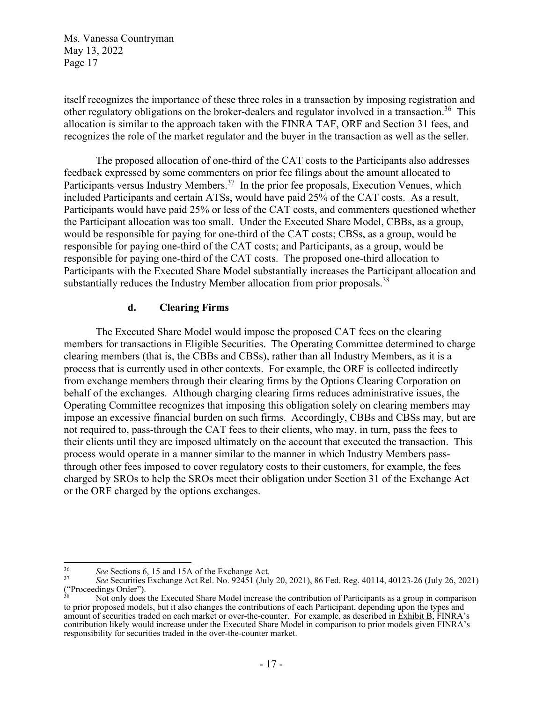itself recognizes the importance of these three roles in a transaction by imposing registration and other regulatory obligations on the broker-dealers and regulator involved in a transaction.<sup>36</sup> This allocation is similar to the approach taken with the FINRA TAF, ORF and Section 31 fees, and recognizes the role of the market regulator and the buyer in the transaction as well as the seller.

The proposed allocation of one-third of the CAT costs to the Participants also addresses feedback expressed by some commenters on prior fee filings about the amount allocated to Participants versus Industry Members.<sup>37</sup> In the prior fee proposals, Execution Venues, which included Participants and certain ATSs, would have paid 25% of the CAT costs. As a result, Participants would have paid 25% or less of the CAT costs, and commenters questioned whether the Participant allocation was too small. Under the Executed Share Model, CBBs, as a group, would be responsible for paying for one-third of the CAT costs; CBSs, as a group, would be responsible for paying one-third of the CAT costs; and Participants, as a group, would be responsible for paying one-third of the CAT costs. The proposed one-third allocation to Participants with the Executed Share Model substantially increases the Participant allocation and substantially reduces the Industry Member allocation from prior proposals.<sup>38</sup>

#### **d. Clearing Firms**

 The Executed Share Model would impose the proposed CAT fees on the clearing members for transactions in Eligible Securities. The Operating Committee determined to charge clearing members (that is, the CBBs and CBSs), rather than all Industry Members, as it is a process that is currently used in other contexts. For example, the ORF is collected indirectly from exchange members through their clearing firms by the Options Clearing Corporation on behalf of the exchanges. Although charging clearing firms reduces administrative issues, the Operating Committee recognizes that imposing this obligation solely on clearing members may impose an excessive financial burden on such firms. Accordingly, CBBs and CBSs may, but are not required to, pass-through the CAT fees to their clients, who may, in turn, pass the fees to their clients until they are imposed ultimately on the account that executed the transaction. This process would operate in a manner similar to the manner in which Industry Members passthrough other fees imposed to cover regulatory costs to their customers, for example, the fees charged by SROs to help the SROs meet their obligation under Section 31 of the Exchange Act or the ORF charged by the options exchanges.

<sup>36</sup>*See* Sections 6, 15 and 15A of the Exchange Act. 37 *See* Securities Exchange Act Rel. No. 92451 (July 20, 2021), 86 Fed. Reg. 40114, 40123-26 (July 26, 2021) ("Proceedings Order").

Not only does the Executed Share Model increase the contribution of Participants as a group in comparison to prior proposed models, but it also changes the contributions of each Participant, depending upon the types and amount of securities traded on each market or over-the-counter. For example, as described in Exhibit B, FINRA's contribution likely would increase under the Executed Share Model in comparison to prior models given FINRA's responsibility for securities traded in the over-the-counter market.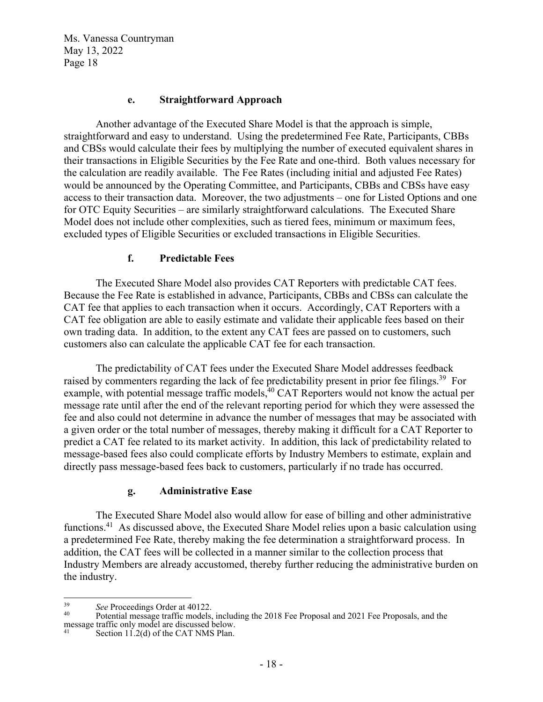#### **e. Straightforward Approach**

Another advantage of the Executed Share Model is that the approach is simple, straightforward and easy to understand. Using the predetermined Fee Rate, Participants, CBBs and CBSs would calculate their fees by multiplying the number of executed equivalent shares in their transactions in Eligible Securities by the Fee Rate and one-third. Both values necessary for the calculation are readily available. The Fee Rates (including initial and adjusted Fee Rates) would be announced by the Operating Committee, and Participants, CBBs and CBSs have easy access to their transaction data. Moreover, the two adjustments – one for Listed Options and one for OTC Equity Securities – are similarly straightforward calculations. The Executed Share Model does not include other complexities, such as tiered fees, minimum or maximum fees, excluded types of Eligible Securities or excluded transactions in Eligible Securities.

#### **f. Predictable Fees**

The Executed Share Model also provides CAT Reporters with predictable CAT fees. Because the Fee Rate is established in advance, Participants, CBBs and CBSs can calculate the CAT fee that applies to each transaction when it occurs. Accordingly, CAT Reporters with a CAT fee obligation are able to easily estimate and validate their applicable fees based on their own trading data. In addition, to the extent any CAT fees are passed on to customers, such customers also can calculate the applicable CAT fee for each transaction.

The predictability of CAT fees under the Executed Share Model addresses feedback raised by commenters regarding the lack of fee predictability present in prior fee filings.<sup>39</sup> For example, with potential message traffic models,<sup>40</sup> CAT Reporters would not know the actual per message rate until after the end of the relevant reporting period for which they were assessed the fee and also could not determine in advance the number of messages that may be associated with a given order or the total number of messages, thereby making it difficult for a CAT Reporter to predict a CAT fee related to its market activity. In addition, this lack of predictability related to message-based fees also could complicate efforts by Industry Members to estimate, explain and directly pass message-based fees back to customers, particularly if no trade has occurred.

#### **g. Administrative Ease**

The Executed Share Model also would allow for ease of billing and other administrative functions.41 As discussed above, the Executed Share Model relies upon a basic calculation using a predetermined Fee Rate, thereby making the fee determination a straightforward process. In addition, the CAT fees will be collected in a manner similar to the collection process that Industry Members are already accustomed, thereby further reducing the administrative burden on the industry.

<sup>&</sup>lt;sup>39</sup> See Proceedings Order at 40122.<br><sup>40</sup> Potential message traffic models, including the 2018 Fee Proposal and 2021 Fee Proposals, and the message traffic only model are discussed below.

Section 11.2(d) of the CAT NMS Plan.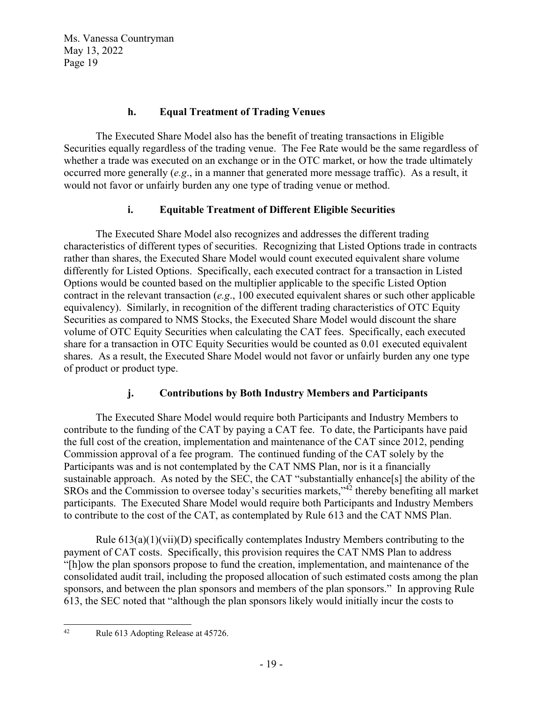## **h. Equal Treatment of Trading Venues**

The Executed Share Model also has the benefit of treating transactions in Eligible Securities equally regardless of the trading venue. The Fee Rate would be the same regardless of whether a trade was executed on an exchange or in the OTC market, or how the trade ultimately occurred more generally (*e.g*., in a manner that generated more message traffic). As a result, it would not favor or unfairly burden any one type of trading venue or method.

## **i. Equitable Treatment of Different Eligible Securities**

The Executed Share Model also recognizes and addresses the different trading characteristics of different types of securities. Recognizing that Listed Options trade in contracts rather than shares, the Executed Share Model would count executed equivalent share volume differently for Listed Options. Specifically, each executed contract for a transaction in Listed Options would be counted based on the multiplier applicable to the specific Listed Option contract in the relevant transaction (*e.g*., 100 executed equivalent shares or such other applicable equivalency). Similarly, in recognition of the different trading characteristics of OTC Equity Securities as compared to NMS Stocks, the Executed Share Model would discount the share volume of OTC Equity Securities when calculating the CAT fees. Specifically, each executed share for a transaction in OTC Equity Securities would be counted as 0.01 executed equivalent shares. As a result, the Executed Share Model would not favor or unfairly burden any one type of product or product type.

# **j. Contributions by Both Industry Members and Participants**

The Executed Share Model would require both Participants and Industry Members to contribute to the funding of the CAT by paying a CAT fee. To date, the Participants have paid the full cost of the creation, implementation and maintenance of the CAT since 2012, pending Commission approval of a fee program. The continued funding of the CAT solely by the Participants was and is not contemplated by the CAT NMS Plan, nor is it a financially sustainable approach. As noted by the SEC, the CAT "substantially enhance[s] the ability of the SROs and the Commission to oversee today's securities markets,"42 thereby benefiting all market participants. The Executed Share Model would require both Participants and Industry Members to contribute to the cost of the CAT, as contemplated by Rule 613 and the CAT NMS Plan.

Rule 613(a)(1)(vii)(D) specifically contemplates Industry Members contributing to the payment of CAT costs. Specifically, this provision requires the CAT NMS Plan to address "[h]ow the plan sponsors propose to fund the creation, implementation, and maintenance of the consolidated audit trail, including the proposed allocation of such estimated costs among the plan sponsors, and between the plan sponsors and members of the plan sponsors." In approving Rule 613, the SEC noted that "although the plan sponsors likely would initially incur the costs to

<sup>42</sup> Rule 613 Adopting Release at 45726.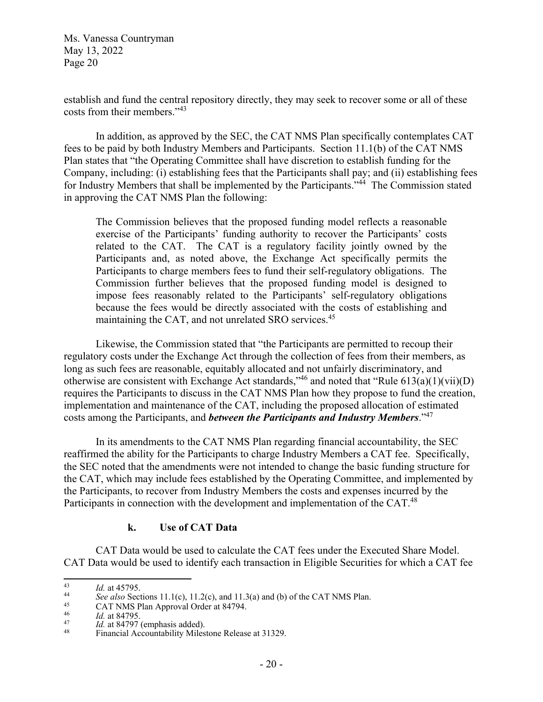establish and fund the central repository directly, they may seek to recover some or all of these costs from their members."43

In addition, as approved by the SEC, the CAT NMS Plan specifically contemplates CAT fees to be paid by both Industry Members and Participants. Section 11.1(b) of the CAT NMS Plan states that "the Operating Committee shall have discretion to establish funding for the Company, including: (i) establishing fees that the Participants shall pay; and (ii) establishing fees for Industry Members that shall be implemented by the Participants."<sup>44</sup> The Commission stated in approving the CAT NMS Plan the following:

The Commission believes that the proposed funding model reflects a reasonable exercise of the Participants' funding authority to recover the Participants' costs related to the CAT. The CAT is a regulatory facility jointly owned by the Participants and, as noted above, the Exchange Act specifically permits the Participants to charge members fees to fund their self-regulatory obligations. The Commission further believes that the proposed funding model is designed to impose fees reasonably related to the Participants' self-regulatory obligations because the fees would be directly associated with the costs of establishing and maintaining the CAT, and not unrelated SRO services.<sup>45</sup>

Likewise, the Commission stated that "the Participants are permitted to recoup their regulatory costs under the Exchange Act through the collection of fees from their members, as long as such fees are reasonable, equitably allocated and not unfairly discriminatory, and otherwise are consistent with Exchange Act standards,<sup> $346$ </sup> and noted that "Rule 613(a)(1)(vii)(D) requires the Participants to discuss in the CAT NMS Plan how they propose to fund the creation, implementation and maintenance of the CAT, including the proposed allocation of estimated costs among the Participants, and *between the Participants and Industry Members*."47

In its amendments to the CAT NMS Plan regarding financial accountability, the SEC reaffirmed the ability for the Participants to charge Industry Members a CAT fee. Specifically, the SEC noted that the amendments were not intended to change the basic funding structure for the CAT, which may include fees established by the Operating Committee, and implemented by the Participants, to recover from Industry Members the costs and expenses incurred by the Participants in connection with the development and implementation of the CAT.<sup>48</sup>

#### **k. Use of CAT Data**

CAT Data would be used to calculate the CAT fees under the Executed Share Model. CAT Data would be used to identify each transaction in Eligible Securities for which a CAT fee

<sup>14&</sup>lt;br> *Id.* at 45795.<br> *See also* Sections 11.1(c), 11.2(c), and 11.3(a) and (b) of the CAT NMS Plan.<br>
CAT NMS Plan Approval Order at 84794.<br> *Id.* at 84795.

<sup>&</sup>lt;sup>47</sup><br>*Id.* at 84797 (emphasis added).<br>Financial Accountability Milestone Release at 31329.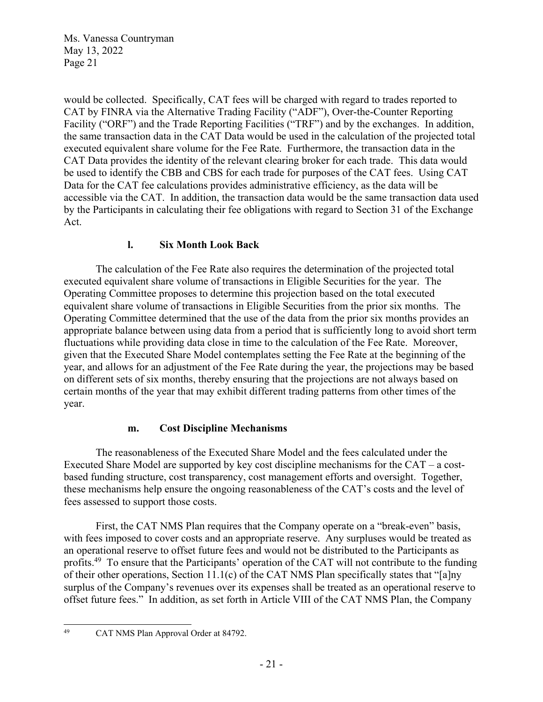would be collected. Specifically, CAT fees will be charged with regard to trades reported to CAT by FINRA via the Alternative Trading Facility ("ADF"), Over-the-Counter Reporting Facility ("ORF") and the Trade Reporting Facilities ("TRF") and by the exchanges. In addition, the same transaction data in the CAT Data would be used in the calculation of the projected total executed equivalent share volume for the Fee Rate. Furthermore, the transaction data in the CAT Data provides the identity of the relevant clearing broker for each trade. This data would be used to identify the CBB and CBS for each trade for purposes of the CAT fees. Using CAT Data for the CAT fee calculations provides administrative efficiency, as the data will be accessible via the CAT. In addition, the transaction data would be the same transaction data used by the Participants in calculating their fee obligations with regard to Section 31 of the Exchange Act.

# **l. Six Month Look Back**

The calculation of the Fee Rate also requires the determination of the projected total executed equivalent share volume of transactions in Eligible Securities for the year. The Operating Committee proposes to determine this projection based on the total executed equivalent share volume of transactions in Eligible Securities from the prior six months. The Operating Committee determined that the use of the data from the prior six months provides an appropriate balance between using data from a period that is sufficiently long to avoid short term fluctuations while providing data close in time to the calculation of the Fee Rate. Moreover, given that the Executed Share Model contemplates setting the Fee Rate at the beginning of the year, and allows for an adjustment of the Fee Rate during the year, the projections may be based on different sets of six months, thereby ensuring that the projections are not always based on certain months of the year that may exhibit different trading patterns from other times of the year.

# **m. Cost Discipline Mechanisms**

The reasonableness of the Executed Share Model and the fees calculated under the Executed Share Model are supported by key cost discipline mechanisms for the CAT – a costbased funding structure, cost transparency, cost management efforts and oversight. Together, these mechanisms help ensure the ongoing reasonableness of the CAT's costs and the level of fees assessed to support those costs.

First, the CAT NMS Plan requires that the Company operate on a "break-even" basis, with fees imposed to cover costs and an appropriate reserve. Any surpluses would be treated as an operational reserve to offset future fees and would not be distributed to the Participants as profits.<sup>49</sup> To ensure that the Participants' operation of the CAT will not contribute to the funding of their other operations, Section 11.1(c) of the CAT NMS Plan specifically states that "[a]ny surplus of the Company's revenues over its expenses shall be treated as an operational reserve to offset future fees." In addition, as set forth in Article VIII of the CAT NMS Plan, the Company

<sup>49</sup> CAT NMS Plan Approval Order at 84792.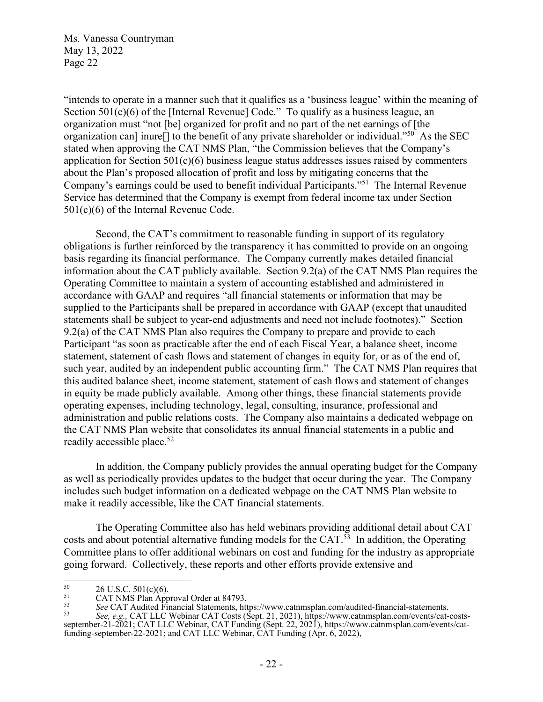"intends to operate in a manner such that it qualifies as a 'business league' within the meaning of Section 501(c)(6) of the [Internal Revenue] Code." To qualify as a business league, an organization must "not [be] organized for profit and no part of the net earnings of [the organization can] inure<sup>[]</sup> to the benefit of any private shareholder or individual."<sup>50</sup> As the SEC stated when approving the CAT NMS Plan, "the Commission believes that the Company's application for Section 501(c)(6) business league status addresses issues raised by commenters about the Plan's proposed allocation of profit and loss by mitigating concerns that the Company's earnings could be used to benefit individual Participants."51 The Internal Revenue Service has determined that the Company is exempt from federal income tax under Section 501(c)(6) of the Internal Revenue Code.

Second, the CAT's commitment to reasonable funding in support of its regulatory obligations is further reinforced by the transparency it has committed to provide on an ongoing basis regarding its financial performance. The Company currently makes detailed financial information about the CAT publicly available. Section 9.2(a) of the CAT NMS Plan requires the Operating Committee to maintain a system of accounting established and administered in accordance with GAAP and requires "all financial statements or information that may be supplied to the Participants shall be prepared in accordance with GAAP (except that unaudited statements shall be subject to year-end adjustments and need not include footnotes)." Section 9.2(a) of the CAT NMS Plan also requires the Company to prepare and provide to each Participant "as soon as practicable after the end of each Fiscal Year, a balance sheet, income statement, statement of cash flows and statement of changes in equity for, or as of the end of, such year, audited by an independent public accounting firm." The CAT NMS Plan requires that this audited balance sheet, income statement, statement of cash flows and statement of changes in equity be made publicly available. Among other things, these financial statements provide operating expenses, including technology, legal, consulting, insurance, professional and administration and public relations costs. The Company also maintains a dedicated webpage on the CAT NMS Plan website that consolidates its annual financial statements in a public and readily accessible place.<sup>52</sup>

In addition, the Company publicly provides the annual operating budget for the Company as well as periodically provides updates to the budget that occur during the year. The Company includes such budget information on a dedicated webpage on the CAT NMS Plan website to make it readily accessible, like the CAT financial statements.

The Operating Committee also has held webinars providing additional detail about CAT costs and about potential alternative funding models for the CAT. $^{53}$  In addition, the Operating Committee plans to offer additional webinars on cost and funding for the industry as appropriate going forward. Collectively, these reports and other efforts provide extensive and

<sup>&</sup>lt;sup>50</sup> 26 U.S.C. 501(c)(6).<br>
CAT NMS Plan Approval Order at 84793.<br>
<sup>52</sup> See CAT Audited Financial Statements, https://www.catnmsplan.com/audited-financial-statements.

<sup>52</sup>*See* CAT Audited Financial Statements, https://www.catnmsplan.com/audited-financial-statements. 53 *See, e.g.,* CAT LLC Webinar CAT Costs (Sept. 21, 2021), https://www.catnmsplan.com/events/cat-costsseptember-21-2021; CAT LLC Webinar, CAT Funding (Sept. 22, 2021), https://www.catnmsplan.com/events/catfunding-september-22-2021; and CAT LLC Webinar, CAT Funding (Apr. 6, 2022),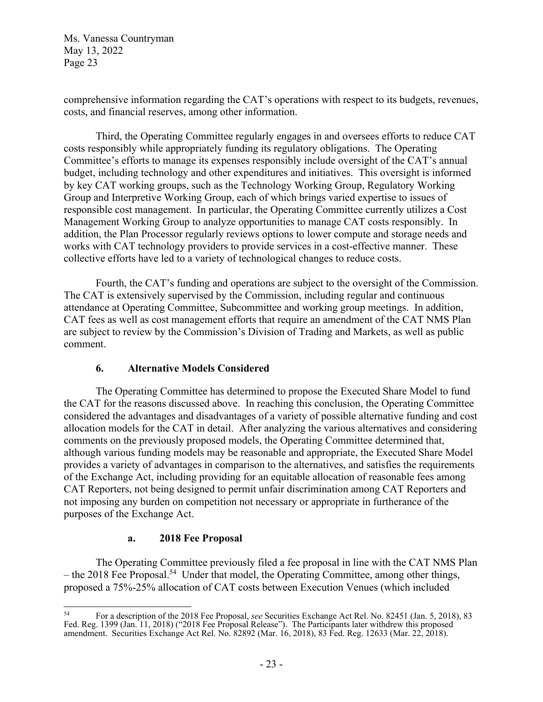comprehensive information regarding the CAT's operations with respect to its budgets, revenues, costs, and financial reserves, among other information.

Third, the Operating Committee regularly engages in and oversees efforts to reduce CAT costs responsibly while appropriately funding its regulatory obligations. The Operating Committee's efforts to manage its expenses responsibly include oversight of the CAT's annual budget, including technology and other expenditures and initiatives. This oversight is informed by key CAT working groups, such as the Technology Working Group, Regulatory Working Group and Interpretive Working Group, each of which brings varied expertise to issues of responsible cost management. In particular, the Operating Committee currently utilizes a Cost Management Working Group to analyze opportunities to manage CAT costs responsibly. In addition, the Plan Processor regularly reviews options to lower compute and storage needs and works with CAT technology providers to provide services in a cost-effective manner. These collective efforts have led to a variety of technological changes to reduce costs.

Fourth, the CAT's funding and operations are subject to the oversight of the Commission. The CAT is extensively supervised by the Commission, including regular and continuous attendance at Operating Committee, Subcommittee and working group meetings. In addition, CAT fees as well as cost management efforts that require an amendment of the CAT NMS Plan are subject to review by the Commission's Division of Trading and Markets, as well as public comment.

## **6. Alternative Models Considered**

The Operating Committee has determined to propose the Executed Share Model to fund the CAT for the reasons discussed above. In reaching this conclusion, the Operating Committee considered the advantages and disadvantages of a variety of possible alternative funding and cost allocation models for the CAT in detail. After analyzing the various alternatives and considering comments on the previously proposed models, the Operating Committee determined that, although various funding models may be reasonable and appropriate, the Executed Share Model provides a variety of advantages in comparison to the alternatives, and satisfies the requirements of the Exchange Act, including providing for an equitable allocation of reasonable fees among CAT Reporters, not being designed to permit unfair discrimination among CAT Reporters and not imposing any burden on competition not necessary or appropriate in furtherance of the purposes of the Exchange Act.

#### **a. 2018 Fee Proposal**

The Operating Committee previously filed a fee proposal in line with the CAT NMS Plan – the 2018 Fee Proposal.<sup>54</sup> Under that model, the Operating Committee, among other things, proposed a 75%-25% allocation of CAT costs between Execution Venues (which included

<sup>54</sup> For a description of the 2018 Fee Proposal, *see* Securities Exchange Act Rel. No. 82451 (Jan. 5, 2018), 83 Fed. Reg. 1399 (Jan. 11, 2018) ("2018 Fee Proposal Release"). The Participants later withdrew this proposed amendment. Securities Exchange Act Rel. No. 82892 (Mar. 16, 2018), 83 Fed. Reg. 12633 (Mar. 22, 2018).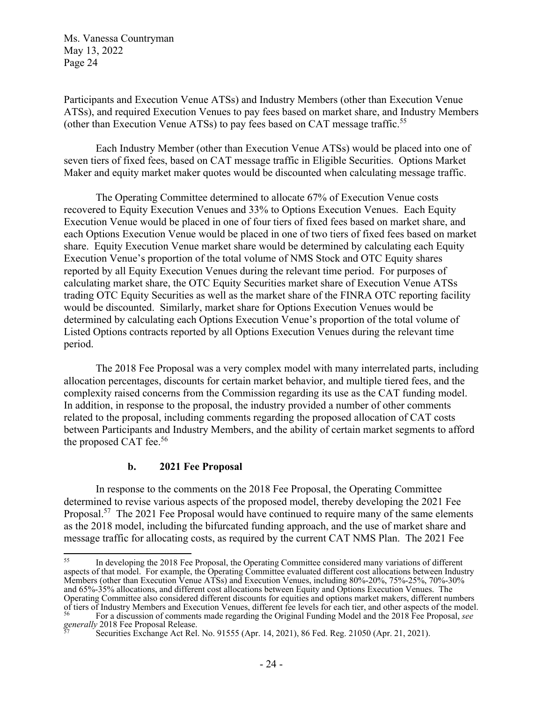Participants and Execution Venue ATSs) and Industry Members (other than Execution Venue ATSs), and required Execution Venues to pay fees based on market share, and Industry Members (other than Execution Venue ATSs) to pay fees based on CAT message traffic.55

Each Industry Member (other than Execution Venue ATSs) would be placed into one of seven tiers of fixed fees, based on CAT message traffic in Eligible Securities. Options Market Maker and equity market maker quotes would be discounted when calculating message traffic.

The Operating Committee determined to allocate 67% of Execution Venue costs recovered to Equity Execution Venues and 33% to Options Execution Venues. Each Equity Execution Venue would be placed in one of four tiers of fixed fees based on market share, and each Options Execution Venue would be placed in one of two tiers of fixed fees based on market share. Equity Execution Venue market share would be determined by calculating each Equity Execution Venue's proportion of the total volume of NMS Stock and OTC Equity shares reported by all Equity Execution Venues during the relevant time period. For purposes of calculating market share, the OTC Equity Securities market share of Execution Venue ATSs trading OTC Equity Securities as well as the market share of the FINRA OTC reporting facility would be discounted. Similarly, market share for Options Execution Venues would be determined by calculating each Options Execution Venue's proportion of the total volume of Listed Options contracts reported by all Options Execution Venues during the relevant time period.

The 2018 Fee Proposal was a very complex model with many interrelated parts, including allocation percentages, discounts for certain market behavior, and multiple tiered fees, and the complexity raised concerns from the Commission regarding its use as the CAT funding model. In addition, in response to the proposal, the industry provided a number of other comments related to the proposal, including comments regarding the proposed allocation of CAT costs between Participants and Industry Members, and the ability of certain market segments to afford the proposed CAT fee.<sup>56</sup>

#### **b. 2021 Fee Proposal**

In response to the comments on the 2018 Fee Proposal, the Operating Committee determined to revise various aspects of the proposed model, thereby developing the 2021 Fee Proposal.<sup>57</sup> The 2021 Fee Proposal would have continued to require many of the same elements as the 2018 model, including the bifurcated funding approach, and the use of market share and message traffic for allocating costs, as required by the current CAT NMS Plan. The 2021 Fee

<sup>55</sup> In developing the 2018 Fee Proposal, the Operating Committee considered many variations of different aspects of that model. For example, the Operating Committee evaluated different cost allocations between Industry Members (other than Execution Venue ATSs) and Execution Venues, including 80%-20%, 75%-25%, 70%-30% and 65%-35% allocations, and different cost allocations between Equity and Options Execution Venues. The Operating Committee also considered different discounts for equities and options market makers, different numbers of tiers of Industry Members and Execution Venues, different fee levels for each tier, and other aspects of the model.<br><sup>56</sup> For a discussion of comments made regarding the Original Funding Model and the 2018 Fee Proposal,

*generallies* Exchange Act Rel. No. 91555 (Apr. 14, 2021), 86 Fed. Reg. 21050 (Apr. 21, 2021).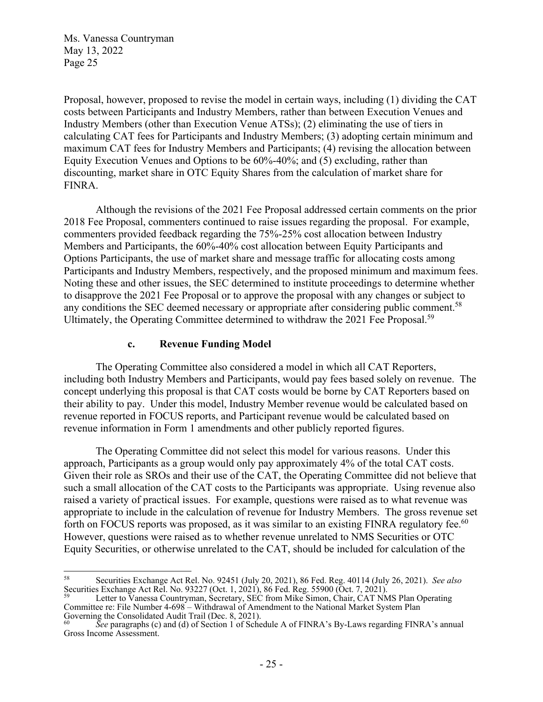Proposal, however, proposed to revise the model in certain ways, including (1) dividing the CAT costs between Participants and Industry Members, rather than between Execution Venues and Industry Members (other than Execution Venue ATSs); (2) eliminating the use of tiers in calculating CAT fees for Participants and Industry Members; (3) adopting certain minimum and maximum CAT fees for Industry Members and Participants; (4) revising the allocation between Equity Execution Venues and Options to be 60%-40%; and (5) excluding, rather than discounting, market share in OTC Equity Shares from the calculation of market share for FINRA.

Although the revisions of the 2021 Fee Proposal addressed certain comments on the prior 2018 Fee Proposal, commenters continued to raise issues regarding the proposal. For example, commenters provided feedback regarding the 75%-25% cost allocation between Industry Members and Participants, the 60%-40% cost allocation between Equity Participants and Options Participants, the use of market share and message traffic for allocating costs among Participants and Industry Members, respectively, and the proposed minimum and maximum fees. Noting these and other issues, the SEC determined to institute proceedings to determine whether to disapprove the 2021 Fee Proposal or to approve the proposal with any changes or subject to any conditions the SEC deemed necessary or appropriate after considering public comment.<sup>58</sup> Ultimately, the Operating Committee determined to withdraw the 2021 Fee Proposal.<sup>59</sup>

### **c. Revenue Funding Model**

The Operating Committee also considered a model in which all CAT Reporters, including both Industry Members and Participants, would pay fees based solely on revenue. The concept underlying this proposal is that CAT costs would be borne by CAT Reporters based on their ability to pay. Under this model, Industry Member revenue would be calculated based on revenue reported in FOCUS reports, and Participant revenue would be calculated based on revenue information in Form 1 amendments and other publicly reported figures.

The Operating Committee did not select this model for various reasons. Under this approach, Participants as a group would only pay approximately 4% of the total CAT costs. Given their role as SROs and their use of the CAT, the Operating Committee did not believe that such a small allocation of the CAT costs to the Participants was appropriate. Using revenue also raised a variety of practical issues. For example, questions were raised as to what revenue was appropriate to include in the calculation of revenue for Industry Members. The gross revenue set forth on FOCUS reports was proposed, as it was similar to an existing FINRA regulatory fee.<sup>60</sup> However, questions were raised as to whether revenue unrelated to NMS Securities or OTC Equity Securities, or otherwise unrelated to the CAT, should be included for calculation of the

<sup>58</sup> Securities Exchange Act Rel. No. 92451 (July 20, 2021), 86 Fed. Reg. 40114 (July 26, 2021). *See also* Securities Exchange Act Rel. No. 93227 (Oct. 1, 2021), 86 Fed. Reg. 55900 (Oct. 7, 2021).

<sup>&</sup>lt;sup>59</sup> Letter to Vanessa Countryman, Secretary, SEC from Mike Simon, Chair, CAT NMS Plan Operating Committee re: File Number 4-698 – Withdrawal of Amendment to the National Market System Plan Governing the Consolidated Audit Trail (Dec. 8, 2021).

See paragraphs (c) and (d) of Section 1 of Schedule A of FINRA's By-Laws regarding FINRA's annual Gross Income Assessment.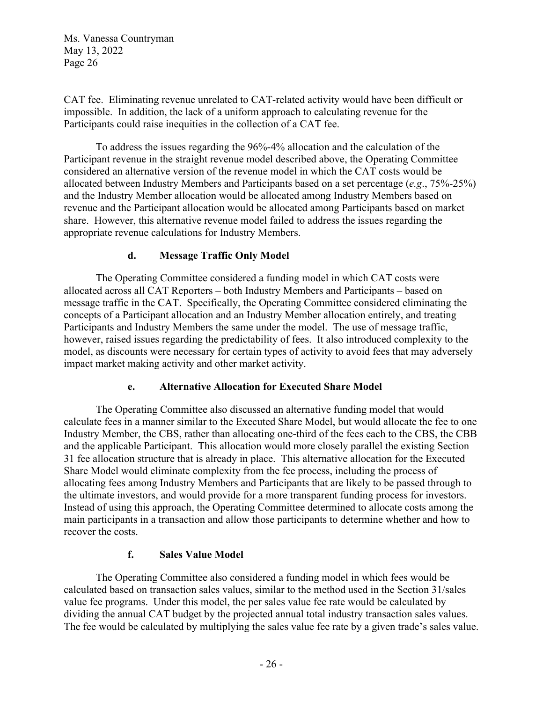CAT fee. Eliminating revenue unrelated to CAT-related activity would have been difficult or impossible. In addition, the lack of a uniform approach to calculating revenue for the Participants could raise inequities in the collection of a CAT fee.

To address the issues regarding the 96%-4% allocation and the calculation of the Participant revenue in the straight revenue model described above, the Operating Committee considered an alternative version of the revenue model in which the CAT costs would be allocated between Industry Members and Participants based on a set percentage (*e.g*., 75%-25%) and the Industry Member allocation would be allocated among Industry Members based on revenue and the Participant allocation would be allocated among Participants based on market share. However, this alternative revenue model failed to address the issues regarding the appropriate revenue calculations for Industry Members.

## **d. Message Traffic Only Model**

The Operating Committee considered a funding model in which CAT costs were allocated across all CAT Reporters – both Industry Members and Participants – based on message traffic in the CAT. Specifically, the Operating Committee considered eliminating the concepts of a Participant allocation and an Industry Member allocation entirely, and treating Participants and Industry Members the same under the model. The use of message traffic, however, raised issues regarding the predictability of fees. It also introduced complexity to the model, as discounts were necessary for certain types of activity to avoid fees that may adversely impact market making activity and other market activity.

## **e. Alternative Allocation for Executed Share Model**

The Operating Committee also discussed an alternative funding model that would calculate fees in a manner similar to the Executed Share Model, but would allocate the fee to one Industry Member, the CBS, rather than allocating one-third of the fees each to the CBS, the CBB and the applicable Participant. This allocation would more closely parallel the existing Section 31 fee allocation structure that is already in place. This alternative allocation for the Executed Share Model would eliminate complexity from the fee process, including the process of allocating fees among Industry Members and Participants that are likely to be passed through to the ultimate investors, and would provide for a more transparent funding process for investors. Instead of using this approach, the Operating Committee determined to allocate costs among the main participants in a transaction and allow those participants to determine whether and how to recover the costs.

## **f. Sales Value Model**

The Operating Committee also considered a funding model in which fees would be calculated based on transaction sales values, similar to the method used in the Section 31/sales value fee programs. Under this model, the per sales value fee rate would be calculated by dividing the annual CAT budget by the projected annual total industry transaction sales values. The fee would be calculated by multiplying the sales value fee rate by a given trade's sales value.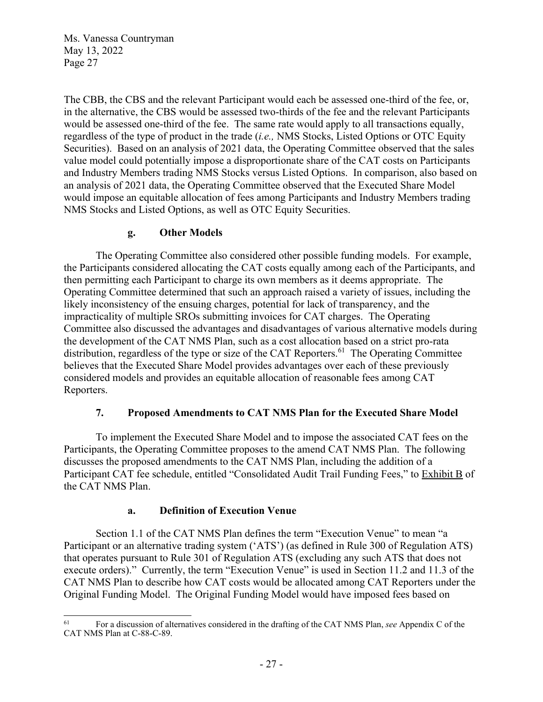The CBB, the CBS and the relevant Participant would each be assessed one-third of the fee, or, in the alternative, the CBS would be assessed two-thirds of the fee and the relevant Participants would be assessed one-third of the fee. The same rate would apply to all transactions equally, regardless of the type of product in the trade (*i.e.,* NMS Stocks, Listed Options or OTC Equity Securities). Based on an analysis of 2021 data, the Operating Committee observed that the sales value model could potentially impose a disproportionate share of the CAT costs on Participants and Industry Members trading NMS Stocks versus Listed Options. In comparison, also based on an analysis of 2021 data, the Operating Committee observed that the Executed Share Model would impose an equitable allocation of fees among Participants and Industry Members trading NMS Stocks and Listed Options, as well as OTC Equity Securities.

## **g. Other Models**

The Operating Committee also considered other possible funding models. For example, the Participants considered allocating the CAT costs equally among each of the Participants, and then permitting each Participant to charge its own members as it deems appropriate. The Operating Committee determined that such an approach raised a variety of issues, including the likely inconsistency of the ensuing charges, potential for lack of transparency, and the impracticality of multiple SROs submitting invoices for CAT charges. The Operating Committee also discussed the advantages and disadvantages of various alternative models during the development of the CAT NMS Plan, such as a cost allocation based on a strict pro-rata distribution, regardless of the type or size of the CAT Reporters.<sup>61</sup> The Operating Committee believes that the Executed Share Model provides advantages over each of these previously considered models and provides an equitable allocation of reasonable fees among CAT Reporters.

## **7. Proposed Amendments to CAT NMS Plan for the Executed Share Model**

 To implement the Executed Share Model and to impose the associated CAT fees on the Participants, the Operating Committee proposes to the amend CAT NMS Plan. The following discusses the proposed amendments to the CAT NMS Plan, including the addition of a Participant CAT fee schedule, entitled "Consolidated Audit Trail Funding Fees," to Exhibit B of the CAT NMS Plan.

## **a. Definition of Execution Venue**

Section 1.1 of the CAT NMS Plan defines the term "Execution Venue" to mean "a Participant or an alternative trading system ('ATS') (as defined in Rule 300 of Regulation ATS) that operates pursuant to Rule 301 of Regulation ATS (excluding any such ATS that does not execute orders)." Currently, the term "Execution Venue" is used in Section 11.2 and 11.3 of the CAT NMS Plan to describe how CAT costs would be allocated among CAT Reporters under the Original Funding Model. The Original Funding Model would have imposed fees based on

<sup>61</sup> For a discussion of alternatives considered in the drafting of the CAT NMS Plan, *see* Appendix C of the CAT NMS Plan at C-88-C-89.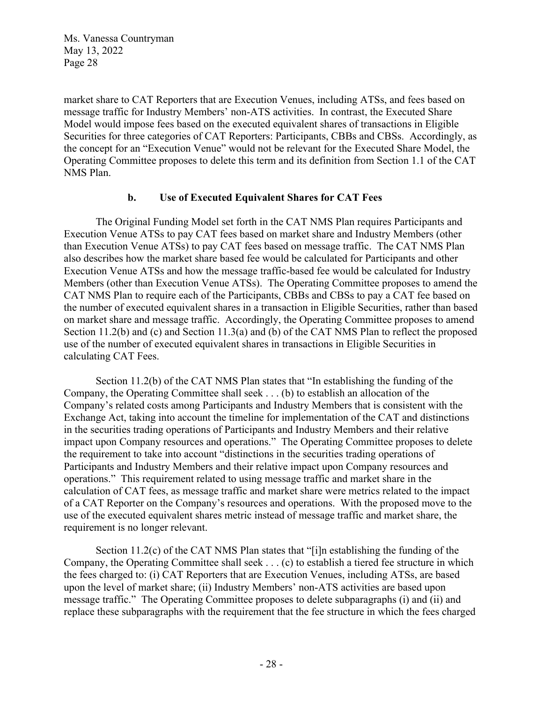market share to CAT Reporters that are Execution Venues, including ATSs, and fees based on message traffic for Industry Members' non-ATS activities. In contrast, the Executed Share Model would impose fees based on the executed equivalent shares of transactions in Eligible Securities for three categories of CAT Reporters: Participants, CBBs and CBSs. Accordingly, as the concept for an "Execution Venue" would not be relevant for the Executed Share Model, the Operating Committee proposes to delete this term and its definition from Section 1.1 of the CAT NMS Plan.

### **b. Use of Executed Equivalent Shares for CAT Fees**

 The Original Funding Model set forth in the CAT NMS Plan requires Participants and Execution Venue ATSs to pay CAT fees based on market share and Industry Members (other than Execution Venue ATSs) to pay CAT fees based on message traffic. The CAT NMS Plan also describes how the market share based fee would be calculated for Participants and other Execution Venue ATSs and how the message traffic-based fee would be calculated for Industry Members (other than Execution Venue ATSs). The Operating Committee proposes to amend the CAT NMS Plan to require each of the Participants, CBBs and CBSs to pay a CAT fee based on the number of executed equivalent shares in a transaction in Eligible Securities, rather than based on market share and message traffic. Accordingly, the Operating Committee proposes to amend Section 11.2(b) and (c) and Section 11.3(a) and (b) of the CAT NMS Plan to reflect the proposed use of the number of executed equivalent shares in transactions in Eligible Securities in calculating CAT Fees.

Section 11.2(b) of the CAT NMS Plan states that "In establishing the funding of the Company, the Operating Committee shall seek . . . (b) to establish an allocation of the Company's related costs among Participants and Industry Members that is consistent with the Exchange Act, taking into account the timeline for implementation of the CAT and distinctions in the securities trading operations of Participants and Industry Members and their relative impact upon Company resources and operations." The Operating Committee proposes to delete the requirement to take into account "distinctions in the securities trading operations of Participants and Industry Members and their relative impact upon Company resources and operations." This requirement related to using message traffic and market share in the calculation of CAT fees, as message traffic and market share were metrics related to the impact of a CAT Reporter on the Company's resources and operations. With the proposed move to the use of the executed equivalent shares metric instead of message traffic and market share, the requirement is no longer relevant.

 Section 11.2(c) of the CAT NMS Plan states that "[i]n establishing the funding of the Company, the Operating Committee shall seek . . . (c) to establish a tiered fee structure in which the fees charged to: (i) CAT Reporters that are Execution Venues, including ATSs, are based upon the level of market share; (ii) Industry Members' non-ATS activities are based upon message traffic." The Operating Committee proposes to delete subparagraphs (i) and (ii) and replace these subparagraphs with the requirement that the fee structure in which the fees charged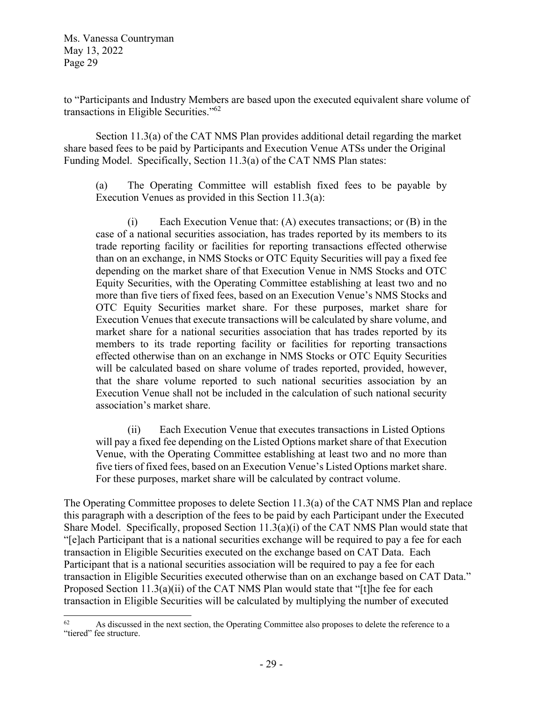to "Participants and Industry Members are based upon the executed equivalent share volume of transactions in Eligible Securities."62

 Section 11.3(a) of the CAT NMS Plan provides additional detail regarding the market share based fees to be paid by Participants and Execution Venue ATSs under the Original Funding Model. Specifically, Section 11.3(a) of the CAT NMS Plan states:

(a) The Operating Committee will establish fixed fees to be payable by Execution Venues as provided in this Section 11.3(a):

 (i) Each Execution Venue that: (A) executes transactions; or (B) in the case of a national securities association, has trades reported by its members to its trade reporting facility or facilities for reporting transactions effected otherwise than on an exchange, in NMS Stocks or OTC Equity Securities will pay a fixed fee depending on the market share of that Execution Venue in NMS Stocks and OTC Equity Securities, with the Operating Committee establishing at least two and no more than five tiers of fixed fees, based on an Execution Venue's NMS Stocks and OTC Equity Securities market share. For these purposes, market share for Execution Venues that execute transactions will be calculated by share volume, and market share for a national securities association that has trades reported by its members to its trade reporting facility or facilities for reporting transactions effected otherwise than on an exchange in NMS Stocks or OTC Equity Securities will be calculated based on share volume of trades reported, provided, however, that the share volume reported to such national securities association by an Execution Venue shall not be included in the calculation of such national security association's market share.

 (ii) Each Execution Venue that executes transactions in Listed Options will pay a fixed fee depending on the Listed Options market share of that Execution Venue, with the Operating Committee establishing at least two and no more than five tiers of fixed fees, based on an Execution Venue's Listed Options market share. For these purposes, market share will be calculated by contract volume.

The Operating Committee proposes to delete Section 11.3(a) of the CAT NMS Plan and replace this paragraph with a description of the fees to be paid by each Participant under the Executed Share Model. Specifically, proposed Section 11.3(a)(i) of the CAT NMS Plan would state that "[e]ach Participant that is a national securities exchange will be required to pay a fee for each transaction in Eligible Securities executed on the exchange based on CAT Data. Each Participant that is a national securities association will be required to pay a fee for each transaction in Eligible Securities executed otherwise than on an exchange based on CAT Data." Proposed Section 11.3(a)(ii) of the CAT NMS Plan would state that "[t]he fee for each transaction in Eligible Securities will be calculated by multiplying the number of executed

<sup>&</sup>lt;sup>62</sup> As discussed in the next section, the Operating Committee also proposes to delete the reference to a "tiered" fee structure.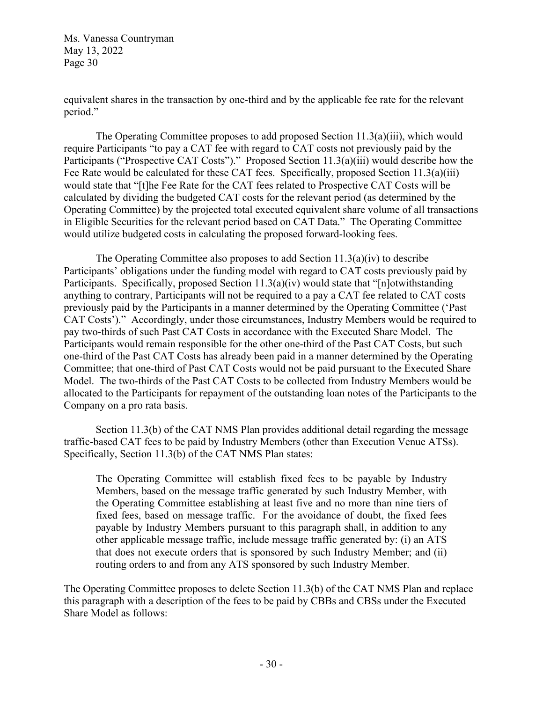equivalent shares in the transaction by one-third and by the applicable fee rate for the relevant period."

 The Operating Committee proposes to add proposed Section 11.3(a)(iii), which would require Participants "to pay a CAT fee with regard to CAT costs not previously paid by the Participants ("Prospective CAT Costs")." Proposed Section 11.3(a)(iii) would describe how the Fee Rate would be calculated for these CAT fees. Specifically, proposed Section 11.3(a)(iii) would state that "[t]he Fee Rate for the CAT fees related to Prospective CAT Costs will be calculated by dividing the budgeted CAT costs for the relevant period (as determined by the Operating Committee) by the projected total executed equivalent share volume of all transactions in Eligible Securities for the relevant period based on CAT Data." The Operating Committee would utilize budgeted costs in calculating the proposed forward-looking fees.

The Operating Committee also proposes to add Section  $11.3(a)(iv)$  to describe Participants' obligations under the funding model with regard to CAT costs previously paid by Participants. Specifically, proposed Section 11.3(a)(iv) would state that "[n]otwithstanding anything to contrary, Participants will not be required to a pay a CAT fee related to CAT costs previously paid by the Participants in a manner determined by the Operating Committee ('Past CAT Costs')." Accordingly, under those circumstances, Industry Members would be required to pay two-thirds of such Past CAT Costs in accordance with the Executed Share Model. The Participants would remain responsible for the other one-third of the Past CAT Costs, but such one-third of the Past CAT Costs has already been paid in a manner determined by the Operating Committee; that one-third of Past CAT Costs would not be paid pursuant to the Executed Share Model. The two-thirds of the Past CAT Costs to be collected from Industry Members would be allocated to the Participants for repayment of the outstanding loan notes of the Participants to the Company on a pro rata basis.

 Section 11.3(b) of the CAT NMS Plan provides additional detail regarding the message traffic-based CAT fees to be paid by Industry Members (other than Execution Venue ATSs). Specifically, Section 11.3(b) of the CAT NMS Plan states:

The Operating Committee will establish fixed fees to be payable by Industry Members, based on the message traffic generated by such Industry Member, with the Operating Committee establishing at least five and no more than nine tiers of fixed fees, based on message traffic. For the avoidance of doubt, the fixed fees payable by Industry Members pursuant to this paragraph shall, in addition to any other applicable message traffic, include message traffic generated by: (i) an ATS that does not execute orders that is sponsored by such Industry Member; and (ii) routing orders to and from any ATS sponsored by such Industry Member.

The Operating Committee proposes to delete Section 11.3(b) of the CAT NMS Plan and replace this paragraph with a description of the fees to be paid by CBBs and CBSs under the Executed Share Model as follows: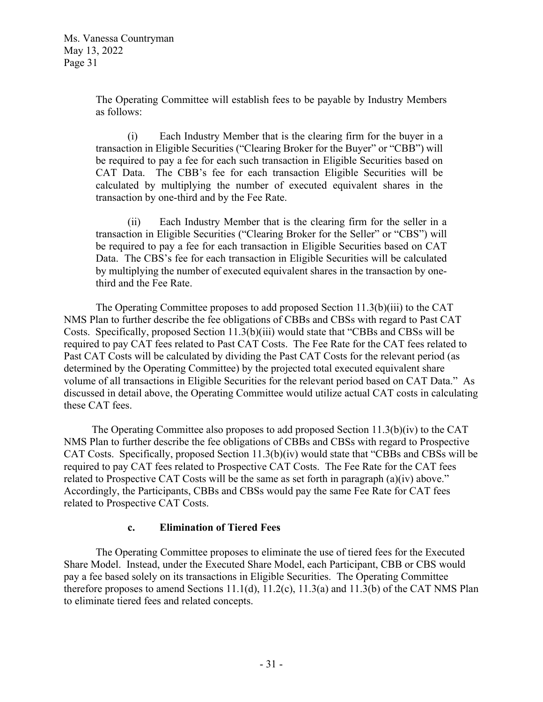The Operating Committee will establish fees to be payable by Industry Members as follows:

 (i) Each Industry Member that is the clearing firm for the buyer in a transaction in Eligible Securities ("Clearing Broker for the Buyer" or "CBB") will be required to pay a fee for each such transaction in Eligible Securities based on CAT Data. The CBB's fee for each transaction Eligible Securities will be calculated by multiplying the number of executed equivalent shares in the transaction by one-third and by the Fee Rate.

 (ii) Each Industry Member that is the clearing firm for the seller in a transaction in Eligible Securities ("Clearing Broker for the Seller" or "CBS") will be required to pay a fee for each transaction in Eligible Securities based on CAT Data. The CBS's fee for each transaction in Eligible Securities will be calculated by multiplying the number of executed equivalent shares in the transaction by onethird and the Fee Rate.

 The Operating Committee proposes to add proposed Section 11.3(b)(iii) to the CAT NMS Plan to further describe the fee obligations of CBBs and CBSs with regard to Past CAT Costs. Specifically, proposed Section 11.3(b)(iii) would state that "CBBs and CBSs will be required to pay CAT fees related to Past CAT Costs. The Fee Rate for the CAT fees related to Past CAT Costs will be calculated by dividing the Past CAT Costs for the relevant period (as determined by the Operating Committee) by the projected total executed equivalent share volume of all transactions in Eligible Securities for the relevant period based on CAT Data." As discussed in detail above, the Operating Committee would utilize actual CAT costs in calculating these CAT fees.

 The Operating Committee also proposes to add proposed Section 11.3(b)(iv) to the CAT NMS Plan to further describe the fee obligations of CBBs and CBSs with regard to Prospective CAT Costs. Specifically, proposed Section 11.3(b)(iv) would state that "CBBs and CBSs will be required to pay CAT fees related to Prospective CAT Costs. The Fee Rate for the CAT fees related to Prospective CAT Costs will be the same as set forth in paragraph (a)(iv) above." Accordingly, the Participants, CBBs and CBSs would pay the same Fee Rate for CAT fees related to Prospective CAT Costs.

#### **c. Elimination of Tiered Fees**

The Operating Committee proposes to eliminate the use of tiered fees for the Executed Share Model. Instead, under the Executed Share Model, each Participant, CBB or CBS would pay a fee based solely on its transactions in Eligible Securities. The Operating Committee therefore proposes to amend Sections  $11.1(d)$ ,  $11.2(c)$ ,  $11.3(a)$  and  $11.3(b)$  of the CAT NMS Plan to eliminate tiered fees and related concepts.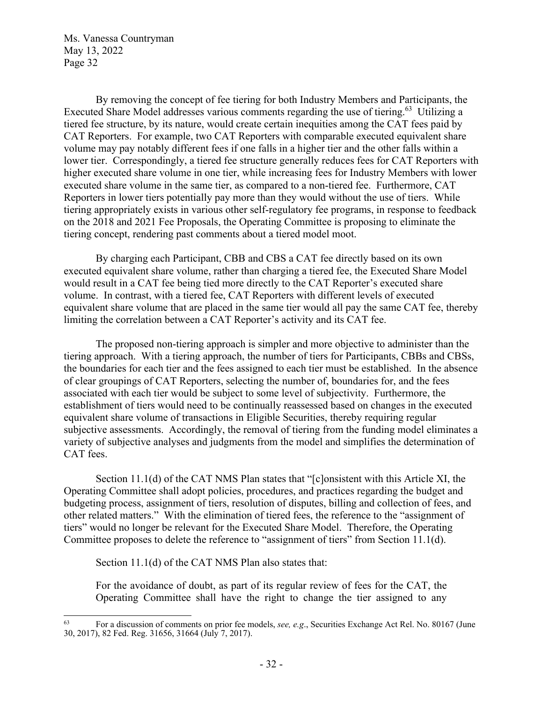By removing the concept of fee tiering for both Industry Members and Participants, the Executed Share Model addresses various comments regarding the use of tiering.<sup>63</sup> Utilizing a tiered fee structure, by its nature, would create certain inequities among the CAT fees paid by CAT Reporters. For example, two CAT Reporters with comparable executed equivalent share volume may pay notably different fees if one falls in a higher tier and the other falls within a lower tier. Correspondingly, a tiered fee structure generally reduces fees for CAT Reporters with higher executed share volume in one tier, while increasing fees for Industry Members with lower executed share volume in the same tier, as compared to a non-tiered fee. Furthermore, CAT Reporters in lower tiers potentially pay more than they would without the use of tiers. While tiering appropriately exists in various other self-regulatory fee programs, in response to feedback on the 2018 and 2021 Fee Proposals, the Operating Committee is proposing to eliminate the tiering concept, rendering past comments about a tiered model moot.

By charging each Participant, CBB and CBS a CAT fee directly based on its own executed equivalent share volume, rather than charging a tiered fee, the Executed Share Model would result in a CAT fee being tied more directly to the CAT Reporter's executed share volume. In contrast, with a tiered fee, CAT Reporters with different levels of executed equivalent share volume that are placed in the same tier would all pay the same CAT fee, thereby limiting the correlation between a CAT Reporter's activity and its CAT fee.

The proposed non-tiering approach is simpler and more objective to administer than the tiering approach. With a tiering approach, the number of tiers for Participants, CBBs and CBSs, the boundaries for each tier and the fees assigned to each tier must be established. In the absence of clear groupings of CAT Reporters, selecting the number of, boundaries for, and the fees associated with each tier would be subject to some level of subjectivity. Furthermore, the establishment of tiers would need to be continually reassessed based on changes in the executed equivalent share volume of transactions in Eligible Securities, thereby requiring regular subjective assessments. Accordingly, the removal of tiering from the funding model eliminates a variety of subjective analyses and judgments from the model and simplifies the determination of CAT fees.

 Section 11.1(d) of the CAT NMS Plan states that "[c]onsistent with this Article XI, the Operating Committee shall adopt policies, procedures, and practices regarding the budget and budgeting process, assignment of tiers, resolution of disputes, billing and collection of fees, and other related matters." With the elimination of tiered fees, the reference to the "assignment of tiers" would no longer be relevant for the Executed Share Model. Therefore, the Operating Committee proposes to delete the reference to "assignment of tiers" from Section 11.1(d).

Section 11.1(d) of the CAT NMS Plan also states that:

For the avoidance of doubt, as part of its regular review of fees for the CAT, the Operating Committee shall have the right to change the tier assigned to any

<sup>63</sup> For a discussion of comments on prior fee models, *see, e.g*., Securities Exchange Act Rel. No. 80167 (June 30, 2017), 82 Fed. Reg. 31656, 31664 (July 7, 2017).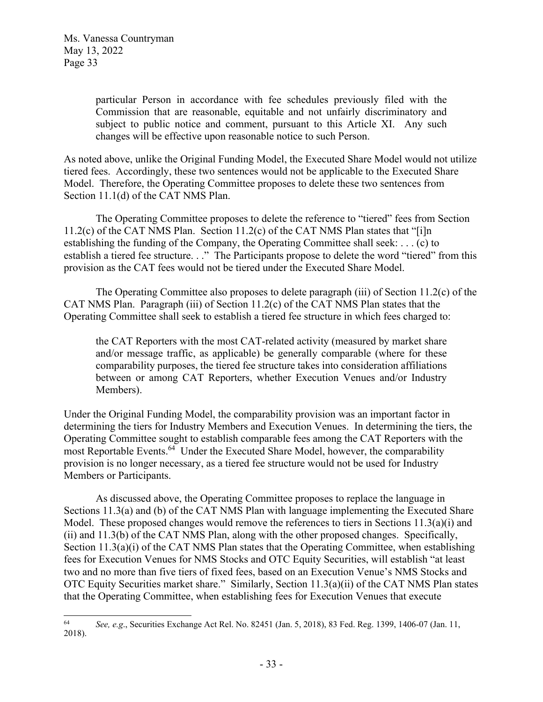particular Person in accordance with fee schedules previously filed with the Commission that are reasonable, equitable and not unfairly discriminatory and subject to public notice and comment, pursuant to this Article XI. Any such changes will be effective upon reasonable notice to such Person.

As noted above, unlike the Original Funding Model, the Executed Share Model would not utilize tiered fees. Accordingly, these two sentences would not be applicable to the Executed Share Model. Therefore, the Operating Committee proposes to delete these two sentences from Section 11.1(d) of the CAT NMS Plan.

The Operating Committee proposes to delete the reference to "tiered" fees from Section  $11.2(c)$  of the CAT NMS Plan. Section  $11.2(c)$  of the CAT NMS Plan states that "[i]n establishing the funding of the Company, the Operating Committee shall seek: . . . (c) to establish a tiered fee structure. . ." The Participants propose to delete the word "tiered" from this provision as the CAT fees would not be tiered under the Executed Share Model.

The Operating Committee also proposes to delete paragraph (iii) of Section 11.2(c) of the CAT NMS Plan. Paragraph (iii) of Section 11.2(c) of the CAT NMS Plan states that the Operating Committee shall seek to establish a tiered fee structure in which fees charged to:

the CAT Reporters with the most CAT-related activity (measured by market share and/or message traffic, as applicable) be generally comparable (where for these comparability purposes, the tiered fee structure takes into consideration affiliations between or among CAT Reporters, whether Execution Venues and/or Industry Members).

Under the Original Funding Model, the comparability provision was an important factor in determining the tiers for Industry Members and Execution Venues. In determining the tiers, the Operating Committee sought to establish comparable fees among the CAT Reporters with the most Reportable Events.<sup>64</sup> Under the Executed Share Model, however, the comparability provision is no longer necessary, as a tiered fee structure would not be used for Industry Members or Participants.

As discussed above, the Operating Committee proposes to replace the language in Sections 11.3(a) and (b) of the CAT NMS Plan with language implementing the Executed Share Model. These proposed changes would remove the references to tiers in Sections 11.3(a)(i) and (ii) and 11.3(b) of the CAT NMS Plan, along with the other proposed changes. Specifically, Section 11.3(a)(i) of the CAT NMS Plan states that the Operating Committee, when establishing fees for Execution Venues for NMS Stocks and OTC Equity Securities, will establish "at least two and no more than five tiers of fixed fees, based on an Execution Venue's NMS Stocks and OTC Equity Securities market share." Similarly, Section 11.3(a)(ii) of the CAT NMS Plan states that the Operating Committee, when establishing fees for Execution Venues that execute

<sup>64</sup> *See, e.g*., Securities Exchange Act Rel. No. 82451 (Jan. 5, 2018), 83 Fed. Reg. 1399, 1406-07 (Jan. 11, 2018).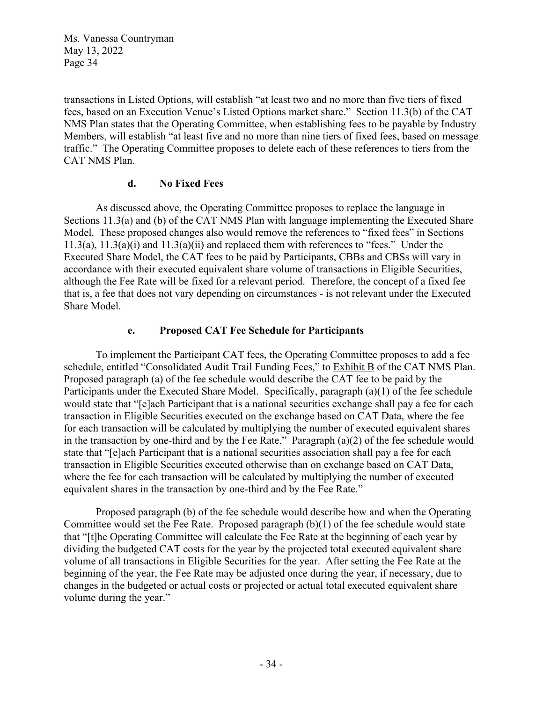transactions in Listed Options, will establish "at least two and no more than five tiers of fixed fees, based on an Execution Venue's Listed Options market share." Section 11.3(b) of the CAT NMS Plan states that the Operating Committee, when establishing fees to be payable by Industry Members, will establish "at least five and no more than nine tiers of fixed fees, based on message traffic." The Operating Committee proposes to delete each of these references to tiers from the CAT NMS Plan.

## **d. No Fixed Fees**

 As discussed above, the Operating Committee proposes to replace the language in Sections 11.3(a) and (b) of the CAT NMS Plan with language implementing the Executed Share Model. These proposed changes also would remove the references to "fixed fees" in Sections 11.3(a),  $11.3(a)$ (i) and  $11.3(a)$ (ii) and replaced them with references to "fees." Under the Executed Share Model, the CAT fees to be paid by Participants, CBBs and CBSs will vary in accordance with their executed equivalent share volume of transactions in Eligible Securities, although the Fee Rate will be fixed for a relevant period. Therefore, the concept of a fixed fee – that is, a fee that does not vary depending on circumstances - is not relevant under the Executed Share Model.

### **e. Proposed CAT Fee Schedule for Participants**

To implement the Participant CAT fees, the Operating Committee proposes to add a fee schedule, entitled "Consolidated Audit Trail Funding Fees," to Exhibit B of the CAT NMS Plan. Proposed paragraph (a) of the fee schedule would describe the CAT fee to be paid by the Participants under the Executed Share Model. Specifically, paragraph (a)(1) of the fee schedule would state that "[e]ach Participant that is a national securities exchange shall pay a fee for each transaction in Eligible Securities executed on the exchange based on CAT Data, where the fee for each transaction will be calculated by multiplying the number of executed equivalent shares in the transaction by one-third and by the Fee Rate." Paragraph (a)(2) of the fee schedule would state that "[e]ach Participant that is a national securities association shall pay a fee for each transaction in Eligible Securities executed otherwise than on exchange based on CAT Data, where the fee for each transaction will be calculated by multiplying the number of executed equivalent shares in the transaction by one-third and by the Fee Rate."

Proposed paragraph (b) of the fee schedule would describe how and when the Operating Committee would set the Fee Rate. Proposed paragraph (b)(1) of the fee schedule would state that "[t]he Operating Committee will calculate the Fee Rate at the beginning of each year by dividing the budgeted CAT costs for the year by the projected total executed equivalent share volume of all transactions in Eligible Securities for the year. After setting the Fee Rate at the beginning of the year, the Fee Rate may be adjusted once during the year, if necessary, due to changes in the budgeted or actual costs or projected or actual total executed equivalent share volume during the year."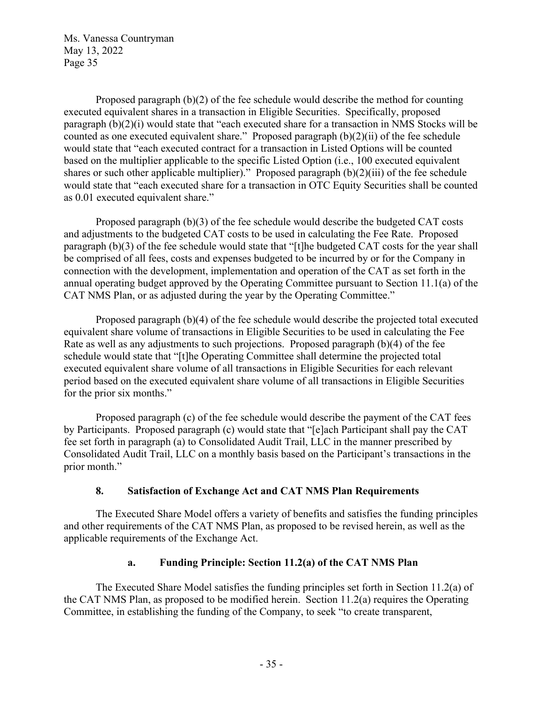Proposed paragraph (b)(2) of the fee schedule would describe the method for counting executed equivalent shares in a transaction in Eligible Securities. Specifically, proposed paragraph (b)(2)(i) would state that "each executed share for a transaction in NMS Stocks will be counted as one executed equivalent share." Proposed paragraph (b)(2)(ii) of the fee schedule would state that "each executed contract for a transaction in Listed Options will be counted based on the multiplier applicable to the specific Listed Option (i.e., 100 executed equivalent shares or such other applicable multiplier)." Proposed paragraph (b)(2)(iii) of the fee schedule would state that "each executed share for a transaction in OTC Equity Securities shall be counted as 0.01 executed equivalent share."

Proposed paragraph (b)(3) of the fee schedule would describe the budgeted CAT costs and adjustments to the budgeted CAT costs to be used in calculating the Fee Rate. Proposed paragraph (b)(3) of the fee schedule would state that "[t]he budgeted CAT costs for the year shall be comprised of all fees, costs and expenses budgeted to be incurred by or for the Company in connection with the development, implementation and operation of the CAT as set forth in the annual operating budget approved by the Operating Committee pursuant to Section 11.1(a) of the CAT NMS Plan, or as adjusted during the year by the Operating Committee."

 Proposed paragraph (b)(4) of the fee schedule would describe the projected total executed equivalent share volume of transactions in Eligible Securities to be used in calculating the Fee Rate as well as any adjustments to such projections. Proposed paragraph (b)(4) of the fee schedule would state that "[t]he Operating Committee shall determine the projected total executed equivalent share volume of all transactions in Eligible Securities for each relevant period based on the executed equivalent share volume of all transactions in Eligible Securities for the prior six months."

Proposed paragraph (c) of the fee schedule would describe the payment of the CAT fees by Participants. Proposed paragraph (c) would state that "[e]ach Participant shall pay the CAT fee set forth in paragraph (a) to Consolidated Audit Trail, LLC in the manner prescribed by Consolidated Audit Trail, LLC on a monthly basis based on the Participant's transactions in the prior month."

## **8. Satisfaction of Exchange Act and CAT NMS Plan Requirements**

The Executed Share Model offers a variety of benefits and satisfies the funding principles and other requirements of the CAT NMS Plan, as proposed to be revised herein, as well as the applicable requirements of the Exchange Act.

# **a. Funding Principle: Section 11.2(a) of the CAT NMS Plan**

The Executed Share Model satisfies the funding principles set forth in Section 11.2(a) of the CAT NMS Plan, as proposed to be modified herein. Section 11.2(a) requires the Operating Committee, in establishing the funding of the Company, to seek "to create transparent,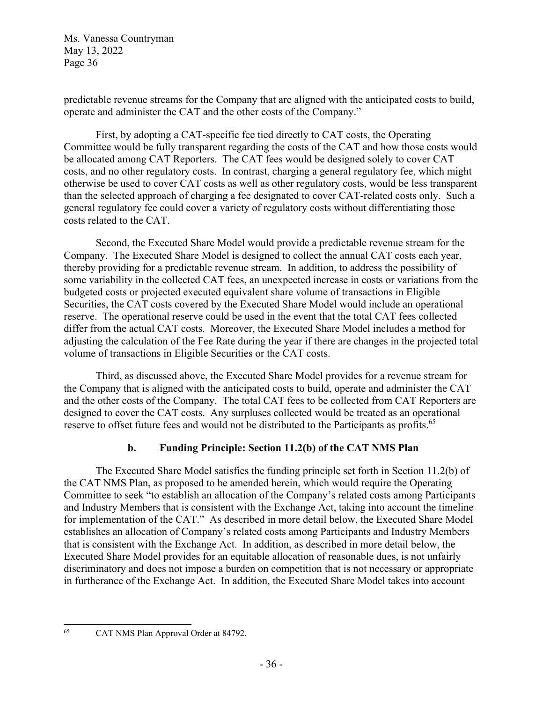predictable revenue streams for the Company that are aligned with the anticipated costs to build, operate and administer the CAT and the other costs of the Company."

First, by adopting a CAT-specific fee tied directly to CAT costs, the Operating Committee would be fully transparent regarding the costs of the CAT and how those costs would be allocated among CAT Reporters. The CAT fees would be designed solely to cover CAT costs, and no other regulatory costs. In contrast, charging a general regulatory fee, which might otherwise be used to cover CAT costs as well as other regulatory costs, would be less transparent than the selected approach of charging a fee designated to cover CAT-related costs only. Such a general regulatory fee could cover a variety of regulatory costs without differentiating those costs related to the CAT.

Second, the Executed Share Model would provide a predictable revenue stream for the Company. The Executed Share Model is designed to collect the annual CAT costs each year, thereby providing for a predictable revenue stream. In addition, to address the possibility of some variability in the collected CAT fees, an unexpected increase in costs or variations from the budgeted costs or projected executed equivalent share volume of transactions in Eligible Securities, the CAT costs covered by the Executed Share Model would include an operational reserve. The operational reserve could be used in the event that the total CAT fees collected differ from the actual CAT costs. Moreover, the Executed Share Model includes a method for adjusting the calculation of the Fee Rate during the year if there are changes in the projected total volume of transactions in Eligible Securities or the CAT costs.

Third, as discussed above, the Executed Share Model provides for a revenue stream for the Company that is aligned with the anticipated costs to build, operate and administer the CAT and the other costs of the Company. The total CAT fees to be collected from CAT Reporters are designed to cover the CAT costs. Any surpluses collected would be treated as an operational reserve to offset future fees and would not be distributed to the Participants as profits.<sup>65</sup>

# **b. Funding Principle: Section 11.2(b) of the CAT NMS Plan**

The Executed Share Model satisfies the funding principle set forth in Section 11.2(b) of the CAT NMS Plan, as proposed to be amended herein, which would require the Operating Committee to seek "to establish an allocation of the Company's related costs among Participants and Industry Members that is consistent with the Exchange Act, taking into account the timeline for implementation of the CAT." As described in more detail below, the Executed Share Model establishes an allocation of Company's related costs among Participants and Industry Members that is consistent with the Exchange Act. In addition, as described in more detail below, the Executed Share Model provides for an equitable allocation of reasonable dues, is not unfairly discriminatory and does not impose a burden on competition that is not necessary or appropriate in furtherance of the Exchange Act. In addition, the Executed Share Model takes into account

65 CAT NMS Plan Approval Order at 84792.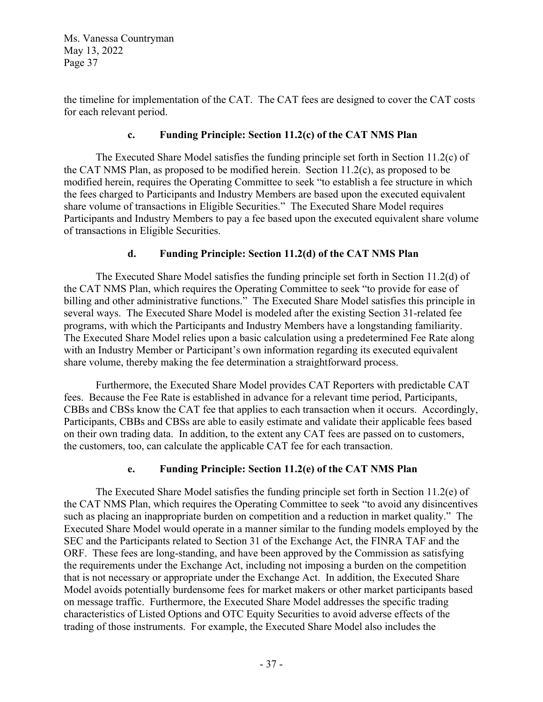the timeline for implementation of the CAT. The CAT fees are designed to cover the CAT costs for each relevant period.

## **c. Funding Principle: Section 11.2(c) of the CAT NMS Plan**

The Executed Share Model satisfies the funding principle set forth in Section 11.2(c) of the CAT NMS Plan, as proposed to be modified herein. Section 11.2(c), as proposed to be modified herein, requires the Operating Committee to seek "to establish a fee structure in which the fees charged to Participants and Industry Members are based upon the executed equivalent share volume of transactions in Eligible Securities." The Executed Share Model requires Participants and Industry Members to pay a fee based upon the executed equivalent share volume of transactions in Eligible Securities.

# **d. Funding Principle: Section 11.2(d) of the CAT NMS Plan**

The Executed Share Model satisfies the funding principle set forth in Section 11.2(d) of the CAT NMS Plan, which requires the Operating Committee to seek "to provide for ease of billing and other administrative functions." The Executed Share Model satisfies this principle in several ways. The Executed Share Model is modeled after the existing Section 31-related fee programs, with which the Participants and Industry Members have a longstanding familiarity. The Executed Share Model relies upon a basic calculation using a predetermined Fee Rate along with an Industry Member or Participant's own information regarding its executed equivalent share volume, thereby making the fee determination a straightforward process.

Furthermore, the Executed Share Model provides CAT Reporters with predictable CAT fees. Because the Fee Rate is established in advance for a relevant time period, Participants, CBBs and CBSs know the CAT fee that applies to each transaction when it occurs. Accordingly, Participants, CBBs and CBSs are able to easily estimate and validate their applicable fees based on their own trading data. In addition, to the extent any CAT fees are passed on to customers, the customers, too, can calculate the applicable CAT fee for each transaction.

# **e. Funding Principle: Section 11.2(e) of the CAT NMS Plan**

The Executed Share Model satisfies the funding principle set forth in Section 11.2(e) of the CAT NMS Plan, which requires the Operating Committee to seek "to avoid any disincentives such as placing an inappropriate burden on competition and a reduction in market quality." The Executed Share Model would operate in a manner similar to the funding models employed by the SEC and the Participants related to Section 31 of the Exchange Act, the FINRA TAF and the ORF. These fees are long-standing, and have been approved by the Commission as satisfying the requirements under the Exchange Act, including not imposing a burden on the competition that is not necessary or appropriate under the Exchange Act. In addition, the Executed Share Model avoids potentially burdensome fees for market makers or other market participants based on message traffic. Furthermore, the Executed Share Model addresses the specific trading characteristics of Listed Options and OTC Equity Securities to avoid adverse effects of the trading of those instruments. For example, the Executed Share Model also includes the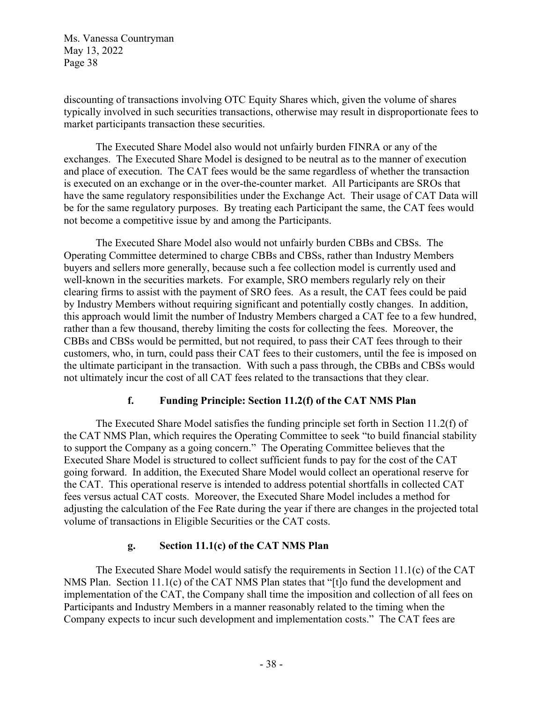discounting of transactions involving OTC Equity Shares which, given the volume of shares typically involved in such securities transactions, otherwise may result in disproportionate fees to market participants transaction these securities.

The Executed Share Model also would not unfairly burden FINRA or any of the exchanges. The Executed Share Model is designed to be neutral as to the manner of execution and place of execution. The CAT fees would be the same regardless of whether the transaction is executed on an exchange or in the over-the-counter market. All Participants are SROs that have the same regulatory responsibilities under the Exchange Act. Their usage of CAT Data will be for the same regulatory purposes. By treating each Participant the same, the CAT fees would not become a competitive issue by and among the Participants.

The Executed Share Model also would not unfairly burden CBBs and CBSs. The Operating Committee determined to charge CBBs and CBSs, rather than Industry Members buyers and sellers more generally, because such a fee collection model is currently used and well-known in the securities markets. For example, SRO members regularly rely on their clearing firms to assist with the payment of SRO fees. As a result, the CAT fees could be paid by Industry Members without requiring significant and potentially costly changes. In addition, this approach would limit the number of Industry Members charged a CAT fee to a few hundred, rather than a few thousand, thereby limiting the costs for collecting the fees. Moreover, the CBBs and CBSs would be permitted, but not required, to pass their CAT fees through to their customers, who, in turn, could pass their CAT fees to their customers, until the fee is imposed on the ultimate participant in the transaction. With such a pass through, the CBBs and CBSs would not ultimately incur the cost of all CAT fees related to the transactions that they clear.

## **f. Funding Principle: Section 11.2(f) of the CAT NMS Plan**

The Executed Share Model satisfies the funding principle set forth in Section 11.2(f) of the CAT NMS Plan, which requires the Operating Committee to seek "to build financial stability to support the Company as a going concern." The Operating Committee believes that the Executed Share Model is structured to collect sufficient funds to pay for the cost of the CAT going forward. In addition, the Executed Share Model would collect an operational reserve for the CAT. This operational reserve is intended to address potential shortfalls in collected CAT fees versus actual CAT costs. Moreover, the Executed Share Model includes a method for adjusting the calculation of the Fee Rate during the year if there are changes in the projected total volume of transactions in Eligible Securities or the CAT costs.

# **g. Section 11.1(c) of the CAT NMS Plan**

The Executed Share Model would satisfy the requirements in Section 11.1(c) of the CAT NMS Plan. Section 11.1(c) of the CAT NMS Plan states that "[t]o fund the development and implementation of the CAT, the Company shall time the imposition and collection of all fees on Participants and Industry Members in a manner reasonably related to the timing when the Company expects to incur such development and implementation costs." The CAT fees are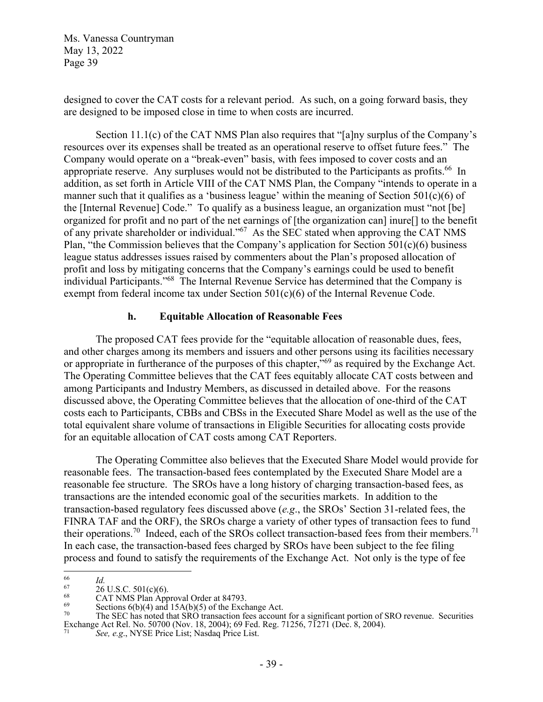designed to cover the CAT costs for a relevant period. As such, on a going forward basis, they are designed to be imposed close in time to when costs are incurred.

Section 11.1(c) of the CAT NMS Plan also requires that "[a]ny surplus of the Company's resources over its expenses shall be treated as an operational reserve to offset future fees." The Company would operate on a "break-even" basis, with fees imposed to cover costs and an appropriate reserve. Any surpluses would not be distributed to the Participants as profits.<sup>66</sup> In addition, as set forth in Article VIII of the CAT NMS Plan, the Company "intends to operate in a manner such that it qualifies as a 'business league' within the meaning of Section 501(c)(6) of the [Internal Revenue] Code." To qualify as a business league, an organization must "not [be] organized for profit and no part of the net earnings of [the organization can] inure[] to the benefit of any private shareholder or individual."67 As the SEC stated when approving the CAT NMS Plan, "the Commission believes that the Company's application for Section 501(c)(6) business league status addresses issues raised by commenters about the Plan's proposed allocation of profit and loss by mitigating concerns that the Company's earnings could be used to benefit individual Participants."68 The Internal Revenue Service has determined that the Company is exempt from federal income tax under Section 501(c)(6) of the Internal Revenue Code.

### **h. Equitable Allocation of Reasonable Fees**

The proposed CAT fees provide for the "equitable allocation of reasonable dues, fees, and other charges among its members and issuers and other persons using its facilities necessary or appropriate in furtherance of the purposes of this chapter,"69 as required by the Exchange Act. The Operating Committee believes that the CAT fees equitably allocate CAT costs between and among Participants and Industry Members, as discussed in detailed above. For the reasons discussed above, the Operating Committee believes that the allocation of one-third of the CAT costs each to Participants, CBBs and CBSs in the Executed Share Model as well as the use of the total equivalent share volume of transactions in Eligible Securities for allocating costs provide for an equitable allocation of CAT costs among CAT Reporters.

The Operating Committee also believes that the Executed Share Model would provide for reasonable fees. The transaction-based fees contemplated by the Executed Share Model are a reasonable fee structure. The SROs have a long history of charging transaction-based fees, as transactions are the intended economic goal of the securities markets. In addition to the transaction-based regulatory fees discussed above (*e.g*., the SROs' Section 31-related fees, the FINRA TAF and the ORF), the SROs charge a variety of other types of transaction fees to fund their operations.<sup>70</sup> Indeed, each of the SROs collect transaction-based fees from their members.<sup>71</sup> In each case, the transaction-based fees charged by SROs have been subject to the fee filing process and found to satisfy the requirements of the Exchange Act. Not only is the type of fee

<sup>&</sup>lt;sup>66</sup> *Id.*<br><sup>67</sup> 26 U.S.C. 501(c)(6).<br><sup>68</sup> CAT NMS Plan Approval Order at 84793.

<sup>&</sup>lt;sup>69</sup><br>Sections 6(b)(4) and 15A(b)(5) of the Exchange Act.<br>The SEC has noted that SRO transaction fees account

The SEC has noted that SRO transaction fees account for a significant portion of SRO revenue. Securities Exchange Act Rel. No. 50700 (Nov. 18, 2004); 69 Fed. Reg. 71256, 71271 (Dec. 8, 2004).

See, e.g., NYSE Price List; Nasdaq Price List.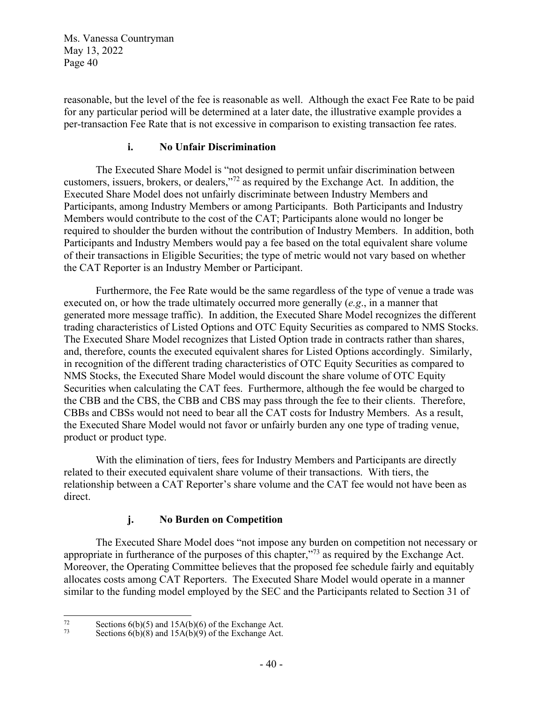reasonable, but the level of the fee is reasonable as well. Although the exact Fee Rate to be paid for any particular period will be determined at a later date, the illustrative example provides a per-transaction Fee Rate that is not excessive in comparison to existing transaction fee rates.

### **i. No Unfair Discrimination**

The Executed Share Model is "not designed to permit unfair discrimination between customers, issuers, brokers, or dealers,"72 as required by the Exchange Act. In addition, the Executed Share Model does not unfairly discriminate between Industry Members and Participants, among Industry Members or among Participants. Both Participants and Industry Members would contribute to the cost of the CAT; Participants alone would no longer be required to shoulder the burden without the contribution of Industry Members. In addition, both Participants and Industry Members would pay a fee based on the total equivalent share volume of their transactions in Eligible Securities; the type of metric would not vary based on whether the CAT Reporter is an Industry Member or Participant.

Furthermore, the Fee Rate would be the same regardless of the type of venue a trade was executed on, or how the trade ultimately occurred more generally (*e.g*., in a manner that generated more message traffic). In addition, the Executed Share Model recognizes the different trading characteristics of Listed Options and OTC Equity Securities as compared to NMS Stocks. The Executed Share Model recognizes that Listed Option trade in contracts rather than shares, and, therefore, counts the executed equivalent shares for Listed Options accordingly. Similarly, in recognition of the different trading characteristics of OTC Equity Securities as compared to NMS Stocks, the Executed Share Model would discount the share volume of OTC Equity Securities when calculating the CAT fees. Furthermore, although the fee would be charged to the CBB and the CBS, the CBB and CBS may pass through the fee to their clients. Therefore, CBBs and CBSs would not need to bear all the CAT costs for Industry Members. As a result, the Executed Share Model would not favor or unfairly burden any one type of trading venue, product or product type.

With the elimination of tiers, fees for Industry Members and Participants are directly related to their executed equivalent share volume of their transactions. With tiers, the relationship between a CAT Reporter's share volume and the CAT fee would not have been as direct.

# **j. No Burden on Competition**

The Executed Share Model does "not impose any burden on competition not necessary or appropriate in furtherance of the purposes of this chapter,"<sup>73</sup> as required by the Exchange Act. Moreover, the Operating Committee believes that the proposed fee schedule fairly and equitably allocates costs among CAT Reporters. The Executed Share Model would operate in a manner similar to the funding model employed by the SEC and the Participants related to Section 31 of

<sup>&</sup>lt;sup>72</sup> Sections 6(b)(5) and 15A(b)(6) of the Exchange Act.<br><sup>73</sup> Sections 6(b)(8) and 15A(b)(9) of the Exchange Act.

Sections  $6(b)(8)$  and  $15A(b)(9)$  of the Exchange Act.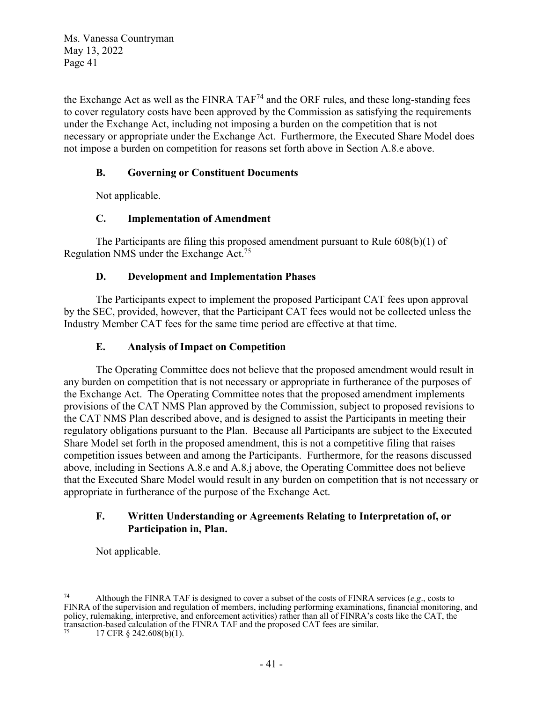the Exchange Act as well as the FINRA TAF<sup>74</sup> and the ORF rules, and these long-standing fees to cover regulatory costs have been approved by the Commission as satisfying the requirements under the Exchange Act, including not imposing a burden on the competition that is not necessary or appropriate under the Exchange Act. Furthermore, the Executed Share Model does not impose a burden on competition for reasons set forth above in Section A.8.e above.

## **B. Governing or Constituent Documents**

Not applicable.

## **C. Implementation of Amendment**

The Participants are filing this proposed amendment pursuant to Rule 608(b)(1) of Regulation NMS under the Exchange Act.75

## **D. Development and Implementation Phases**

 The Participants expect to implement the proposed Participant CAT fees upon approval by the SEC, provided, however, that the Participant CAT fees would not be collected unless the Industry Member CAT fees for the same time period are effective at that time.

## **E. Analysis of Impact on Competition**

The Operating Committee does not believe that the proposed amendment would result in any burden on competition that is not necessary or appropriate in furtherance of the purposes of the Exchange Act. The Operating Committee notes that the proposed amendment implements provisions of the CAT NMS Plan approved by the Commission, subject to proposed revisions to the CAT NMS Plan described above, and is designed to assist the Participants in meeting their regulatory obligations pursuant to the Plan. Because all Participants are subject to the Executed Share Model set forth in the proposed amendment, this is not a competitive filing that raises competition issues between and among the Participants. Furthermore, for the reasons discussed above, including in Sections A.8.e and A.8.j above, the Operating Committee does not believe that the Executed Share Model would result in any burden on competition that is not necessary or appropriate in furtherance of the purpose of the Exchange Act.

### **F. Written Understanding or Agreements Relating to Interpretation of, or Participation in, Plan.**

Not applicable.

Although the FINRA TAF is designed to cover a subset of the costs of FINRA services ( $e.g., \text{ costs to}$ ) FINRA of the supervision and regulation of members, including performing examinations, financial monitoring, and policy, rulemaking, interpretive, and enforcement activities) rather than all of FINRA's costs like the CAT, the transaction-based calculation of the FINRA TAF and the proposed CAT fees are similar. 17 CFR § 242.608(b)(1).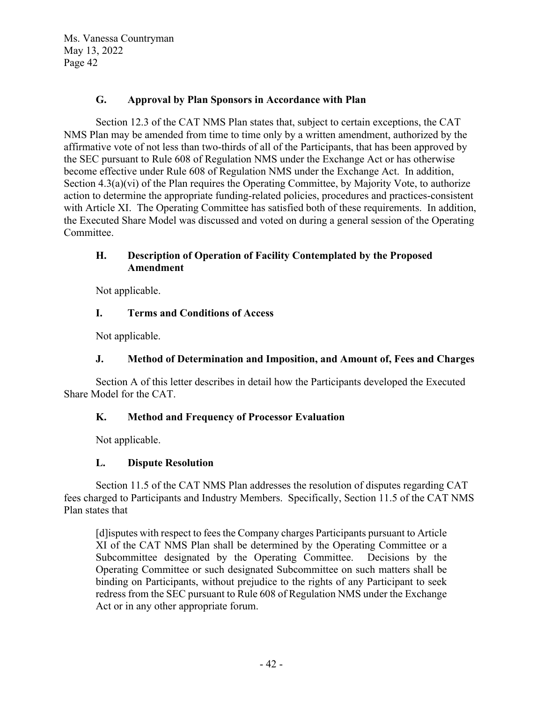### **G. Approval by Plan Sponsors in Accordance with Plan**

Section 12.3 of the CAT NMS Plan states that, subject to certain exceptions, the CAT NMS Plan may be amended from time to time only by a written amendment, authorized by the affirmative vote of not less than two-thirds of all of the Participants, that has been approved by the SEC pursuant to Rule 608 of Regulation NMS under the Exchange Act or has otherwise become effective under Rule 608 of Regulation NMS under the Exchange Act. In addition, Section 4.3(a)(vi) of the Plan requires the Operating Committee, by Majority Vote, to authorize action to determine the appropriate funding-related policies, procedures and practices-consistent with Article XI. The Operating Committee has satisfied both of these requirements. In addition, the Executed Share Model was discussed and voted on during a general session of the Operating Committee.

## **H. Description of Operation of Facility Contemplated by the Proposed Amendment**

Not applicable.

## **I. Terms and Conditions of Access**

Not applicable.

# **J. Method of Determination and Imposition, and Amount of, Fees and Charges**

Section A of this letter describes in detail how the Participants developed the Executed Share Model for the CAT.

# **K. Method and Frequency of Processor Evaluation**

Not applicable.

# **L. Dispute Resolution**

Section 11.5 of the CAT NMS Plan addresses the resolution of disputes regarding CAT fees charged to Participants and Industry Members. Specifically, Section 11.5 of the CAT NMS Plan states that

[d]isputes with respect to fees the Company charges Participants pursuant to Article XI of the CAT NMS Plan shall be determined by the Operating Committee or a Subcommittee designated by the Operating Committee. Decisions by the Operating Committee or such designated Subcommittee on such matters shall be binding on Participants, without prejudice to the rights of any Participant to seek redress from the SEC pursuant to Rule 608 of Regulation NMS under the Exchange Act or in any other appropriate forum.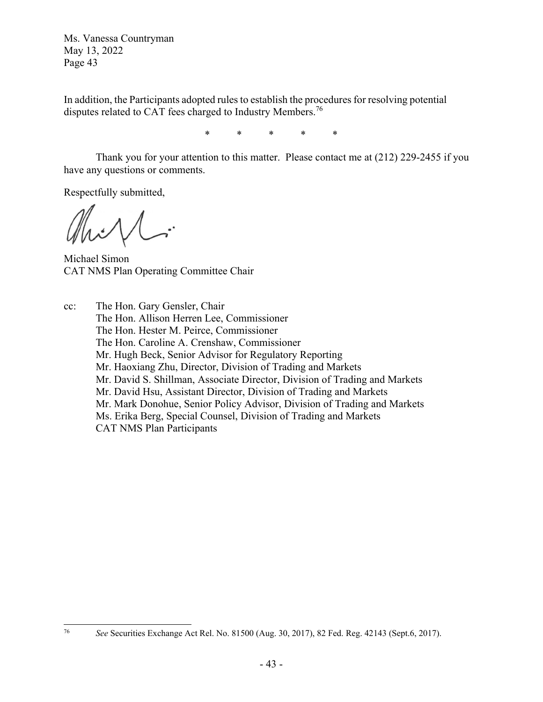In addition, the Participants adopted rules to establish the procedures for resolving potential disputes related to CAT fees charged to Industry Members.<sup>76</sup>

\* \* \* \* \*

Thank you for your attention to this matter. Please contact me at (212) 229-2455 if you have any questions or comments.

Respectfully submitted,

Michael Simon CAT NMS Plan Operating Committee Chair

cc: The Hon. Gary Gensler, Chair The Hon. Allison Herren Lee, Commissioner The Hon. Hester M. Peirce, Commissioner The Hon. Caroline A. Crenshaw, Commissioner Mr. Hugh Beck, Senior Advisor for Regulatory Reporting Mr. Haoxiang Zhu, Director, Division of Trading and Markets Mr. David S. Shillman, Associate Director, Division of Trading and Markets Mr. David Hsu, Assistant Director, Division of Trading and Markets Mr. Mark Donohue, Senior Policy Advisor, Division of Trading and Markets Ms. Erika Berg, Special Counsel, Division of Trading and Markets CAT NMS Plan Participants

<sup>76</sup> *See* Securities Exchange Act Rel. No. 81500 (Aug. 30, 2017), 82 Fed. Reg. 42143 (Sept.6, 2017).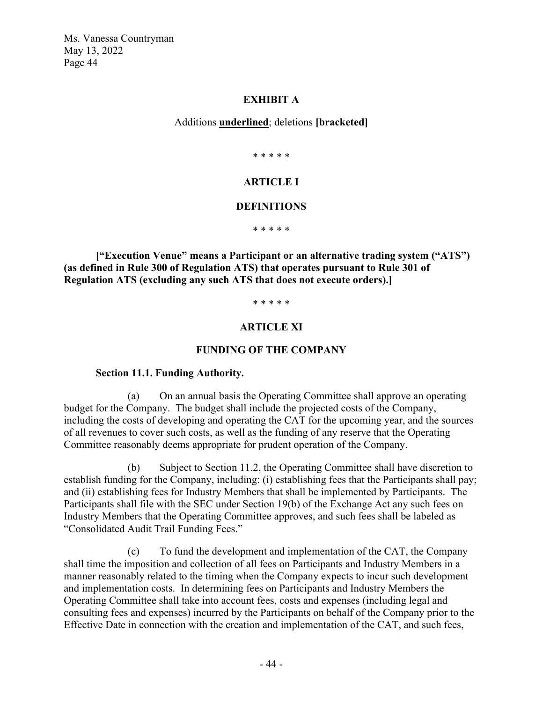#### **EXHIBIT A**

Additions **underlined**; deletions **[bracketed]**

\* \* \* \* \*

## **ARTICLE I**

#### **DEFINITIONS**

\* \* \* \* \*

**["Execution Venue" means a Participant or an alternative trading system ("ATS") (as defined in Rule 300 of Regulation ATS) that operates pursuant to Rule 301 of Regulation ATS (excluding any such ATS that does not execute orders).]** 

\* \* \* \* \*

## **ARTICLE XI**

#### **FUNDING OF THE COMPANY**

#### **Section 11.1. Funding Authority.**

(a) On an annual basis the Operating Committee shall approve an operating budget for the Company. The budget shall include the projected costs of the Company, including the costs of developing and operating the CAT for the upcoming year, and the sources of all revenues to cover such costs, as well as the funding of any reserve that the Operating Committee reasonably deems appropriate for prudent operation of the Company.

(b) Subject to Section 11.2, the Operating Committee shall have discretion to establish funding for the Company, including: (i) establishing fees that the Participants shall pay; and (ii) establishing fees for Industry Members that shall be implemented by Participants. The Participants shall file with the SEC under Section 19(b) of the Exchange Act any such fees on Industry Members that the Operating Committee approves, and such fees shall be labeled as "Consolidated Audit Trail Funding Fees."

(c) To fund the development and implementation of the CAT, the Company shall time the imposition and collection of all fees on Participants and Industry Members in a manner reasonably related to the timing when the Company expects to incur such development and implementation costs. In determining fees on Participants and Industry Members the Operating Committee shall take into account fees, costs and expenses (including legal and consulting fees and expenses) incurred by the Participants on behalf of the Company prior to the Effective Date in connection with the creation and implementation of the CAT, and such fees,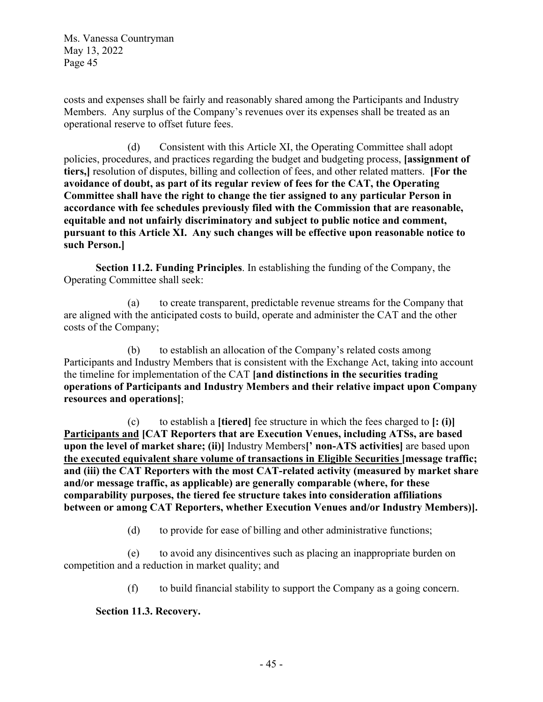costs and expenses shall be fairly and reasonably shared among the Participants and Industry Members. Any surplus of the Company's revenues over its expenses shall be treated as an operational reserve to offset future fees.

(d) Consistent with this Article XI, the Operating Committee shall adopt policies, procedures, and practices regarding the budget and budgeting process, **[assignment of tiers,]** resolution of disputes, billing and collection of fees, and other related matters. **[For the avoidance of doubt, as part of its regular review of fees for the CAT, the Operating Committee shall have the right to change the tier assigned to any particular Person in accordance with fee schedules previously filed with the Commission that are reasonable, equitable and not unfairly discriminatory and subject to public notice and comment, pursuant to this Article XI. Any such changes will be effective upon reasonable notice to such Person.]**

**Section 11.2. Funding Principles**. In establishing the funding of the Company, the Operating Committee shall seek:

(a) to create transparent, predictable revenue streams for the Company that are aligned with the anticipated costs to build, operate and administer the CAT and the other costs of the Company;

(b) to establish an allocation of the Company's related costs among Participants and Industry Members that is consistent with the Exchange Act, taking into account the timeline for implementation of the CAT **[and distinctions in the securities trading operations of Participants and Industry Members and their relative impact upon Company resources and operations]**;

(c) to establish a **[tiered]** fee structure in which the fees charged to **[: (i)] Participants and [CAT Reporters that are Execution Venues, including ATSs, are based upon the level of market share; (ii)]** Industry Members**[' non-ATS activities]** are based upon **the executed equivalent share volume of transactions in Eligible Securities [message traffic; and (iii) the CAT Reporters with the most CAT-related activity (measured by market share and/or message traffic, as applicable) are generally comparable (where, for these comparability purposes, the tiered fee structure takes into consideration affiliations between or among CAT Reporters, whether Execution Venues and/or Industry Members)].**

(d) to provide for ease of billing and other administrative functions;

(e) to avoid any disincentives such as placing an inappropriate burden on competition and a reduction in market quality; and

(f) to build financial stability to support the Company as a going concern.

**Section 11.3. Recovery.**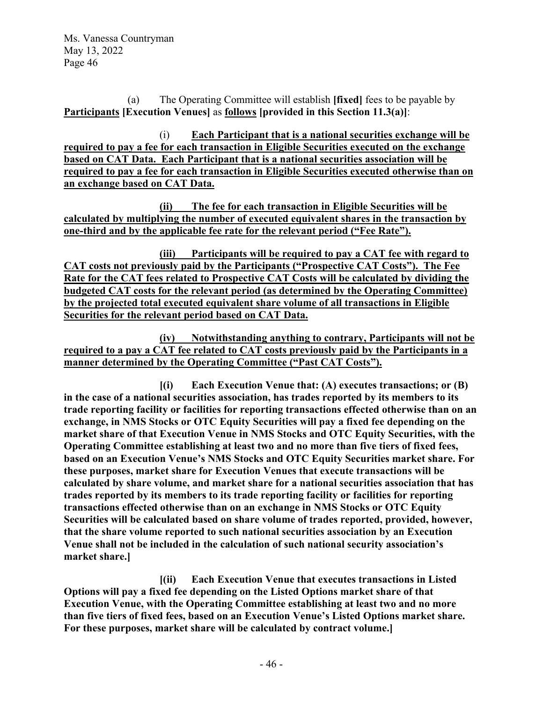(a) The Operating Committee will establish **[fixed]** fees to be payable by **Participants [Execution Venues]** as **follows [provided in this Section 11.3(a)]**:

(i) **Each Participant that is a national securities exchange will be required to pay a fee for each transaction in Eligible Securities executed on the exchange based on CAT Data. Each Participant that is a national securities association will be required to pay a fee for each transaction in Eligible Securities executed otherwise than on an exchange based on CAT Data.** 

**(ii) The fee for each transaction in Eligible Securities will be calculated by multiplying the number of executed equivalent shares in the transaction by one-third and by the applicable fee rate for the relevant period ("Fee Rate").** 

**(iii) Participants will be required to pay a CAT fee with regard to CAT costs not previously paid by the Participants ("Prospective CAT Costs"). The Fee Rate for the CAT fees related to Prospective CAT Costs will be calculated by dividing the budgeted CAT costs for the relevant period (as determined by the Operating Committee) by the projected total executed equivalent share volume of all transactions in Eligible Securities for the relevant period based on CAT Data.** 

**(iv) Notwithstanding anything to contrary, Participants will not be required to a pay a CAT fee related to CAT costs previously paid by the Participants in a manner determined by the Operating Committee ("Past CAT Costs").** 

**[(i) Each Execution Venue that: (A) executes transactions; or (B) in the case of a national securities association, has trades reported by its members to its trade reporting facility or facilities for reporting transactions effected otherwise than on an exchange, in NMS Stocks or OTC Equity Securities will pay a fixed fee depending on the market share of that Execution Venue in NMS Stocks and OTC Equity Securities, with the Operating Committee establishing at least two and no more than five tiers of fixed fees, based on an Execution Venue's NMS Stocks and OTC Equity Securities market share. For these purposes, market share for Execution Venues that execute transactions will be calculated by share volume, and market share for a national securities association that has trades reported by its members to its trade reporting facility or facilities for reporting transactions effected otherwise than on an exchange in NMS Stocks or OTC Equity Securities will be calculated based on share volume of trades reported, provided, however, that the share volume reported to such national securities association by an Execution Venue shall not be included in the calculation of such national security association's market share.]** 

**[(ii) Each Execution Venue that executes transactions in Listed Options will pay a fixed fee depending on the Listed Options market share of that Execution Venue, with the Operating Committee establishing at least two and no more than five tiers of fixed fees, based on an Execution Venue's Listed Options market share. For these purposes, market share will be calculated by contract volume.]**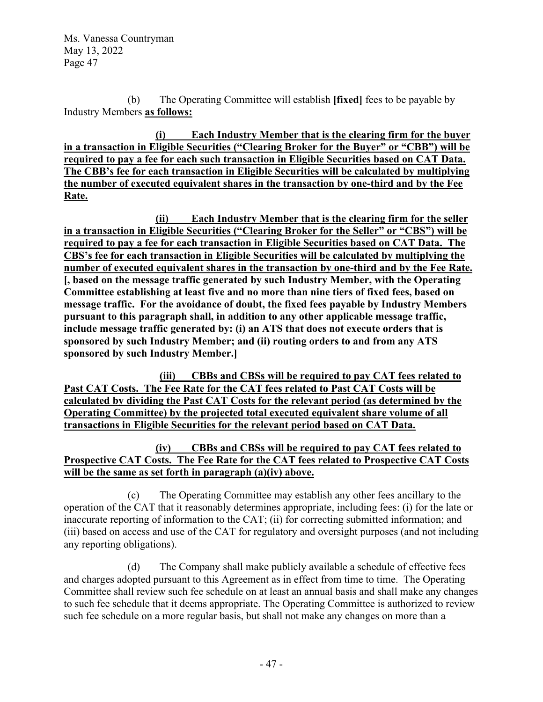(b) The Operating Committee will establish **[fixed]** fees to be payable by Industry Members **as follows:** 

**(i) Each Industry Member that is the clearing firm for the buyer in a transaction in Eligible Securities ("Clearing Broker for the Buyer" or "CBB") will be required to pay a fee for each such transaction in Eligible Securities based on CAT Data. The CBB's fee for each transaction in Eligible Securities will be calculated by multiplying the number of executed equivalent shares in the transaction by one-third and by the Fee Rate.** 

**(ii) Each Industry Member that is the clearing firm for the seller in a transaction in Eligible Securities ("Clearing Broker for the Seller" or "CBS") will be required to pay a fee for each transaction in Eligible Securities based on CAT Data. The CBS's fee for each transaction in Eligible Securities will be calculated by multiplying the number of executed equivalent shares in the transaction by one-third and by the Fee Rate. [, based on the message traffic generated by such Industry Member, with the Operating Committee establishing at least five and no more than nine tiers of fixed fees, based on message traffic. For the avoidance of doubt, the fixed fees payable by Industry Members pursuant to this paragraph shall, in addition to any other applicable message traffic, include message traffic generated by: (i) an ATS that does not execute orders that is sponsored by such Industry Member; and (ii) routing orders to and from any ATS sponsored by such Industry Member.]** 

**(iii) CBBs and CBSs will be required to pay CAT fees related to Past CAT Costs. The Fee Rate for the CAT fees related to Past CAT Costs will be calculated by dividing the Past CAT Costs for the relevant period (as determined by the Operating Committee) by the projected total executed equivalent share volume of all transactions in Eligible Securities for the relevant period based on CAT Data.** 

## **(iv) CBBs and CBSs will be required to pay CAT fees related to Prospective CAT Costs. The Fee Rate for the CAT fees related to Prospective CAT Costs will be the same as set forth in paragraph (a)(iv) above.**

(c) The Operating Committee may establish any other fees ancillary to the operation of the CAT that it reasonably determines appropriate, including fees: (i) for the late or inaccurate reporting of information to the CAT; (ii) for correcting submitted information; and (iii) based on access and use of the CAT for regulatory and oversight purposes (and not including any reporting obligations).

(d) The Company shall make publicly available a schedule of effective fees and charges adopted pursuant to this Agreement as in effect from time to time. The Operating Committee shall review such fee schedule on at least an annual basis and shall make any changes to such fee schedule that it deems appropriate. The Operating Committee is authorized to review such fee schedule on a more regular basis, but shall not make any changes on more than a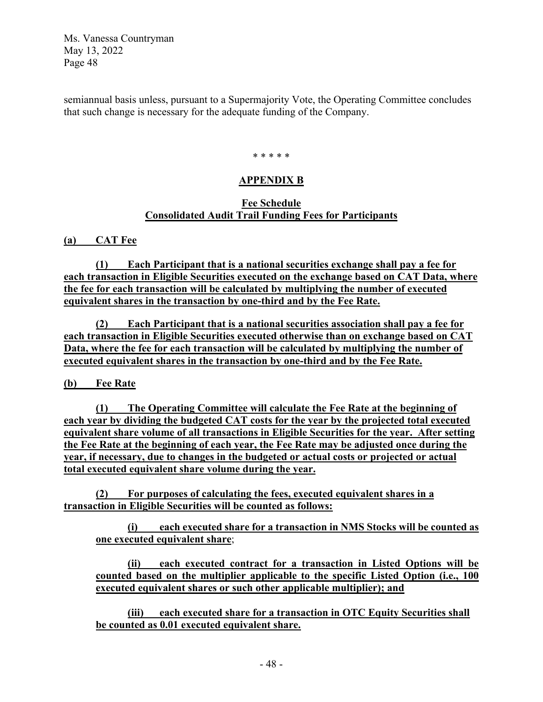semiannual basis unless, pursuant to a Supermajority Vote, the Operating Committee concludes that such change is necessary for the adequate funding of the Company.

#### \* \* \* \* \*

#### **APPENDIX B**

#### **Fee Schedule Consolidated Audit Trail Funding Fees for Participants**

**(a) CAT Fee** 

**(1) Each Participant that is a national securities exchange shall pay a fee for each transaction in Eligible Securities executed on the exchange based on CAT Data, where the fee for each transaction will be calculated by multiplying the number of executed equivalent shares in the transaction by one-third and by the Fee Rate.** 

**(2) Each Participant that is a national securities association shall pay a fee for each transaction in Eligible Securities executed otherwise than on exchange based on CAT Data, where the fee for each transaction will be calculated by multiplying the number of executed equivalent shares in the transaction by one-third and by the Fee Rate.** 

**(b) Fee Rate** 

**(1) The Operating Committee will calculate the Fee Rate at the beginning of each year by dividing the budgeted CAT costs for the year by the projected total executed equivalent share volume of all transactions in Eligible Securities for the year. After setting the Fee Rate at the beginning of each year, the Fee Rate may be adjusted once during the year, if necessary, due to changes in the budgeted or actual costs or projected or actual total executed equivalent share volume during the year.** 

**(2) For purposes of calculating the fees, executed equivalent shares in a transaction in Eligible Securities will be counted as follows:**

**(i) each executed share for a transaction in NMS Stocks will be counted as one executed equivalent share**;

**(ii) each executed contract for a transaction in Listed Options will be counted based on the multiplier applicable to the specific Listed Option (i.e., 100 executed equivalent shares or such other applicable multiplier); and** 

**(iii) each executed share for a transaction in OTC Equity Securities shall be counted as 0.01 executed equivalent share.**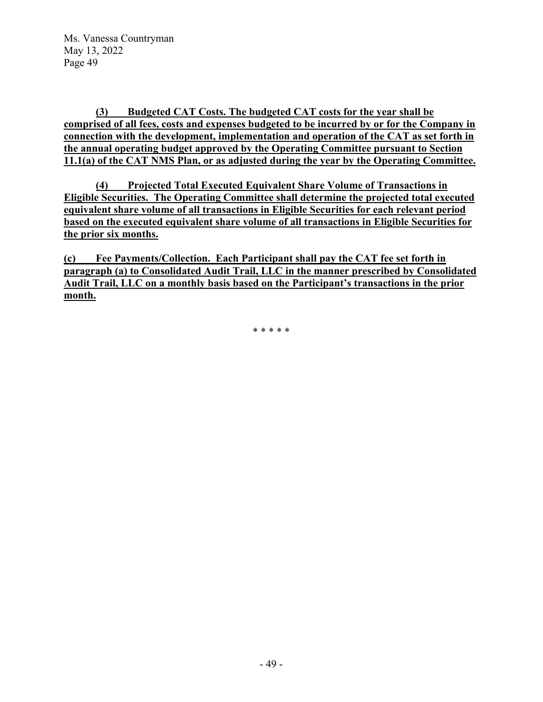**(3) Budgeted CAT Costs. The budgeted CAT costs for the year shall be comprised of all fees, costs and expenses budgeted to be incurred by or for the Company in connection with the development, implementation and operation of the CAT as set forth in the annual operating budget approved by the Operating Committee pursuant to Section 11.1(a) of the CAT NMS Plan, or as adjusted during the year by the Operating Committee.**

**(4) Projected Total Executed Equivalent Share Volume of Transactions in Eligible Securities. The Operating Committee shall determine the projected total executed equivalent share volume of all transactions in Eligible Securities for each relevant period based on the executed equivalent share volume of all transactions in Eligible Securities for the prior six months.** 

**(c) Fee Payments/Collection. Each Participant shall pay the CAT fee set forth in paragraph (a) to Consolidated Audit Trail, LLC in the manner prescribed by Consolidated Audit Trail, LLC on a monthly basis based on the Participant's transactions in the prior month.** 

\* \* \* \* \*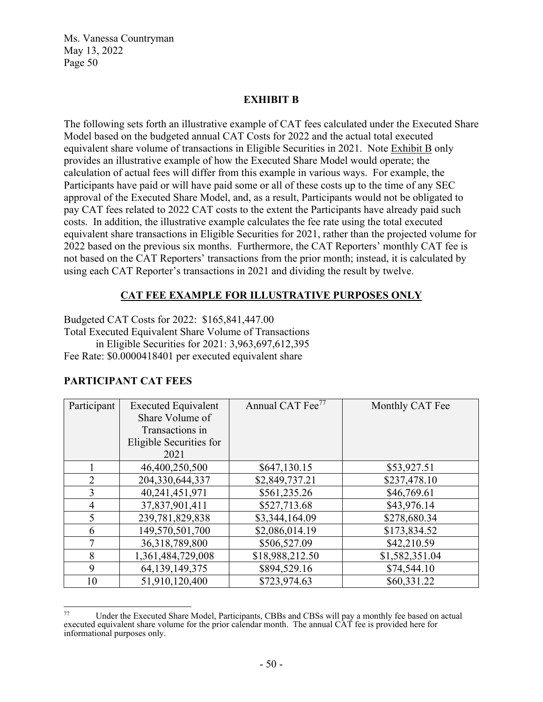### **EXHIBIT B**

The following sets forth an illustrative example of CAT fees calculated under the Executed Share Model based on the budgeted annual CAT Costs for 2022 and the actual total executed equivalent share volume of transactions in Eligible Securities in 2021. Note Exhibit B only provides an illustrative example of how the Executed Share Model would operate; the calculation of actual fees will differ from this example in various ways. For example, the Participants have paid or will have paid some or all of these costs up to the time of any SEC approval of the Executed Share Model, and, as a result, Participants would not be obligated to pay CAT fees related to 2022 CAT costs to the extent the Participants have already paid such costs. In addition, the illustrative example calculates the fee rate using the total executed equivalent share transactions in Eligible Securities for 2021, rather than the projected volume for 2022 based on the previous six months. Furthermore, the CAT Reporters' monthly CAT fee is not based on the CAT Reporters' transactions from the prior month; instead, it is calculated by using each CAT Reporter's transactions in 2021 and dividing the result by twelve.

## **CAT FEE EXAMPLE FOR ILLUSTRATIVE PURPOSES ONLY**

Budgeted CAT Costs for 2022: \$165,841,447.00 Total Executed Equivalent Share Volume of Transactions in Eligible Securities for 2021: 3,963,697,612,395 Fee Rate: \$0.0000418401 per executed equivalent share

| Participant    | <b>Executed Equivalent</b> | Annual CAT Fee <sup>77</sup> | Monthly CAT Fee |
|----------------|----------------------------|------------------------------|-----------------|
|                | Share Volume of            |                              |                 |
|                | Transactions in            |                              |                 |
|                | Eligible Securities for    |                              |                 |
|                | 2021                       |                              |                 |
|                | 46,400,250,500             | \$647,130.15                 | \$53,927.51     |
| $\overline{2}$ | 204,330,644,337            | \$2,849,737.21               | \$237,478.10    |
| $\overline{3}$ | 40,241,451,971             | \$561,235.26                 | \$46,769.61     |
| $\overline{4}$ | 37,837,901,411             | \$527,713.68                 | \$43,976.14     |
| 5              | 239,781,829,838            | \$3,344,164.09               | \$278,680.34    |
| 6              | 149,570,501,700            | \$2,086,014.19               | \$173,834.52    |
|                | 36,318,789,800             | \$506,527.09                 | \$42,210.59     |
| 8              | 1,361,484,729,008          | \$18,988,212.50              | \$1,582,351.04  |
| 9              | 64, 139, 149, 375          | \$894,529.16                 | \$74,544.10     |
| 10             | 51,910,120,400             | \$723,974.63                 | \$60,331.22     |

## **PARTICIPANT CAT FEES**

Under the Executed Share Model, Participants, CBBs and CBSs will pay a monthly fee based on actual executed equivalent share volume for the prior calendar month. The annual CAT fee is provided here for informational purposes only.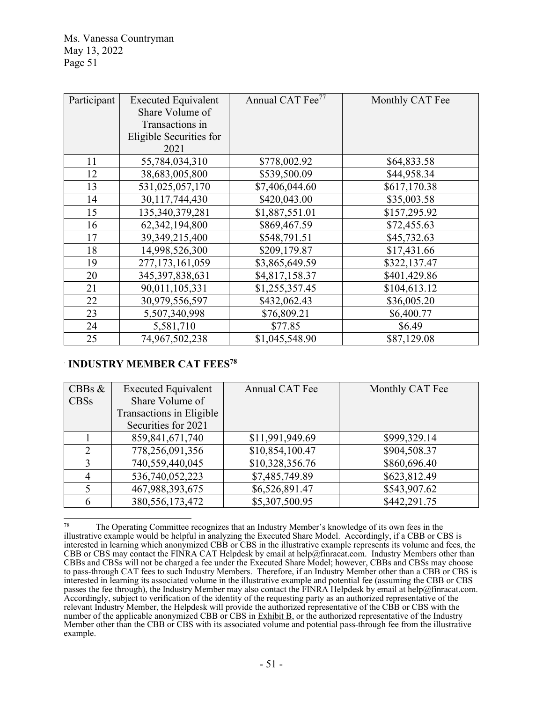| Participant | <b>Executed Equivalent</b> | Annual CAT Fee <sup>77</sup> | Monthly CAT Fee |
|-------------|----------------------------|------------------------------|-----------------|
|             | Share Volume of            |                              |                 |
|             | Transactions in            |                              |                 |
|             | Eligible Securities for    |                              |                 |
|             | 2021                       |                              |                 |
| 11          | 55,784,034,310             | \$778,002.92                 | \$64,833.58     |
| 12          | 38,683,005,800             | \$539,500.09                 | \$44,958.34     |
| 13          | 531,025,057,170            | \$7,406,044.60               | \$617,170.38    |
| 14          | 30,117,744,430             | \$420,043.00                 | \$35,003.58     |
| 15          | 135,340,379,281            | \$1,887,551.01               | \$157,295.92    |
| 16          | 62,342,194,800             | \$869,467.59                 | \$72,455.63     |
| 17          | 39,349,215,400             | \$548,791.51                 | \$45,732.63     |
| 18          | 14,998,526,300             | \$209,179.87                 | \$17,431.66     |
| 19          | 277, 173, 161, 059         | \$3,865,649.59               | \$322,137.47    |
| 20          | 345, 397, 838, 631         | \$4,817,158.37               | \$401,429.86    |
| 21          | 90,011,105,331             | \$1,255,357.45               | \$104,613.12    |
| 22          | 30,979,556,597             | \$432,062.43                 | \$36,005.20     |
| 23          | 5,507,340,998              | \$76,809.21                  | \$6,400.77      |
| 24          | 5,581,710                  | \$77.85                      | \$6.49          |
| 25          | 74,967,502,238             | \$1,045,548.90               | \$87,129.08     |

### .  **INDUSTRY MEMBER CAT FEES78**

| CBBs $\&$     | <b>Executed Equivalent</b> | Annual CAT Fee  | Monthly CAT Fee |
|---------------|----------------------------|-----------------|-----------------|
| <b>CBSs</b>   | Share Volume of            |                 |                 |
|               | Transactions in Eligible   |                 |                 |
|               | Securities for 2021        |                 |                 |
|               | 859, 841, 671, 740         | \$11,991,949.69 | \$999,329.14    |
| $\mathcal{D}$ | 778,256,091,356            | \$10,854,100.47 | \$904,508.37    |
| 3             | 740,559,440,045            | \$10,328,356.76 | \$860,696.40    |
| 4             | 536,740,052,223            | \$7,485,749.89  | \$623,812.49    |
|               | 467,988,393,675            | \$6,526,891.47  | \$543,907.62    |
|               | 380, 556, 173, 472         | \$5,307,500.95  | \$442,291.75    |

<sup>78</sup> The Operating Committee recognizes that an Industry Member's knowledge of its own fees in the illustrative example would be helpful in analyzing the Executed Share Model. Accordingly, if a CBB or CBS is interested in learning which anonymized CBB or CBS in the illustrative example represents its volume and fees, the CBB or CBS may contact the FINRA CAT Helpdesk by email at help@finracat.com. Industry Members other than CBBs and CBSs will not be charged a fee under the Executed Share Model; however, CBBs and CBSs may choose to pass-through CAT fees to such Industry Members. Therefore, if an Industry Member other than a CBB or CBS is interested in learning its associated volume in the illustrative example and potential fee (assuming the CBB or CBS passes the fee through), the Industry Member may also contact the FINRA Helpdesk by email at help@finracat.com. Accordingly, subject to verification of the identity of the requesting party as an authorized representative of the relevant Industry Member, the Helpdesk will provide the authorized representative of the CBB or CBS with the number of the applicable anonymized CBB or CBS in Exhibit B, or the authorized representative of the Industry Member other than the CBB or CBS with its associated volume and potential pass-through fee from the illustrative example.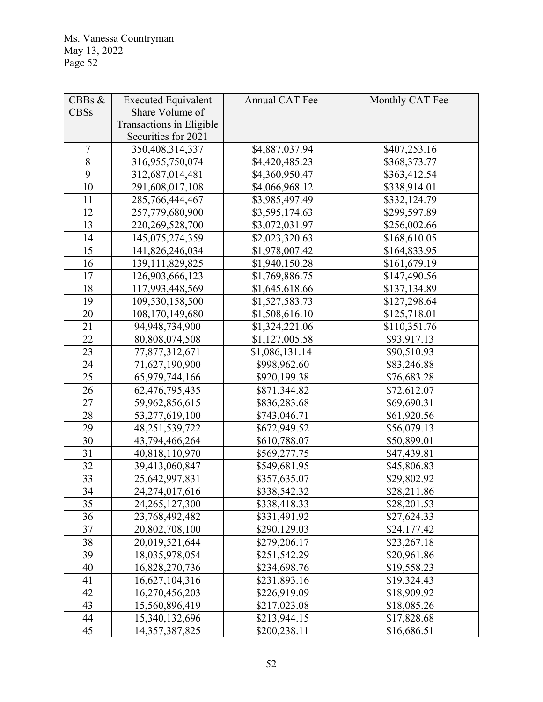| CBBs $&$       | <b>Executed Equivalent</b> | Annual CAT Fee | Monthly CAT Fee         |
|----------------|----------------------------|----------------|-------------------------|
| <b>CBSs</b>    | Share Volume of            |                |                         |
|                | Transactions in Eligible   |                |                         |
|                | Securities for 2021        |                |                         |
| $\overline{7}$ | 350,408,314,337            | \$4,887,037.94 | \$407,253.16            |
| 8              | 316,955,750,074            | \$4,420,485.23 | \$368,373.77            |
| 9              | 312,687,014,481            | \$4,360,950.47 | \$363,412.54            |
| 10             | 291,608,017,108            | \$4,066,968.12 | \$338,914.01            |
| 11             | 285,766,444,467            | \$3,985,497.49 | \$332,124.79            |
| 12             | 257,779,680,900            | \$3,595,174.63 | \$299,597.89            |
| 13             | 220, 269, 528, 700         | \$3,072,031.97 | \$256,002.66            |
| 14             | 145,075,274,359            | \$2,023,320.63 | \$168,610.05            |
| 15             | 141,826,246,034            | \$1,978,007.42 | \$164,833.95            |
| 16             | 139, 111, 829, 825         | \$1,940,150.28 | \$161,679.19            |
| 17             | 126,903,666,123            | \$1,769,886.75 | \$147,490.56            |
| 18             | 117,993,448,569            | \$1,645,618.66 | \$137,134.89            |
| 19             | 109,530,158,500            | \$1,527,583.73 | \$127,298.64            |
| 20             | 108,170,149,680            | \$1,508,616.10 | \$125,718.01            |
| 21             | 94,948,734,900             | \$1,324,221.06 | \$110,351.76            |
| 22             | 80,808,074,508             | \$1,127,005.58 | \$93,917.13             |
| 23             | 77,877,312,671             | \$1,086,131.14 | \$90,510.93             |
| 24             | 71,627,190,900             | \$998,962.60   | \$83,246.88             |
| 25             | 65,979,744,166             | \$920,199.38   | \$76,683.28             |
| 26             | 62,476,795,435             | \$871,344.82   | \$72,612.07             |
| 27             | 59,962,856,615             | \$836,283.68   | \$69,690.31             |
| 28             | 53,277,619,100             | \$743,046.71   | \$61,920.56             |
| 29             | 48,251,539,722             | \$672,949.52   | \$56,079.13             |
| 30             | 43,794,466,264             | \$610,788.07   | \$50,899.01             |
| 31             | 40,818,110,970             | \$569,277.75   | \$47,439.81             |
| 32             | 39,413,060,847             | \$549,681.95   | \$45,806.83             |
| 33             | 25,642,997,831             | \$357,635.07   | \$29,802.92             |
| 34             | 24,274,017,616             | \$338,542.32   | $\overline{$}28,211.86$ |
| 35             | 24, 265, 127, 300          | \$338,418.33   | \$28,201.53             |
| 36             | 23,768,492,482             | \$331,491.92   | \$27,624.33             |
| 37             | 20,802,708,100             | \$290,129.03   | \$24,177.42             |
| 38             | 20,019,521,644             | \$279,206.17   | \$23,267.18             |
| 39             | 18,035,978,054             | \$251,542.29   | \$20,961.86             |
| 40             | 16,828,270,736             | \$234,698.76   | \$19,558.23             |
| 41             | 16,627,104,316             | \$231,893.16   | \$19,324.43             |
| 42             | 16,270,456,203             | \$226,919.09   | \$18,909.92             |
| 43             | 15,560,896,419             | \$217,023.08   | \$18,085.26             |
| 44             | 15,340,132,696             | \$213,944.15   | \$17,828.68             |
| 45             | 14, 357, 387, 825          | \$200,238.11   | \$16,686.51             |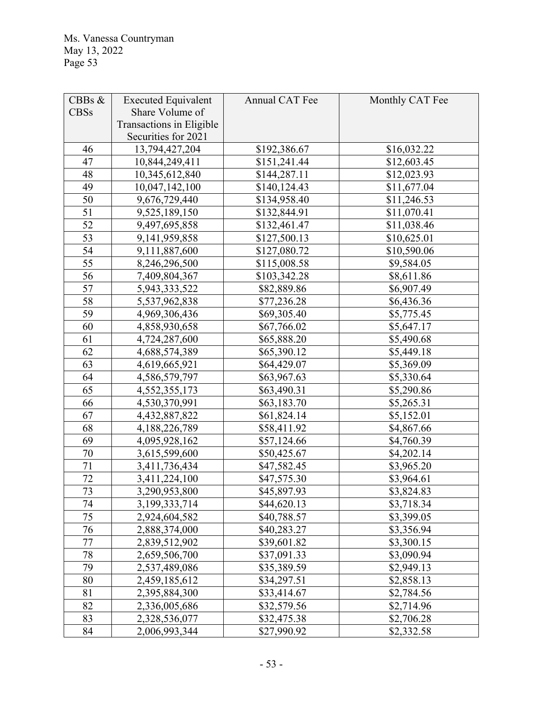| CBBs $&$    | <b>Executed Equivalent</b> | Annual CAT Fee | Monthly CAT Fee |
|-------------|----------------------------|----------------|-----------------|
| <b>CBSs</b> | Share Volume of            |                |                 |
|             | Transactions in Eligible   |                |                 |
|             | Securities for 2021        |                |                 |
| 46          | 13,794,427,204             | \$192,386.67   | \$16,032.22     |
| 47          | 10,844,249,411             | \$151,241.44   | \$12,603.45     |
| 48          | 10,345,612,840             | \$144,287.11   | \$12,023.93     |
| 49          | 10,047,142,100             | \$140,124.43   | \$11,677.04     |
| 50          | 9,676,729,440              | \$134,958.40   | \$11,246.53     |
| 51          | 9,525,189,150              | \$132,844.91   | \$11,070.41     |
| 52          | 9,497,695,858              | \$132,461.47   | \$11,038.46     |
| 53          | 9,141,959,858              | \$127,500.13   | \$10,625.01     |
| 54          | 9,111,887,600              | \$127,080.72   | \$10,590.06     |
| 55          | 8,246,296,500              | \$115,008.58   | \$9,584.05      |
| 56          | 7,409,804,367              | \$103,342.28   | \$8,611.86      |
| 57          | 5,943,333,522              | \$82,889.86    | \$6,907.49      |
| 58          | 5,537,962,838              | \$77,236.28    | \$6,436.36      |
| 59          | 4,969,306,436              | \$69,305.40    | \$5,775.45      |
| 60          | 4,858,930,658              | \$67,766.02    | \$5,647.17      |
| 61          | 4,724,287,600              | \$65,888.20    | \$5,490.68      |
| 62          | 4,688,574,389              | \$65,390.12    | \$5,449.18      |
| 63          | 4,619,665,921              | \$64,429.07    | \$5,369.09      |
| 64          | 4,586,579,797              | \$63,967.63    | \$5,330.64      |
| 65          | 4,552,355,173              | \$63,490.31    | \$5,290.86      |
| 66          | 4,530,370,991              | \$63,183.70    | \$5,265.31      |
| 67          | 4,432,887,822              | \$61,824.14    | \$5,152.01      |
| 68          | 4,188,226,789              | \$58,411.92    | \$4,867.66      |
| 69          | 4,095,928,162              | \$57,124.66    | \$4,760.39      |
| 70          | 3,615,599,600              | \$50,425.67    | \$4,202.14      |
| 71          | 3,411,736,434              | \$47,582.45    | \$3,965.20      |
| 72          | 3,411,224,100              | \$47,575.30    | \$3,964.61      |
| 73          | 3,290,953,800              | \$45,897.93    | \$3,824.83      |
| 74          | 3, 199, 333, 714           | \$44,620.13    | \$3,718.34      |
| 75          | 2,924,604,582              | \$40,788.57    | \$3,399.05      |
| 76          | 2,888,374,000              | \$40,283.27    | \$3,356.94      |
| 77          | 2,839,512,902              | \$39,601.82    | \$3,300.15      |
| 78          | 2,659,506,700              | \$37,091.33    | \$3,090.94      |
| 79          | 2,537,489,086              | \$35,389.59    | \$2,949.13      |
| 80          | 2,459,185,612              | \$34,297.51    | \$2,858.13      |
| 81          | 2,395,884,300              | \$33,414.67    | \$2,784.56      |
| 82          | 2,336,005,686              | \$32,579.56    | \$2,714.96      |
| 83          | 2,328,536,077              | \$32,475.38    | \$2,706.28      |
| 84          | 2,006,993,344              | \$27,990.92    | \$2,332.58      |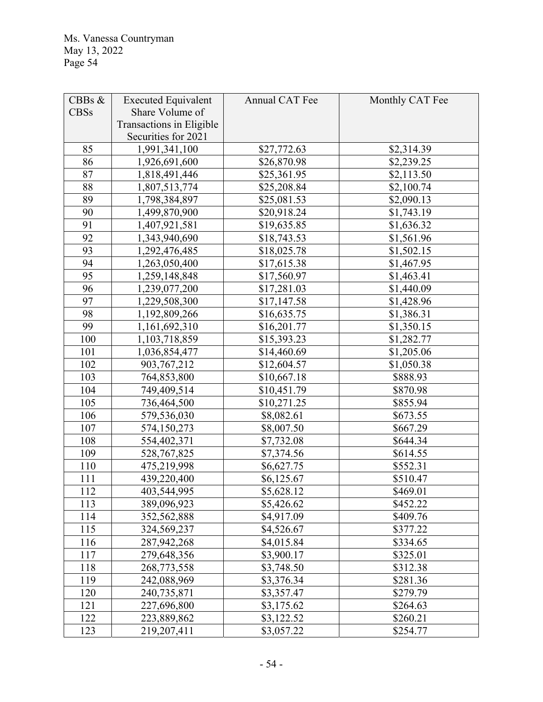| CBBs $&$    | <b>Executed Equivalent</b> | Annual CAT Fee | Monthly CAT Fee |
|-------------|----------------------------|----------------|-----------------|
| <b>CBSs</b> | Share Volume of            |                |                 |
|             | Transactions in Eligible   |                |                 |
|             | Securities for 2021        |                |                 |
| 85          | 1,991,341,100              | \$27,772.63    | \$2,314.39      |
| 86          | 1,926,691,600              | \$26,870.98    | \$2,239.25      |
| 87          | 1,818,491,446              | \$25,361.95    | \$2,113.50      |
| 88          | 1,807,513,774              | \$25,208.84    | \$2,100.74      |
| 89          | 1,798,384,897              | \$25,081.53    | \$2,090.13      |
| 90          | 1,499,870,900              | \$20,918.24    | \$1,743.19      |
| 91          | 1,407,921,581              | \$19,635.85    | \$1,636.32      |
| 92          | 1,343,940,690              | \$18,743.53    | \$1,561.96      |
| 93          | 1,292,476,485              | \$18,025.78    | \$1,502.15      |
| 94          | 1,263,050,400              | \$17,615.38    | \$1,467.95      |
| 95          | 1,259,148,848              | \$17,560.97    | \$1,463.41      |
| 96          | 1,239,077,200              | \$17,281.03    | \$1,440.09      |
| 97          | 1,229,508,300              | \$17,147.58    | \$1,428.96      |
| 98          | 1,192,809,266              | \$16,635.75    | \$1,386.31      |
| 99          | 1,161,692,310              | \$16,201.77    | \$1,350.15      |
| 100         | 1,103,718,859              | \$15,393.23    | \$1,282.77      |
| 101         | 1,036,854,477              | \$14,460.69    | \$1,205.06      |
| 102         | 903, 767, 212              | \$12,604.57    | \$1,050.38      |
| 103         | 764,853,800                | \$10,667.18    | \$888.93        |
| 104         | 749,409,514                | \$10,451.79    | \$870.98        |
| 105         | 736,464,500                | \$10,271.25    | \$855.94        |
| 106         | 579,536,030                | \$8,082.61     | \$673.55        |
| 107         | 574,150,273                | \$8,007.50     | \$667.29        |
| 108         | 554,402,371                | \$7,732.08     | \$644.34        |
| 109         | 528,767,825                | \$7,374.56     | \$614.55        |
| 110         | 475,219,998                | \$6,627.75     | \$552.31        |
| 111         | 439,220,400                | \$6,125.67     | \$510.47        |
| 112         | 403,544,995                | \$5,628.12     | \$469.01        |
| 113         | 389,096,923                | \$5,426.62     | \$452.22        |
| 114         | 352,562,888                | \$4,917.09     | \$409.76        |
| 115         | 324,569,237                | \$4,526.67     | \$377.22        |
| 116         | 287,942,268                | \$4,015.84     | \$334.65        |
| 117         | 279,648,356                | \$3,900.17     | \$325.01        |
| 118         | 268,773,558                | \$3,748.50     | \$312.38        |
| 119         | 242,088,969                | \$3,376.34     | \$281.36        |
| 120         | 240,735,871                | \$3,357.47     | \$279.79        |
| 121         | 227,696,800                | \$3,175.62     | \$264.63        |
| 122         | 223,889,862                | \$3,122.52     | \$260.21        |
| 123         | 219,207,411                | \$3,057.22     | \$254.77        |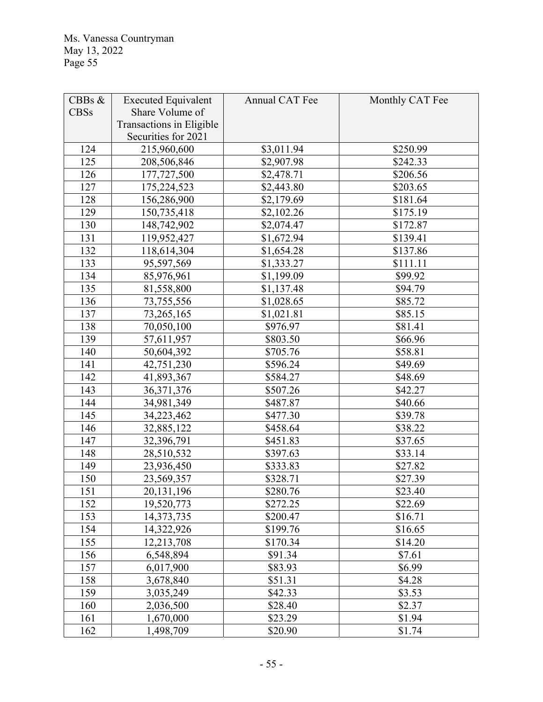| CBBs $&$    | <b>Executed Equivalent</b> | Annual CAT Fee | Monthly CAT Fee |
|-------------|----------------------------|----------------|-----------------|
| <b>CBSs</b> | Share Volume of            |                |                 |
|             | Transactions in Eligible   |                |                 |
|             | Securities for 2021        |                |                 |
| 124         | 215,960,600                | \$3,011.94     | \$250.99        |
| 125         | 208,506,846                | \$2,907.98     | \$242.33        |
| 126         | 177,727,500                | \$2,478.71     | \$206.56        |
| 127         | 175,224,523                | \$2,443.80     | \$203.65        |
| 128         | 156,286,900                | \$2,179.69     | \$181.64        |
| 129         | 150,735,418                | \$2,102.26     | \$175.19        |
| 130         | 148,742,902                | \$2,074.47     | \$172.87        |
| 131         | 119,952,427                | \$1,672.94     | \$139.41        |
| 132         | 118,614,304                | \$1,654.28     | \$137.86        |
| 133         | 95,597,569                 | \$1,333.27     | \$111.11        |
| 134         | 85,976,961                 | \$1,199.09     | \$99.92         |
| 135         | 81,558,800                 | \$1,137.48     | \$94.79         |
| 136         | 73,755,556                 | \$1,028.65     | \$85.72         |
| 137         | 73,265,165                 | \$1,021.81     | \$85.15         |
| 138         | 70,050,100                 | \$976.97       | \$81.41         |
| 139         | 57,611,957                 | \$803.50       | \$66.96         |
| 140         | 50,604,392                 | \$705.76       | \$58.81         |
| 141         | 42,751,230                 | \$596.24       | \$49.69         |
| 142         | 41,893,367                 | \$584.27       | \$48.69         |
| 143         | 36, 371, 376               | \$507.26       | \$42.27         |
| 144         | 34,981,349                 | \$487.87       | \$40.66         |
| 145         | 34,223,462                 | \$477.30       | \$39.78         |
| 146         | 32,885,122                 | \$458.64       | \$38.22         |
| 147         | 32,396,791                 | \$451.83       | \$37.65         |
| 148         | 28,510,532                 | \$397.63       | \$33.14         |
| 149         | 23,936,450                 | \$333.83       | \$27.82         |
| 150         | 23,569,357                 | \$328.71       | \$27.39         |
| 151         | 20, 131, 196               | \$280.76       | \$23.40         |
| 152         | 19,520,773                 | \$272.25       | \$22.69         |
| 153         | 14,373,735                 | \$200.47       | \$16.71         |
| 154         | 14,322,926                 | \$199.76       | \$16.65         |
| 155         | 12,213,708                 | \$170.34       | \$14.20         |
| 156         | 6,548,894                  | \$91.34        | \$7.61          |
| 157         | 6,017,900                  | \$83.93        | \$6.99          |
| 158         | 3,678,840                  | \$51.31        | \$4.28          |
| 159         | 3,035,249                  | \$42.33        | \$3.53          |
| 160         | 2,036,500                  | \$28.40        | \$2.37          |
| 161         | 1,670,000                  | \$23.29        | \$1.94          |
| 162         | 1,498,709                  | \$20.90        | \$1.74          |